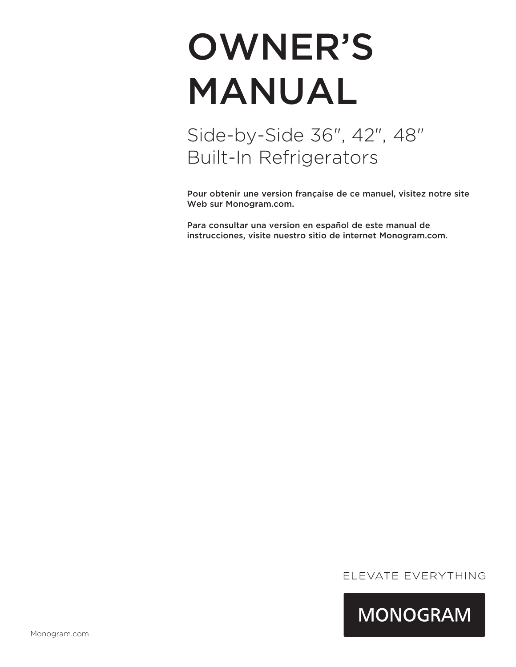# OWNER'S MANUAL

## Side-by-Side 36", 42", 48" Built-In Refrigerators

Pour obtenir une version française de ce manuel, visitez notre site Web sur Monogram.com.

Para consultar una version en español de este manual de instrucciones, visite nuestro sitio de internet Monogram.com.

### ELEVATE EVERYTHING

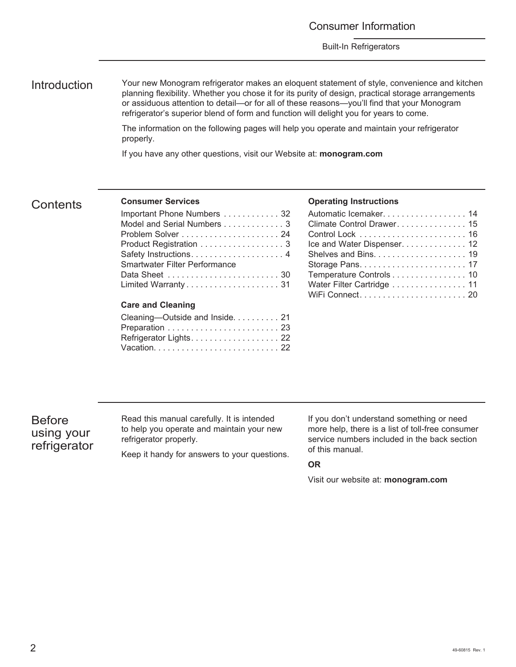Introduction Your new Monogram refrigerator makes an eloquent statement of style, convenience and kitchen planning flexibility. Whether you chose it for its purity of design, practical storage arrangements or assiduous attention to detail—or for all of these reasons—you'll find that your Monogram refrigerator's superior blend of form and function will delight you for years to come.

> The information on the following pages will help you operate and maintain your refrigerator properly.

If you have any other questions, visit our Website at: **monogram.com**

#### **Contents**

#### **Consumer Services**

| Important Phone Numbers  32          |
|--------------------------------------|
| Model and Serial Numbers 3           |
|                                      |
| Product Registration 3               |
|                                      |
| <b>Smartwater Filter Performance</b> |
|                                      |
|                                      |
|                                      |
| <b>Care and Cleaning</b>             |

| Cleaning-Outside and Inside 21 |  |
|--------------------------------|--|
|                                |  |
| Refrigerator Lights. 22        |  |
|                                |  |

#### **Operating Instructions**

| Automatic Icemaker. 14      |
|-----------------------------|
| Climate Control Drawer. 15  |
|                             |
| Ice and Water Dispenser. 12 |
|                             |
|                             |
| Temperature Controls 10     |
| Water Filter Cartridge  11  |
|                             |

### Before using your refrigerator

Read this manual carefully. It is intended to help you operate and maintain your new refrigerator properly.

Keep it handy for answers to your questions.

If you don't understand something or need more help, there is a list of toll-free consumer service numbers included in the back section of this manual.

#### **OR**

Visit our website at: **monogram.com**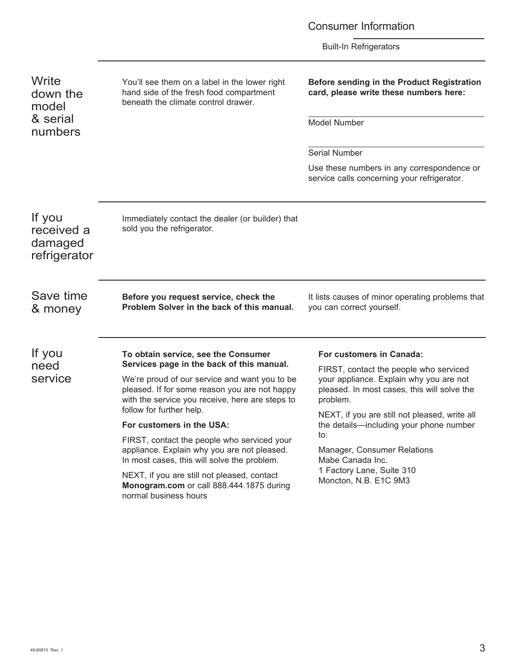Consumer Information

Built-In Refrigerators

**Write** down the model & serial numbers

You'll see them on a label in the lower right hand side of the fresh food compartment beneath the climate control drawer.

Immediately contact the dealer (or builder) that

#### **Before sending in the Product Registration card, please write these numbers here:**

Model Number

Serial Number

Use these numbers in any correspondence or service calls concerning your refrigerator.

If you received a damaged refrigerator

Save time & money **Before you request service, check the Problem Solver in the back of this manual.**

follow for further help.

normal business hours

**For customers in the USA:**

**To obtain service, see the Consumer Services page in the back of this manual.**  We're proud of our service and want you to be pleased. If for some reason you are not happy with the service you receive, here are steps to

FIRST, contact the people who serviced your appliance. Explain why you are not pleased. In most cases, this will solve the problem. NEXT, if you are still not pleased, contact **Monogram.com** or call 888.444.1875 during

sold you the refrigerator.

It lists causes of minor operating problems that you can correct yourself.

If you need service

#### **For customers in Canada:**

FIRST, contact the people who serviced your appliance. Explain why you are not pleased. In most cases, this will solve the problem.

NEXT, if you are still not pleased, write all the details—including your phone number to:

Manager, Consumer Relations Mabe Canada Inc. 1 Factory Lane, Suite 310 Moncton, N.B. E1C 9M3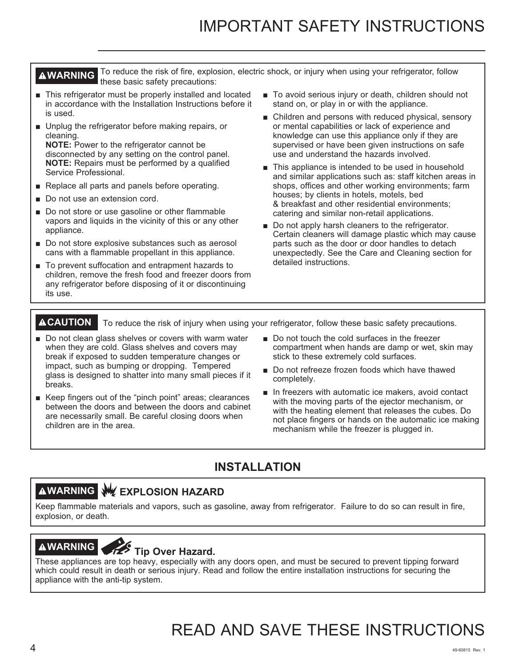## IMPORTANT SAFETY INSTRUCTIONS

**AWARNING** To reduce the risk of fire, explosion, electric shock, or injury when using your refrigerator, follow these basic safety precautions:

- This refrigerator must be properly installed and located in accordance with the Installation Instructions before it is used.
- Unplug the refrigerator before making repairs, or cleaning.

**NOTE:** Power to the refrigerator cannot be disconnected by any setting on the control panel. **NOTE:** Repairs must be performed by a qualified Service Professional.

- Replace all parts and panels before operating.
- Do not use an extension cord.
- Do not store or use gasoline or other flammable vapors and liquids in the vicinity of this or any other appliance.
- Do not store explosive substances such as aerosol cans with a flammable propellant in this appliance.
- To prevent suffocation and entrapment hazards to children, remove the fresh food and freezer doors from any refrigerator before disposing of it or discontinuing its use.
- To avoid serious injury or death, children should not stand on, or play in or with the appliance.
- $\blacksquare$  Children and persons with reduced physical, sensory or mental capabilities or lack of experience and knowledge can use this appliance only if they are supervised or have been given instructions on safe use and understand the hazards involved.
- This appliance is intended to be used in household and similar applications such as: staff kitchen areas in shops, offices and other working environments; farm houses; by clients in hotels, motels, bed & breakfast and other residential environments; catering and similar non-retail applications.
- Do not apply harsh cleaners to the refrigerator. Certain cleaners will damage plastic which may cause parts such as the door or door handles to detach unexpectedly. See the Care and Cleaning section for detailed instructions.

**ACAUTION** To reduce the risk of injury when using your refrigerator, follow these basic safety precautions.

- Do not clean glass shelves or covers with warm water when they are cold. Glass shelves and covers may break if exposed to sudden temperature changes or impact, such as bumping or dropping. Tempered glass is designed to shatter into many small pieces if it breaks.
- Keep fingers out of the "pinch point" areas; clearances between the doors and between the doors and cabinet are necessarily small. Be careful closing doors when children are in the area.
- Do not touch the cold surfaces in the freezer compartment when hands are damp or wet, skin may stick to these extremely cold surfaces.
- Do not refreeze frozen foods which have thawed completely.
- $\blacksquare$  In freezers with automatic ice makers, avoid contact with the moving parts of the ejector mechanism, or with the heating element that releases the cubes. Do not place fingers or hands on the automatic ice making mechanism while the freezer is plugged in.

### **INSTALLATION**

## **AWARNING WEXPLOSION HAZARD**

Keep flammable materials and vapors, such as gasoline, away from refrigerator. Failure to do so can result in fire, explosion, or death.

## **AWARNING**<br>
Tip Over Hazard.

These appliances are top heavy, especially with any doors open, and must be secured to prevent tipping forward which could result in death or serious injury. Read and follow the entire installation instructions for securing the appliance with the anti-tip system.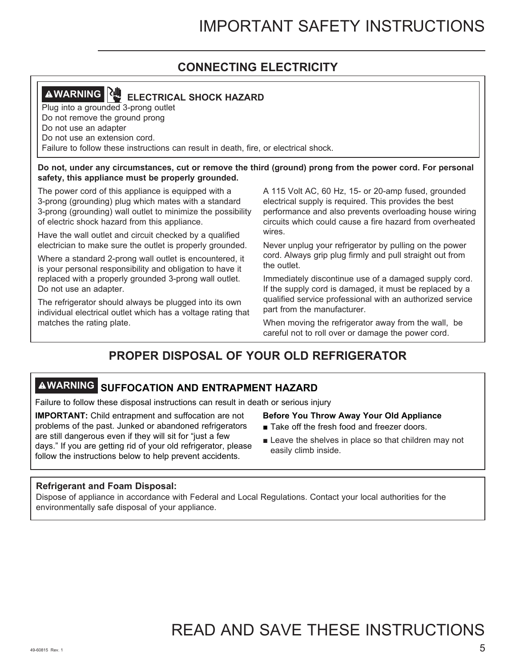## **CONNECTING ELECTRICITY**

## **AWARNING ELECTRICAL SHOCK HAZARD**

Plug into a grounded 3-prong outlet Do not remove the ground prong Do not use an adapter Do not use an extension cord. Failure to follow these instructions can result in death, fire, or electrical shock.

#### **Do not, under any circumstances, cut or remove the third (ground) prong from the power cord. For personal safety, this appliance must be properly grounded.**

The power cord of this appliance is equipped with a 3-prong (grounding) plug which mates with a standard 3-prong (grounding) wall outlet to minimize the possibility of electric shock hazard from this appliance.

Have the wall outlet and circuit checked by a qualified electrician to make sure the outlet is properly grounded.

Where a standard 2-prong wall outlet is encountered, it is your personal responsibility and obligation to have it replaced with a properly grounded 3-prong wall outlet. Do not use an adapter.

The refrigerator should always be plugged into its own individual electrical outlet which has a voltage rating that matches the rating plate.

A 115 Volt AC, 60 Hz, 15- or 20-amp fused, grounded electrical supply is required. This provides the best performance and also prevents overloading house wiring circuits which could cause a fire hazard from overheated wires.

Never unplug your refrigerator by pulling on the power cord. Always grip plug firmly and pull straight out from the outlet.

Immediately discontinue use of a damaged supply cord. If the supply cord is damaged, it must be replaced by a qualified service professional with an authorized service part from the manufacturer.

When moving the refrigerator away from the wall, be careful not to roll over or damage the power cord.

## **PROPER DISPOSAL OF YOUR OLD REFRIGERATOR**

## **WARNING SUFFOCATION AND ENTRAPMENT HAZARD**

Failure to follow these disposal instructions can result in death or serious injury

**IMPORTANT:** Child entrapment and suffocation are not problems of the past. Junked or abandoned refrigerators are still dangerous even if they will sit for "just a few days." If you are getting rid of your old refrigerator, please follow the instructions below to help prevent accidents.

- **Before You Throw Away Your Old Appliance**
- Take off the fresh food and freezer doors.
- $\blacksquare$  Leave the shelves in place so that children may not easily climb inside.

#### **Refrigerant and Foam Disposal:**

Dispose of appliance in accordance with Federal and Local Regulations. Contact your local authorities for the environmentally safe disposal of your appliance.

## READ AND SAVE THESE INSTRUCTIONS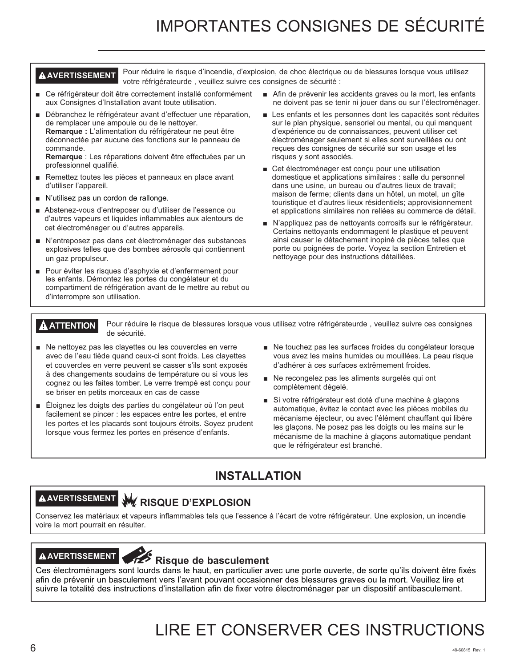## IMPORTANTES CONSIGNES DE SÉCURITÉ

A AVERTISSEMENT Pour réduire le risque d'incendie, d'explosion, de choc électrique ou de blessures lorsque vous utilisez votre réfrigérateurde, veuillez suivre ces consignes de sécurité :

- Ce réfrigérateur doit être correctement installé conformément aux Consignes d'Installation avant toute utilisation.
- Débranchez le réfrigérateur avant d'effectuer une réparation, de remplacer une ampoule ou de le nettoyer. **Remarque :** L'alimentation du réfrigérateur ne peut être déconnectée par aucune des fonctions sur le panneau de commande.

Remarque : Les réparations doivent être effectuées par un professionnel qualifié.

- Remettez toutes les pièces et panneaux en place avant d'utiliser l'appareil.
- N'utilisez pas un cordon de rallonge.
- Abstenez-vous d'entreposer ou d'utiliser de l'essence ou d'autres vapeurs et liquides inflammables aux alentours de cet électroménager ou d'autres appareils.
- N'entreposez pas dans cet électroménager des substances explosives telles que des bombes aérosols qui contiennent un gaz propulseur.
- Pour éviter les risques d'asphyxie et d'enfermement pour les enfants. Démontez les portes du congélateur et du compartiment de réfrigération avant de le mettre au rebut ou d'interrompre son utilisation.
- $\blacksquare$  Afin de prévenir les accidents graves ou la mort, les enfants ne doivent pas se tenir ni jouer dans ou sur l'électroménager.
- Les enfants et les personnes dont les capacités sont réduites sur le plan physique, sensoriel ou mental, ou qui manquent d'expérience ou de connaissances, peuvent utiliser cet électroménager seulement si elles sont surveillées ou ont reçues des consignes de sécurité sur son usage et les risques y sont associés.
- Cet électroménager est conçu pour une utilisation domestique et applications similaires : salle du personnel dans une usine, un bureau ou d'autres lieux de travail; maison de ferme; clients dans un hôtel, un motel, un gîte touristique et d'autres lieux résidentiels; approvisionnement et applications similaires non reliées au commerce de détail.
- N'appliquez pas de nettoyants corrosifs sur le réfrigérateur. Certains nettoyants endommagent le plastique et peuvent ainsi causer le détachement inopiné de pièces telles que porte ou poignées de porte. Voyez la section Entretien et nettoyage pour des instructions détaillées.

**A ATTENTION** Pour réduire le risque de blessures lorsque vous utilisez votre réfrigérateurde, veuillez suivre ces consignes de sécurité.

- $\blacksquare$  Ne nettoyez pas les clayettes ou les couvercles en verre avec de l'eau tiède quand ceux-ci sont froids. Les clayettes et couvercles en verre peuvent se casser s'ils sont exposés à des changements soudains de température ou si vous les cognez ou les faites tomber. Le verre trempé est conçu pour se briser en petits morceaux en cas de casse
- E loignez les doigts des parties du congélateur où l'on peut facilement se pincer : les espaces entre les portes, et entre les portes et les placards sont toujours étroits. Soyez prudent lorsque vous fermez les portes en présence d'enfants.
- Ne touchez pas les surfaces froides du congélateur lorsque vous avez les mains humides ou mouillées. La peau risque d'adhérer à ces surfaces extrêmement froides.
- $\blacksquare$  Ne recongelez pas les aliments surgelés qui ont complètement dégelé.
- Si votre réfrigérateur est doté d'une machine à glaçons automatique, évitez le contact avec les pièces mobiles du mécanisme éjecteur, ou avec l'élément chauffant qui libère les glaçons. Ne posez pas les doigts ou les mains sur le mécanisme de la machine à glaçons automatique pendant que le réfrigérateur est branché.

### **INSTALLATION**

### **AVERTISSEMENT RISQUE D'EXPLOSION**

Conservez les matériaux et vapeurs inflammables tels que l'essence à l'écart de votre réfrigérateur. Une explosion, un incendie voire la mort pourrait en résulter.

### **AVERTISSEMENT Risque de basculement**

Ces électroménagers sont lourds dans le haut, en particulier avec une porte ouverte, de sorte qu'ils doivent être fixés afin de prévenir un basculement vers l'avant pouvant occasionner des blessures graves ou la mort. Veuillez lire et suivre la totalité des instructions d'installation afin de fixer votre électroménager par un dispositif antibasculement.

## LIRE ET CONSERVER CES INSTRUCTIONS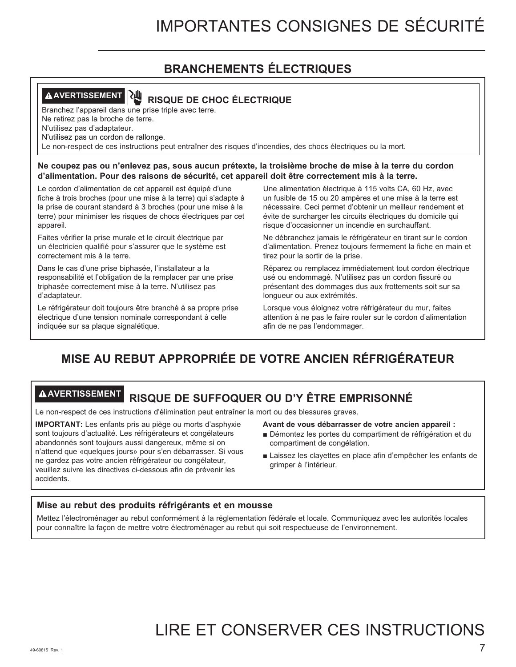## **BRANCHEMENTS ÉLECTRIQUES**

## **AVERTISSEMENT RISQUE DE CHOC ÉLECTRIQUE**

Branchez l'appareil dans une prise triple avec terre.

Ne retirez pas la broche de terre.

N'utilisez pas d'adaptateur.

N'utilisez pas un cordon de rallonge.

Le non-respect de ces instructions peut entraîner des risques d'incendies, des chocs électriques ou la mort.

**Ne coupez pas ou n'enlevez pas, sous aucun prétexte, la troisième broche de mise à la terre du cordon d'alimentation. Pour des raisons de sécurité, cet appareil doit être correctement mis à la terre.**

Le cordon d'alimentation de cet appareil est équipé d'une fiche à trois broches (pour une mise à la terre) qui s'adapte à la prise de courant standard à 3 broches (pour une mise à la terre) pour minimiser les risques de chocs électriques par cet appareil.

Faites vérifier la prise murale et le circuit électrique par un électricien qualifié pour s'assurer que le système est correctement mis à la terre.

Dans le cas d'une prise biphasée, l'installateur a la responsabilité et l'obligation de la remplacer par une prise triphasée correctement mise à la terre. N'utilisez pas d'adaptateur.

Le réfrigérateur doit toujours être branché à sa propre prise électrique d'une tension nominale correspondant à celle indiquée sur sa plaque signalétique.

Une alimentation électrique à 115 volts CA, 60 Hz, avec un fusible de 15 ou 20 ampères et une mise à la terre est nécessaire. Ceci permet d'obtenir un meilleur rendement et évite de surcharger les circuits électriques du domicile qui risque d'occasionner un incendie en surchauffant.

Ne débranchez jamais le réfrigérateur en tirant sur le cordon d'alimentation. Prenez toujours fermement la fiche en main et tirez pour la sortir de la prise.

Réparez ou remplacez immédiatement tout cordon électrique usé ou endommagé. N'utilisez pas un cordon fissuré ou présentant des dommages dus aux frottements soit sur sa longueur ou aux extrémités.

Lorsque vous éloignez votre réfrigérateur du mur, faites attention à ne pas le faire rouler sur le cordon d'alimentation afin de ne pas l'endommager.

## **MISE AU REBUT APPROPRIÉE DE VOTRE ANCIEN RÉFRIGÉRATEUR**

## **AVERTISSEMENT RISQUE DE SUFFOQUER OU D'Y ÊTRE EMPRISONNÉ**

Le non-respect de ces instructions d'élimination peut entraîner la mort ou des blessures graves.

**IMPORTANT:** Les enfants pris au piège ou morts d'asphyxie sont toujours d'actualité. Les réfrigérateurs et congélateurs abandonnés sont toujours aussi dangereux, même si on n'attend que «quelques jours» pour s'en débarrasser. Si vous ne gardez pas votre ancien réfrigérateur ou congélateur, veuillez suivre les directives ci-dessous afin de prévenir les accidents.

#### **Avant de vous débarrasser de votre ancien appareil :**

- $\blacksquare$ Démontez les portes du compartiment de réfrigération et du compartiment de congélation.
- Laissez les clayettes en place afin d'empêcher les enfants de grimper à l'intérieur.

#### **Mise au rebut des produits réfrigérants et en mousse**

Mettez l'électroménager au rebut conformément à la réglementation fédérale et locale. Communiquez avec les autorités locales pour connaître la façon de mettre votre électroménager au rebut qui soit respectueuse de l'environnement.

## LIRE ET CONSERVER CES INSTRUCTIONS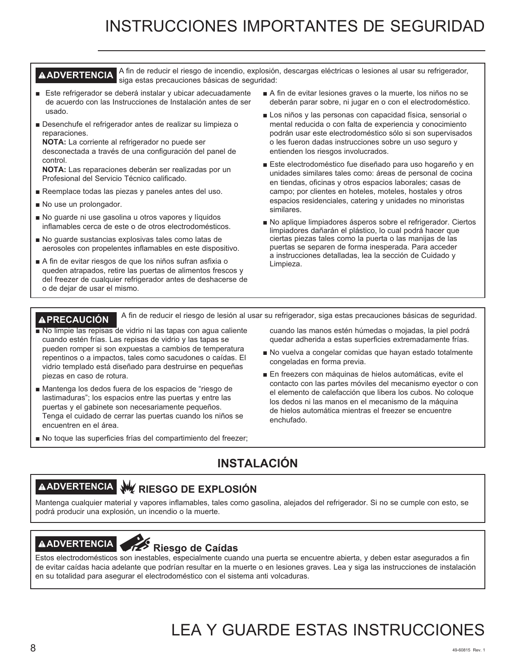## INSTRUCCIONES IMPORTANTES DE SEGURIDAD

#### **AADVERTENCIA** A fin de reducir el riesgo de incendio, explosión, descargas eléctricas o lesiones al usar su refrigerador, siga estas precauciones básicas de seguridad:

- Este refrigerador se deberá instalar y ubicar adecuadamente de acuerdo con las Instrucciones de Instalación antes de ser usado.
- Desenchufe el refrigerador antes de realizar su limpieza o reparaciones.

**NOTA:** La corriente al refrigerador no puede ser desconectada a través de una configuración del panel de control.

**NOTA:** Las reparaciones deberán ser realizadas por un Profesional del Servicio Técnico calificado.

- Reemplace todas las piezas y paneles antes del uso.
- No use un prolongador.
- No guarde ni use gasolina u otros vapores y líquidos inflamables cerca de este o de otros electrodomésticos.
- No guarde sustancias explosivas tales como latas de aerosoles con propelentes inflamables en este dispositivo.
- A fin de evitar riesgos de que los niños sufran asfixia o queden atrapados, retire las puertas de alimentos frescos y del freezer de cualquier refrigerador antes de deshacerse de o de dejar de usar el mismo.
- A fin de evitar lesiones graves o la muerte, los niños no se deberán parar sobre, ni jugar en o con el electrodoméstico.
- Los niños y las personas con capacidad física, sensorial o mental reducida o con falta de experiencia y conocimiento podrán usar este electrodoméstico sólo si son supervisados o les fueron dadas instrucciones sobre un uso seguro y entienden los riesgos involucrados.
- Este electrodoméstico fue diseñado para uso hogareño y en unidades similares tales como: áreas de personal de cocina en tiendas, oficinas y otros espacios laborales: casas de campo; por clientes en hoteles, moteles, hostales y otros espacios residenciales, catering y unidades no minoristas similares.
- No aplique limpiadores ásperos sobre el refrigerador. Ciertos limpiadores dañarán el plástico, lo cual podrá hacer que ciertas piezas tales como la puerta o las manijas de las puertas se separen de forma inesperada. Para acceder a instrucciones detalladas, lea la sección de Cuidado y Limpieza.

**PRECAUCIÓN** A fin de reducir el riesgo de lesión al usar su refrigerador, siga estas precauciones básicas de seguridad.

- No limpie las repisas de vidrio ni las tapas con aqua caliente cuando estén frías. Las repisas de vidrio y las tapas se pueden romper si son expuestas a cambios de temperatura repentinos o a impactos, tales como sacudones o caídas. El vidrio templado está diseñado para destruirse en pequeñas piezas en caso de rotura.
- Mantenga los dedos fuera de los espacios de "riesgo de lastimaduras"; los espacios entre las puertas y entre las puertas y el gabinete son necesariamente pequeños. Tenga el cuidado de cerrar las puertas cuando los niños se encuentren en el área.
- No toque las superficies frías del compartimiento del freezer;

cuando las manos estén húmedas o mojadas, la piel podrá quedar adherida a estas superficies extremadamente frías.

- No vuelva a congelar comidas que hayan estado totalmente congeladas en forma previa.
- En freezers con máquinas de hielos automáticas, evite el contacto con las partes móviles del mecanismo eyector o con el elemento de calefacción que libera los cubos. No coloque los dedos ni las manos en el mecanismo de la máquina de hielos automática mientras el freezer se encuentre enchufado.

## **INSTALACIÓN**

## **ADVERTENCIA RIESGO DE EXPLOSIÓN**

Mantenga cualquier material y vapores inflamables, tales como gasolina, alejados del refrigerador. Si no se cumple con esto, se podrá producir una explosión, un incendio o la muerte.

## **ADVERTENCIA Riesgo de Caídas**

Estos electrodomésticos son inestables, especialmente cuando una puerta se encuentre abierta, y deben estar asegurados a fin de evitar caídas hacia adelante que podrían resultar en la muerte o en lesiones graves. Lea y siga las instrucciones de instalación en su totalidad para asegurar el electrodoméstico con el sistema anti volcaduras.

## LEA Y GUARDE ESTAS INSTRUCCIONES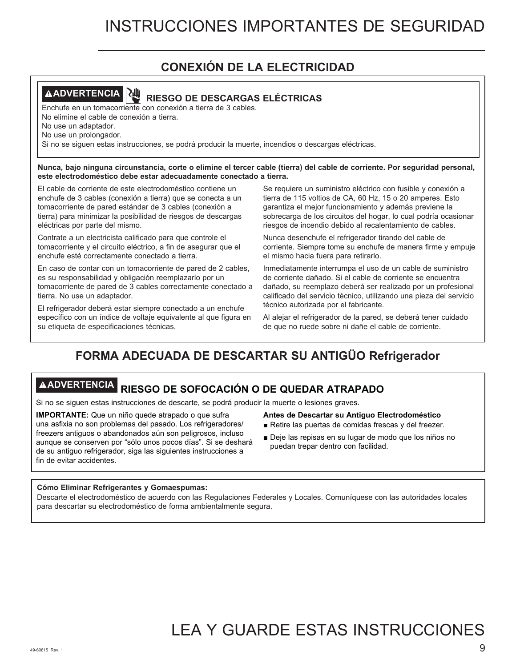## **CONEXIÓN DE LA ELECTRICIDAD**



## **ADVERTENCIA RIESGO DE DESCARGAS ELÉCTRICAS**

Enchufe en un tomacorriente con conexión a tierra de 3 cables. No elimine el cable de conexión a tierra.

No use un adaptador.

No use un prolongador.

Si no se siguen estas instrucciones, se podrá producir la muerte, incendios o descargas eléctricas.

**Nunca, bajo ninguna circunstancia, corte o elimine el tercer cable (tierra) del cable de corriente. Por seguridad personal, este electrodoméstico debe estar adecuadamente conectado a tierra.** 

El cable de corriente de este electrodoméstico contiene un enchufe de 3 cables (conexión a tierra) que se conecta a un tomacorriente de pared estándar de 3 cables (conexión a tierra) para minimizar la posibilidad de riesgos de descargas eléctricas por parte del mismo.

Contrate a un electricista calificado para que controle el tomacorriente y el circuito eléctrico, a fin de asegurar que el enchufe esté correctamente conectado a tierra.

En caso de contar con un tomacorriente de pared de 2 cables, es su responsabilidad y obligación reemplazarlo por un tomacorriente de pared de 3 cables correctamente conectado a tierra. No use un adaptador.

El refrigerador deberá estar siempre conectado a un enchufe específico con un índice de voltaje equivalente al que figura en su etiqueta de especificaciones técnicas.

Se requiere un suministro eléctrico con fusible y conexión a tierra de 115 voltios de CA, 60 Hz, 15 o 20 amperes. Esto garantiza el mejor funcionamiento y además previene la sobrecarga de los circuitos del hogar, lo cual podría ocasionar riesgos de incendio debido al recalentamiento de cables.

Nunca desenchufe el refrigerador tirando del cable de corriente. Siempre tome su enchufe de manera firme y empuje el mismo hacia fuera para retirarlo.

Inmediatamente interrumpa el uso de un cable de suministro de corriente dañado. Si el cable de corriente se encuentra dañado, su reemplazo deberá ser realizado por un profesional calificado del servicio técnico, utilizando una pieza del servicio técnico autorizada por el fabricante.

Al alejar el refrigerador de la pared, se deberá tener cuidado de que no ruede sobre ni dañe el cable de corriente.

## **FORMA ADECUADA DE DESCARTAR SU ANTIGÜO Refrigerador**

## **ADVERTENCIA RIESGO DE SOFOCACIÓN O DE QUEDAR ATRAPADO**

Si no se siguen estas instrucciones de descarte, se podrá producir la muerte o lesiones graves.

**IMPORTANTE:** Que un niño quede atrapado o que sufra una asfixia no son problemas del pasado. Los refrigeradores/ freezers antiguos o abandonados aún son peligrosos, incluso aunque se conserven por "sólo unos pocos días". Si se deshará de su antiguo refrigerador, siga las siguientes instrucciones a fin de evitar accidentes.

- **Antes de Descartar su Antiguo Electrodoméstico**
- Retire las puertas de comidas frescas y del freezer.
- Deje las repisas en su lugar de modo que los niños no puedan trepar dentro con facilidad.

#### **Cómo Eliminar Refrigerantes y Gomaespumas:**

Descarte el electrodoméstico de acuerdo con las Regulaciones Federales y Locales. Comuníquese con las autoridades locales para descartar su electrodoméstico de forma ambientalmente segura.

## LEA Y GUARDE ESTAS INSTRUCCIONES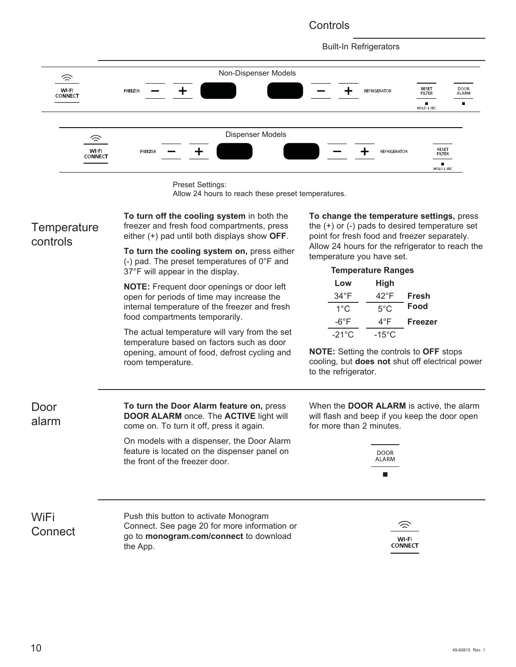#### **Controls**



Preset Settings:

Allow 24 hours to reach these preset temperatures.

| Temperature<br>controls | To turn off the cooling system in both the<br>freezer and fresh food compartments, press<br>either (+) pad until both displays show OFF.     | To change the temperature settings, press<br>the $(+)$ or $(-)$ pads to desired temperature set<br>point for fresh food and freezer separately.<br>Allow 24 hours for the refrigerator to reach the<br>temperature you have set. |  |  |  |  |
|-------------------------|----------------------------------------------------------------------------------------------------------------------------------------------|----------------------------------------------------------------------------------------------------------------------------------------------------------------------------------------------------------------------------------|--|--|--|--|
|                         | To turn the cooling system on, press either<br>(-) pad. The preset temperatures of $0^{\circ}$ F and                                         |                                                                                                                                                                                                                                  |  |  |  |  |
|                         | 37°F will appear in the display.                                                                                                             | <b>Temperature Ranges</b>                                                                                                                                                                                                        |  |  |  |  |
|                         | <b>NOTE:</b> Frequent door openings or door left                                                                                             | Low<br>High                                                                                                                                                                                                                      |  |  |  |  |
|                         | open for periods of time may increase the                                                                                                    | 42°F<br>$34^{\circ}F$<br>Fresh                                                                                                                                                                                                   |  |  |  |  |
|                         | internal temperature of the freezer and fresh<br>food compartments temporarily.                                                              | Food<br>$5^{\circ}$ C<br>$1^{\circ}$ C                                                                                                                                                                                           |  |  |  |  |
|                         |                                                                                                                                              | $-6^{\circ}F$<br>$4^{\circ}F$<br><b>Freezer</b>                                                                                                                                                                                  |  |  |  |  |
|                         | The actual temperature will vary from the set<br>temperature based on factors such as door                                                   | $-15^{\circ}$ C<br>$-21^{\circ}$ C                                                                                                                                                                                               |  |  |  |  |
|                         | opening, amount of food, defrost cycling and<br>room temperature.                                                                            | <b>NOTE:</b> Setting the controls to OFF stops<br>cooling, but does not shut off electrical power<br>to the refrigerator.                                                                                                        |  |  |  |  |
| Door<br>alarm           | To turn the Door Alarm feature on, press<br><b>DOOR ALARM</b> once. The <b>ACTIVE</b> light will<br>come on. To turn it off, press it again. | When the <b>DOOR ALARM</b> is active, the alarm<br>will flash and beep if you keep the door open<br>for more than 2 minutes.                                                                                                     |  |  |  |  |
|                         | On models with a dispenser, the Door Alarm<br>feature is located on the dispenser panel on<br>the front of the freezer door.                 | <b>DOOR</b><br>ALARM<br>п                                                                                                                                                                                                        |  |  |  |  |
| WiFi<br>Connect         | Push this button to activate Monogram<br>Connect. See page 20 for more information or<br>go to monogram.com/connect to download<br>the App.  | WI-FI<br>CONNECT                                                                                                                                                                                                                 |  |  |  |  |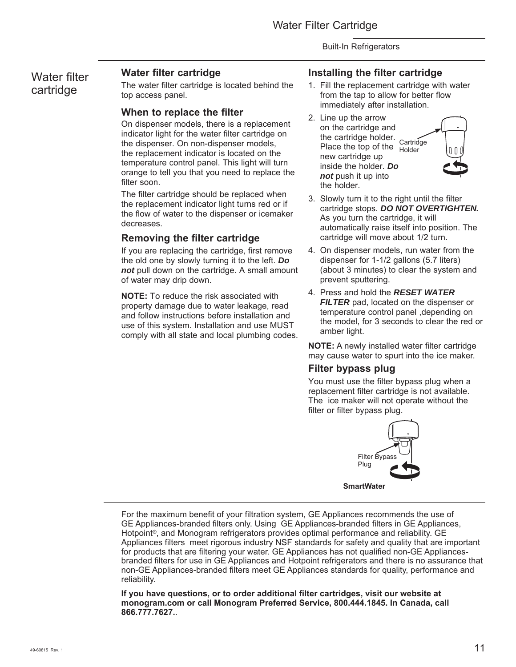### Water filter cartridge

#### **Water filter cartridge**

The water filter cartridge is located behind the top access panel.

#### **When to replace the filter**

On dispenser models, there is a replacement indicator light for the water filter cartridge on the dispenser. On non-dispenser models, the replacement indicator is located on the temperature control panel. This light will turn orange to tell you that you need to replace the filter soon.

The filter cartridge should be replaced when the replacement indicator light turns red or if the flow of water to the dispenser or icemaker decreases.

#### **Removing the filter cartridge**

If you are replacing the cartridge, first remove the old one by slowly turning it to the left. *Do not* pull down on the cartridge. A small amount of water may drip down.

**NOTE:** To reduce the risk associated with property damage due to water leakage, read and follow instructions before installation and use of this system. Installation and use MUST comply with all state and local plumbing codes.

#### **Installing the filter cartridge**

- 1. Fill the replacement cartridge with water from the tap to allow for better flow immediately after installation.
- 2. Line up the arrow on the cartridge and the cartridge holder. Cartridge Place the top of the Holder new cartridge up inside the holder. *Do not* push it up into the holder.



- 3. Slowly turn it to the right until the filter cartridge stops. *DO NOT OVERTIGHTEN.* As you turn the cartridge, it will automatically raise itself into position. The cartridge will move about 1/2 turn.
- 4. On dispenser models, run water from the dispenser for 1-1/2 gallons (5.7 liters) (about 3 minutes) to clear the system and prevent sputtering.
- 4. Press and hold the *RESET WATER FILTER* pad, located on the dispenser or temperature control panel ,depending on the model, for 3 seconds to clear the red or amber light.

**NOTE:** A newly installed water filter cartridge may cause water to spurt into the ice maker.

#### **Filter bypass plug**

You must use the filter bypass plug when a replacement filter cartridge is not available. The ice maker will not operate without the filter or filter bypass plug.



For the maximum benefit of your filtration system, GE Appliances recommends the use of GE Appliances-branded filters only. Using GE Appliances-branded filters in GE Appliances, Hotpoint<sup>®</sup>, and Monogram refrigerators provides optimal performance and reliability. GE Appliances filters meet rigorous industry NSF standards for safety and quality that are important for products that are filtering your water. GE Appliances has not qualified non-GE Appliancesbranded filters for use in GE Appliances and Hotpoint refrigerators and there is no assurance that non-GE Appliances-branded filters meet GE Appliances standards for quality, performance and reliability.

If you have questions, or to order additional filter cartridges, visit our website at **monogram.com or call Monogram Preferred Service, 800.444.1845. In Canada, call 866.777.7627.**.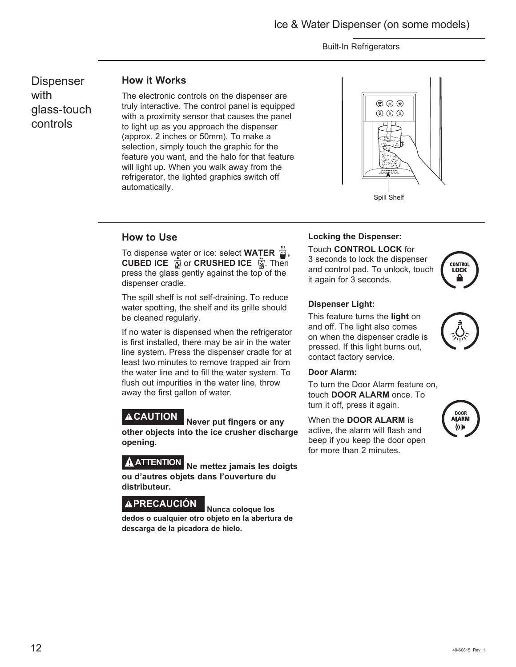**Dispenser** with glass-touch controls

#### **How it Works**

The electronic controls on the dispenser are truly interactive. The control panel is equipped with a proximity sensor that causes the panel to light up as you approach the dispenser (approx. 2 inches or 50mm). To make a selection, simply touch the graphic for the feature you want, and the halo for that feature will light up. When you walk away from the refrigerator, the lighted graphics switch off automatically.



#### **How to Use**

To dispense water or ice: select **WATER**  $\dddot{=}$ , **CUBED ICE A** or **CRUSHED ICE A** Then press the glass gently against the top of the dispenser cradle.

The spill shelf is not self-draining. To reduce water spotting, the shelf and its grille should be cleaned regularly.

If no water is dispensed when the refrigerator is first installed, there may be air in the water line system. Press the dispenser cradle for at least two minutes to remove trapped air from the water line and to fill the water system. To flush out impurities in the water line, throw away the first gallon of water.

**CAUTION Never put fingers or any other objects into the ice crusher discharge opening.**

**ATTENTION Ne mettez jamais les doigts ou d'autres objets dans l'ouverture du distributeur.**

## **PRECAUCIÓN Nunca coloque los**

**dedos o cualquier otro objeto en la abertura de descarga de la picadora de hielo.**

#### **Locking the Dispenser:**

Touch **CONTROL LOCK** for

3 seconds to lock the dispenser and control pad. To unlock, touch it again for 3 seconds.



#### **Dispenser Light:**

This feature turns the **light** on and off. The light also comes on when the dispenser cradle is pressed. If this light burns out, contact factory service.

#### **Door Alarm:**

To turn the Door Alarm feature on, touch **DOOR ALARM** once. To turn it off, press it again.

When the **DOOR ALARM** is active, the alarm will flash and beep if you keep the door open for more than 2 minutes.

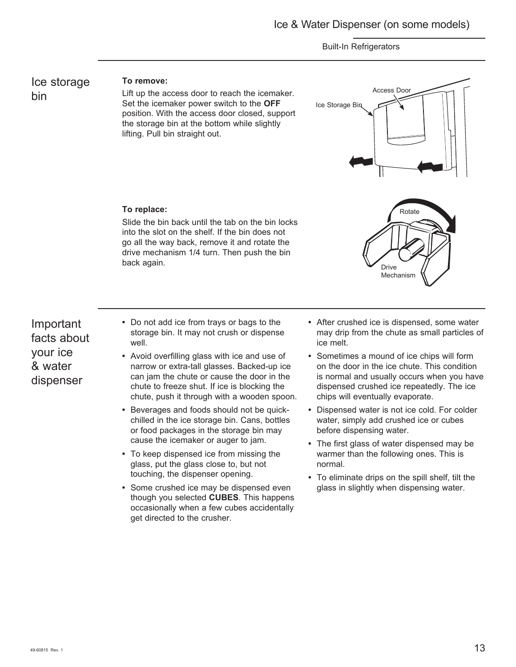Ice storage bin

#### **To remove:**

**To replace:** 

back again.

Lift up the access door to reach the icemaker. Set the icemaker power switch to the **OFF** position. With the access door closed, support the storage bin at the bottom while slightly lifting. Pull bin straight out.

Slide the bin back until the tab on the bin locks into the slot on the shelf. If the bin does not go all the way back, remove it and rotate the drive mechanism 1/4 turn. Then push the bin



### Important facts about your ice & water dispenser

- **•** Do not add ice from trays or bags to the storage bin. It may not crush or dispense well.
- **•** Avoid overfilling glass with ice and use of narrow or extra-tall glasses. Backed-up ice can jam the chute or cause the door in the chute to freeze shut. If ice is blocking the chute, push it through with a wooden spoon.
- **•** Beverages and foods should not be quickchilled in the ice storage bin. Cans, bottles or food packages in the storage bin may cause the icemaker or auger to jam.
- **•** To keep dispensed ice from missing the glass, put the glass close to, but not touching, the dispenser opening.
- **•** Some crushed ice may be dispensed even though you selected **CUBES**. This happens occasionally when a few cubes accidentally get directed to the crusher.

**•** After crushed ice is dispensed, some water may drip from the chute as small particles of ice melt.

Mechanism

- **•** Sometimes a mound of ice chips will form on the door in the ice chute. This condition is normal and usually occurs when you have dispensed crushed ice repeatedly. The ice chips will eventually evaporate.
- **•** Dispensed water is not ice cold. For colder water, simply add crushed ice or cubes before dispensing water.
- **•** The first glass of water dispensed may be warmer than the following ones. This is normal.
- **•** To eliminate drips on the spill shelf, tilt the glass in slightly when dispensing water.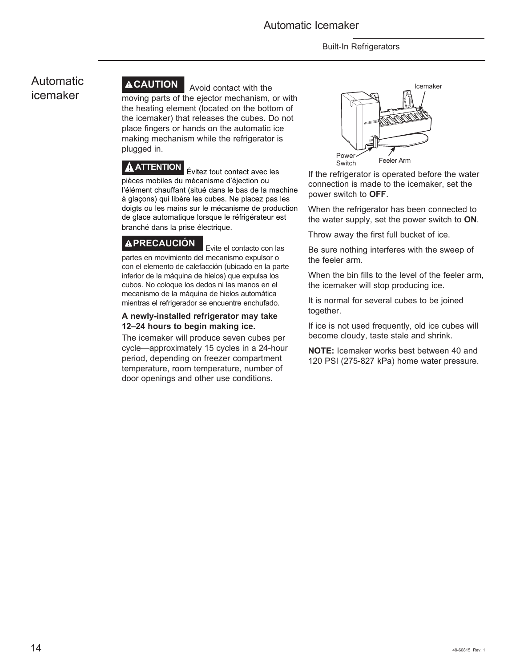### Automatic icemaker



**ACAUTION** Avoid contact with the moving parts of the ejector mechanism, or with the heating element (located on the bottom of the icemaker) that releases the cubes. Do not place fingers or hands on the automatic ice making mechanism while the refrigerator is plugged in.

**A ATTENTION** Evitez tout contact avec les pièces mobiles du mécanisme d'éjection ou l'élément chauffant (situé dans le bas de la machine à glaçons) qui libère les cubes. Ne placez pas les doigts ou les mains sur le mécanisme de production de glace automatique lorsque le réfrigérateur est branché dans la prise électrique.

**PRECAUCIÓN** Evite el contacto con las partes en movimiento del mecanismo expulsor o con el elemento de calefacción (ubicado en la parte inferior de la máquina de hielos) que expulsa los cubos. No coloque los dedos ni las manos en el mecanismo de la máquina de hielos automática mientras el refrigerador se encuentre enchufado.

#### **A newly-installed refrigerator may take 12–24 hours to begin making ice.**

The icemaker will produce seven cubes per cycle—approximately 15 cycles in a 24-hour period, depending on freezer compartment temperature, room temperature, number of door openings and other use conditions.



If the refrigerator is operated before the water connection is made to the icemaker, set the power switch to **OFF**.

When the refrigerator has been connected to the water supply, set the power switch to **ON**.

Throw away the first full bucket of ice.

Be sure nothing interferes with the sweep of the feeler arm.

When the bin fills to the level of the feeler arm, the icemaker will stop producing ice.

It is normal for several cubes to be joined together.

If ice is not used frequently, old ice cubes will become cloudy, taste stale and shrink.

**NOTE:** Icemaker works best between 40 and 120 PSI (275-827 kPa) home water pressure.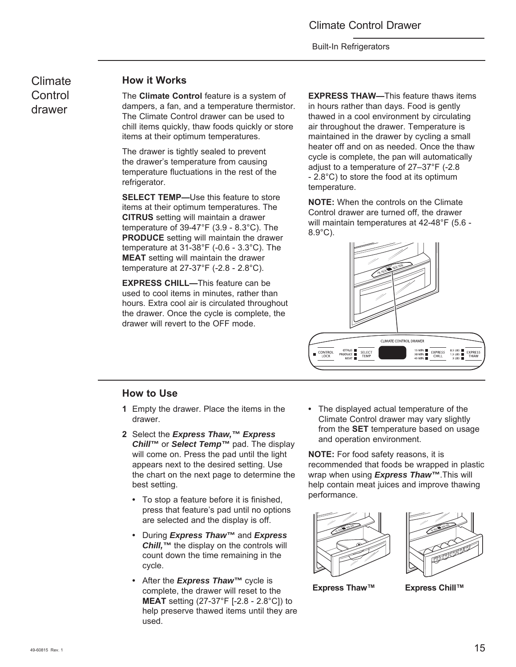Climate **Control** drawer

#### **How it Works**

The **Climate Control** feature is a system of dampers, a fan, and a temperature thermistor. The Climate Control drawer can be used to chill items quickly, thaw foods quickly or store items at their optimum temperatures.

The drawer is tightly sealed to prevent the drawer's temperature from causing temperature fluctuations in the rest of the refrigerator.

**SELECT TEMP-Use this feature to store** items at their optimum temperatures. The **CITRUS** setting will maintain a drawer temperature of 39-47°F (3.9 - 8.3°C). The **PRODUCE** setting will maintain the drawer temperature at 31-38°F (-0.6 - 3.3°C). The **MEAT** setting will maintain the drawer temperature at 27-37°F (-2.8 - 2.8°C).

**EXPRESS CHILL—**This feature can be used to cool items in minutes, rather than hours. Extra cool air is circulated throughout the drawer. Once the cycle is complete, the drawer will revert to the OFF mode.

**EXPRESS THAW—**This feature thaws items in hours rather than days. Food is gently thawed in a cool environment by circulating air throughout the drawer. Temperature is maintained in the drawer by cycling a small heater off and on as needed. Once the thaw cycle is complete, the pan will automatically adjust to a temperature of 27–37°F (-2.8 - 2.8°C) to store the food at its optimum temperature.

**NOTE:** When the controls on the Climate Control drawer are turned off, the drawer will maintain temperatures at 42-48°F (5.6 - 8.9°C).



#### **How to Use**

- **1** Empty the drawer. Place the items in the drawer.
- **2** Select the *Express Thaw,™ Express Chill™* or *Select Temp™* pad. The display will come on. Press the pad until the light appears next to the desired setting. Use the chart on the next page to determine the best setting.
	- To stop a feature before it is finished, press that feature's pad until no options are selected and the display is off.
	- During *Express Thaw™* and *Express Chill,™* the display on the controls will count down the time remaining in the cycle.
	- After the *Express Thaw™* cycle is complete, the drawer will reset to the **MEAT** setting (27-37°F [-2.8 - 2.8°C]) to help preserve thawed items until they are used.

**•** The displayed actual temperature of the Climate Control drawer may vary slightly from the **SET** temperature based on usage and operation environment.

**NOTE:** For food safety reasons, it is recommended that foods be wrapped in plastic wrap when using *Express Thaw™*.This will help contain meat juices and improve thawing performance.





**Express Thaw™ Express Chill™**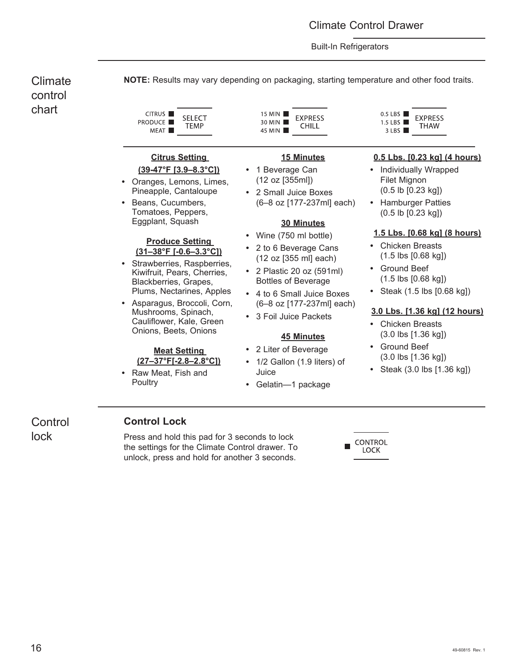Climate **NOTE:** Results may vary depending on packaging, starting temperature and other food traits. control chart CITRUS<sup>I</sup> 15 MIN  $0.5$  LBS **SELECT EXPRESS EXPRESS PRODUCE** 30 MIN 1.5 LBS  $\blacksquare$ CHILL **TEMP** THAW 45 MIN  $3$  LBS MEAT<sup>I</sup> **0.5 Lbs. [0.23 kg] (4 hours) Citrus Setting 15 Minutes (39-47°F [3.9–8.3°C]) •** 1 Beverage Can **•** Individually Wrapped (12 oz [355ml]) Filet Mignon **•** Oranges, Lemons, Limes, Pineapple, Cantaloupe (0.5 lb [0.23 kg]) **•** 2 Small Juice Boxes **•** Beans, Cucumbers, (6-8 oz [177-237ml] each) **•** Hamburger Patties Tomatoes, Peppers, (0.5 lb [0.23 kg]) Eggplant, Squash **30 Minutes 1.5 Lbs. [0.68 kg] (8 hours) •** Wine (750 ml bottle) **Produce Setting •** Chicken Breasts **•** 2 to 6 Beverage Cans **(31–38°F [-0.6–3.3°C])** (1.5 lbs [0.68 kg]) (12 oz [355 ml] each) **•** Strawberries, Raspberries, **•** Ground Beef • 2 Plastic 20 oz (591ml) Kiwifruit, Pears, Cherries, (1.5 lbs [0.68 kg]) Bottles of Beverage Blackberries, Grapes, Plums, Nectarines, Apples **•** Steak (1.5 lbs [0.68 kg]) **•** 4 to 6 Small Juice Boxes **•** Asparagus, Broccoli, Corn, (6–8 oz [177-237ml] each) Mushrooms, Spinach, **3.0 Lbs. [1.36 kg] (12 hours) •** 3 Foil Juice Packets Cauliflower, Kale, Green **•** Chicken Breasts Onions, Beets, Onions (3.0 lbs [1.36 kg]) **45 Minutes •** Ground Beef **•** 2 Liter of Beverage **Meat Setting**  (3.0 lbs [1.36 kg]) **(27–37°F[-2.8–2.8°C]) •** 1/2 Gallon (1.9 liters) of **•** Steak (3.0 lbs [1.36 kg]) **•** Raw Meat, Fish and Juice **Poultry •** Gelatin—1 package

**Control** lock

#### **Control Lock**

Press and hold this pad for 3 seconds to lock the settings for the Climate Control drawer. To unlock, press and hold for another 3 seconds.

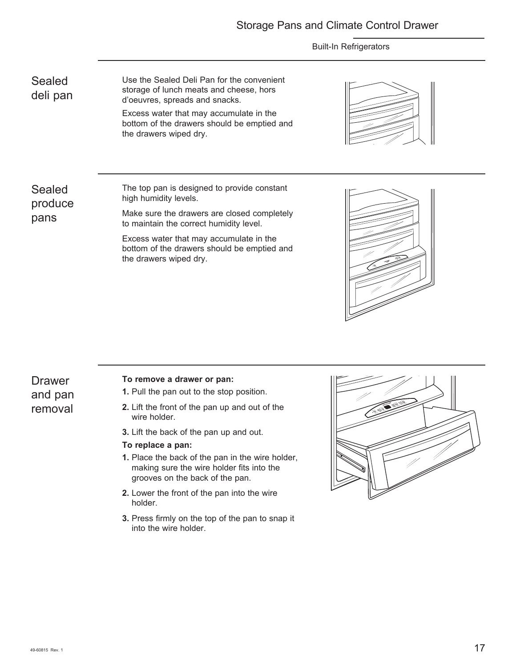#### Storage Pans and Climate Control Drawer

#### Built-In Refrigerators

Sealed deli pan Use the Sealed Deli Pan for the convenient storage of lunch meats and cheese, hors d'oeuvres, spreads and snacks. Excess water that may accumulate in the

bottom of the drawers should be emptied and the drawers wiped dry.



Sealed produce pans

The top pan is designed to provide constant high humidity levels.

Make sure the drawers are closed completely to maintain the correct humidity level.

Excess water that may accumulate in the bottom of the drawers should be emptied and the drawers wiped dry.



**Drawer** and pan removal

#### **To remove a drawer or pan:**

- **1.** Pull the pan out to the stop position.
- **2.** Lift the front of the pan up and out of the wire holder.
- **3.** Lift the back of the pan up and out.

#### **To replace a pan:**

- **1.** Place the back of the pan in the wire holder, making sure the wire holder fits into the grooves on the back of the pan.
- **2.** Lower the front of the pan into the wire holder.
- **3.** Press firmly on the top of the pan to snap it into the wire holder.

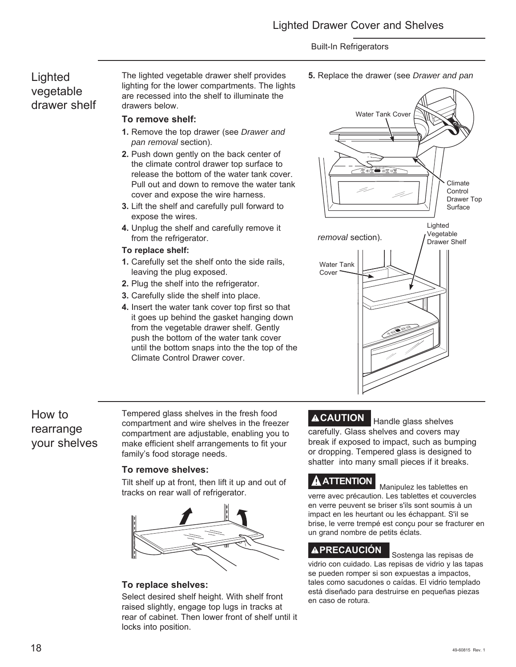### **Lighted** vegetable drawer shelf

The lighted vegetable drawer shelf provides lighting for the lower compartments. The lights are recessed into the shelf to illuminate the drawers below.

#### **To remove shelf:**

- **1.** Remove the top drawer (see *Drawer and pan removal* section).
- **2.** Push down gently on the back center of the climate control drawer top surface to release the bottom of the water tank cover. Pull out and down to remove the water tank cover and expose the wire harness.
- **3.** Lift the shelf and carefully pull forward to expose the wires.
- **4.** Unplug the shelf and carefully remove it from the refrigerator.

#### **To replace shelf:**

- **1.** Carefully set the shelf onto the side rails, leaving the plug exposed.
- **2.** Plug the shelf into the refrigerator.
- **3.** Carefully slide the shelf into place.
- **4.** Insert the water tank cover top first so that it goes up behind the gasket hanging down from the vegetable drawer shelf. Gently push the bottom of the water tank cover until the bottom snaps into the the top of the Climate Control Drawer cover.



### How to rearrange your shelves

Tempered glass shelves in the fresh food compartment and wire shelves in the freezer compartment are adjustable, enabling you to make efficient shelf arrangements to fit your family's food storage needs.

#### **To remove shelves:**

Tilt shelf up at front, then lift it up and out of tracks on rear wall of refrigerator.



#### **To replace shelves:**

Select desired shelf height. With shelf front raised slightly, engage top lugs in tracks at rear of cabinet. Then lower front of shelf until it locks into position.

**ACAUTION** Handle glass shelves carefully. Glass shelves and covers may break if exposed to impact, such as bumping or dropping. Tempered glass is designed to shatter into many small pieces if it breaks.

## **ATTENTION** Manipulez les tablettes en

verre avec précaution. Les tablettes et couvercles en verre peuvent se briser s'ils sont soumis à un impact en les heurtant ou les échappant. S'il se brise, le verre trempé est conçu pour se fracturer en un grand nombre de petits éclats.

### **PRECAUCIÓN** Sostenga las repisas de

vidrio con cuidado. Las repisas de vidrio y las tapas se pueden romper si son expuestas a impactos, tales como sacudones o caídas. El vidrio templado está diseñado para destruirse en pequeñas piezas en caso de rotura.

**5.** Replace the drawer (see *Drawer and pan*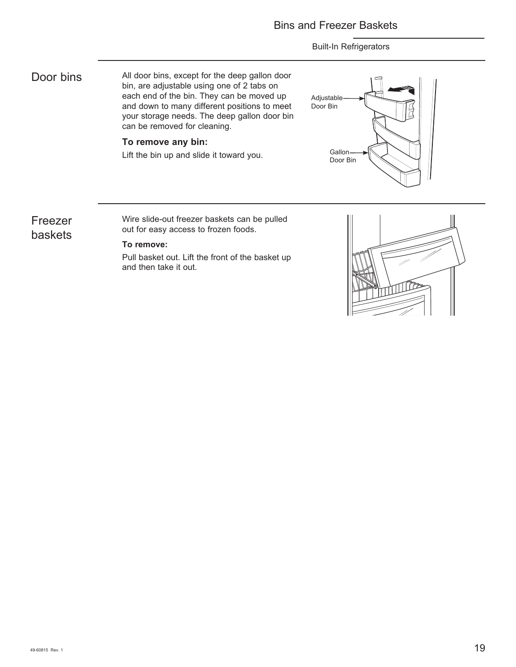All door bins, except for the deep gallon door bin, are adjustable using one of 2 tabs on each end of the bin. They can be moved up and down to many different positions to meet your storage needs. The deep gallon door bin can be removed for cleaning. Door bins

#### **To remove any bin:**

Lift the bin up and slide it toward you.



### Freezer baskets

Wire slide-out freezer baskets can be pulled out for easy access to frozen foods.

#### **To remove:**

Pull basket out. Lift the front of the basket up and then take it out.

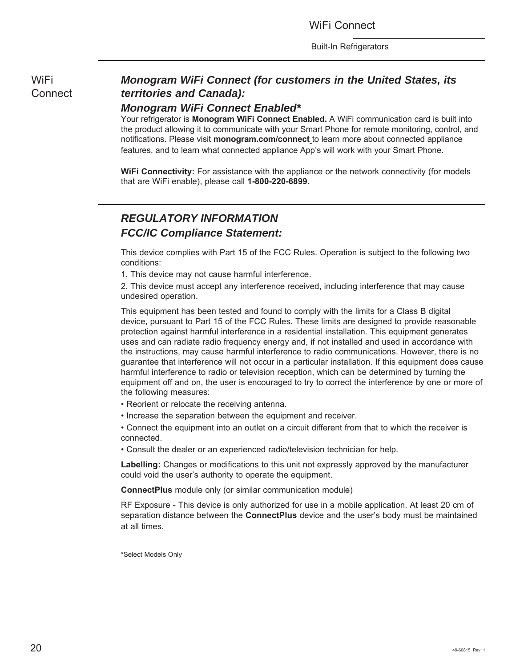WiFi **Connect** 

### *Monogram WiFi Connect (for customers in the United States, its territories and Canada):*

#### *Monogram WiFi Connect Enabled\**

Your refrigerator is **Monogram WiFi Connect Enabled.** A WiFi communication card is built into the product allowing it to communicate with your Smart Phone for remote monitoring, control, and notifications. Please visit **monogram.com/connect** to learn more about connected appliance features, and to learn what connected appliance App's will work with your Smart Phone.

**WiFi Connectivity:** For assistance with the appliance or the network connectivity (for models that are WiFi enable), please call **1-800-220-6899.**

### *REGULATORY INFORMATION FCC/IC Compliance Statement:*

This device complies with Part 15 of the FCC Rules. Operation is subject to the following two conditions:

1. This device may not cause harmful interference.

2. This device must accept any interference received, including interference that may cause undesired operation.

This equipment has been tested and found to comply with the limits for a Class B digital device, pursuant to Part 15 of the FCC Rules. These limits are designed to provide reasonable protection against harmful interference in a residential installation. This equipment generates uses and can radiate radio frequency energy and, if not installed and used in accordance with the instructions, may cause harmful interference to radio communications. However, there is no guarantee that interference will not occur in a particular installation. If this equipment does cause harmful interference to radio or television reception, which can be determined by turning the equipment off and on, the user is encouraged to try to correct the interference by one or more of the following measures:

- Reorient or relocate the receiving antenna.
- Increase the separation between the equipment and receiver.

• Connect the equipment into an outlet on a circuit different from that to which the receiver is connected.

• Consult the dealer or an experienced radio/television technician for help.

**Labelling:** Changes or modifications to this unit not expressly approved by the manufacturer could void the user's authority to operate the equipment.

**ConnectPlus** module only (or similar communication module)

RF Exposure - This device is only authorized for use in a mobile application. At least 20 cm of separation distance between the **ConnectPlus** device and the user's body must be maintained at all times.

\*Select Models Only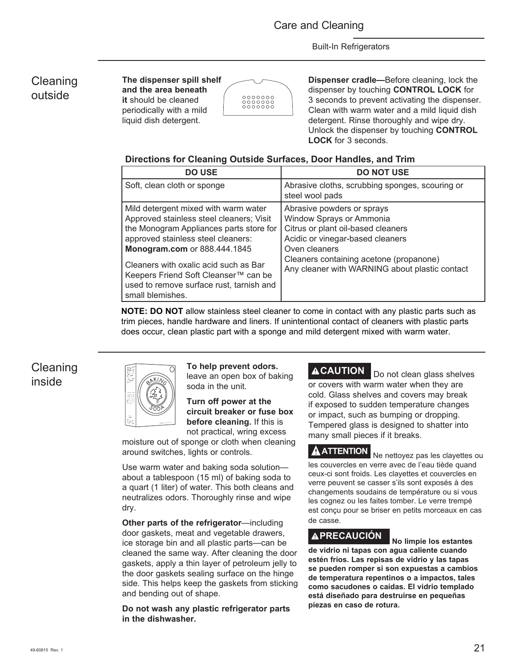### Cleaning outside

**The dispenser spill shelf and the area beneath it** should be cleaned periodically with a mild liquid dish detergent.



**Dispenser cradle—**Before cleaning, lock the dispenser by touching **CONTROL LOCK** for 3 seconds to prevent activating the dispenser. Clean with warm water and a mild liquid dish detergent. Rinse thoroughly and wipe dry. Unlock the dispenser by touching **CONTROL LOCK** for 3 seconds.

#### **Directions for Cleaning Outside Surfaces, Door Handles, and Trim**

| <b>DO USE</b>                                                                                                                                                                                     | <b>DO NOT USE</b>                                                                                                                                 |
|---------------------------------------------------------------------------------------------------------------------------------------------------------------------------------------------------|---------------------------------------------------------------------------------------------------------------------------------------------------|
| Soft, clean cloth or sponge                                                                                                                                                                       | Abrasive cloths, scrubbing sponges, scouring or<br>steel wool pads                                                                                |
| Mild detergent mixed with warm water<br>Approved stainless steel cleaners; Visit<br>the Monogram Appliances parts store for<br>approved stainless steel cleaners:<br>Monogram.com or 888.444.1845 | Abrasive powders or sprays<br>Window Sprays or Ammonia<br>Citrus or plant oil-based cleaners<br>Acidic or vinegar-based cleaners<br>Oven cleaners |
| Cleaners with oxalic acid such as Bar<br>Keepers Friend Soft Cleanser™ can be<br>used to remove surface rust, tarnish and<br>small blemishes.                                                     | Cleaners containing acetone (propanone)<br>Any cleaner with WARNING about plastic contact                                                         |

**NOTE: DO NOT** allow stainless steel cleaner to come in contact with any plastic parts such as trim pieces, handle hardware and liners. If unintentional contact of cleaners with plastic parts does occur, clean plastic part with a sponge and mild detergent mixed with warm water.

Cleaning inside



**To help prevent odors.**  leave an open box of baking soda in the unit.

**Turn off power at the circuit breaker or fuse box before cleaning.** If this is

not practical, wring excess moisture out of sponge or cloth when cleaning around switches, lights or controls.

Use warm water and baking soda solution about a tablespoon (15 ml) of baking soda to a quart (1 liter) of water. This both cleans and neutralizes odors. Thoroughly rinse and wipe dry.

**Other parts of the refrigerator**—including door gaskets, meat and vegetable drawers, ice storage bin and all plastic parts—can be cleaned the same way. After cleaning the door gaskets, apply a thin layer of petroleum jelly to the door gaskets sealing surface on the hinge side. This helps keep the gaskets from sticking and bending out of shape.

**Do not wash any plastic refrigerator parts in the dishwasher.**

**ACAUTION** Do not clean glass shelves or covers with warm water when they are cold. Glass shelves and covers may break if exposed to sudden temperature changes or impact, such as bumping or dropping. Tempered glass is designed to shatter into many small pieces if it breaks.

**A ATTENTION** Ne nettoyez pas les clayettes ou les couvercles en verre avec de l'eau tiède quand ceux-ci sont froids. Les clayettes et couvercles en verre peuvent se casser s'ils sont exposés à des changements soudains de température ou si vous les cognez ou les faites tomber. Le verre trempé est conçu pour se briser en petits morceaux en cas de casse.

## **PRECAUCIÓN No limpie los estantes**

**de vidrio ni tapas con agua caliente cuando estén fríos. Las repisas de vidrio y las tapas se pueden romper si son expuestas a cambios de temperatura repentinos o a impactos, tales como sacudones o caídas. El vidrio templado está diseñado para destruirse en pequeñas piezas en caso de rotura.**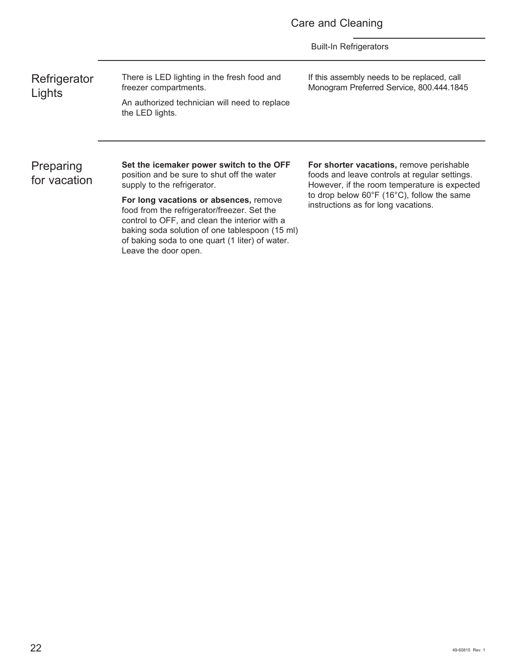|  |  |  | Care and Cleaning |
|--|--|--|-------------------|
|--|--|--|-------------------|

**Refrigerator Lights** 

There is LED lighting in the fresh food and freezer compartments. An authorized technician will need to replace the LED lights.

If this assembly needs to be replaced, call Monogram Preferred Service, 800.444.1845

Preparing for vacation **Set the icemaker power switch to the OFF** position and be sure to shut off the water supply to the refrigerator.

**For long vacations or absences,** remove food from the refrigerator/freezer. Set the control to OFF, and clean the interior with a baking soda solution of one tablespoon (15 ml) of baking soda to one quart (1 liter) of water. Leave the door open.

**For shorter vacations,** remove perishable foods and leave controls at regular settings. However, if the room temperature is expected to drop below 60°F (16°C), follow the same instructions as for long vacations.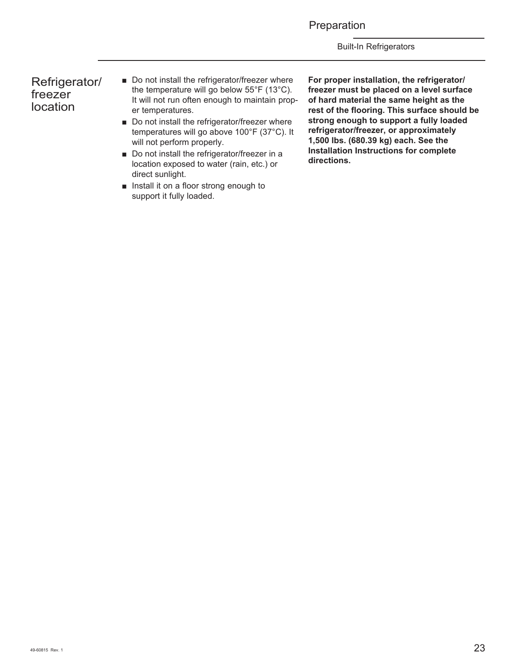Preparation

Built-In Refrigerators

#### Refrigerator/ freezer location

- Do not install the refrigerator/freezer where the temperature will go below 55°F (13°C). It will not run often enough to maintain proper temperatures.
- Do not install the refrigerator/freezer where temperatures will go above 100°F (37°C). It will not perform properly.
- Do not install the refrigerator/freezer in a location exposed to water (rain, etc.) or direct sunlight.
- $\blacksquare$  Install it on a floor strong enough to support it fully loaded.

**For proper installation, the refrigerator/ freezer must be placed on a level surface of hard material the same height as the rest of the flooring. This surface should be strong enough to support a fully loaded refrigerator/freezer, or approximately 1,500 lbs. (680.39 kg) each. See the Installation Instructions for complete directions.**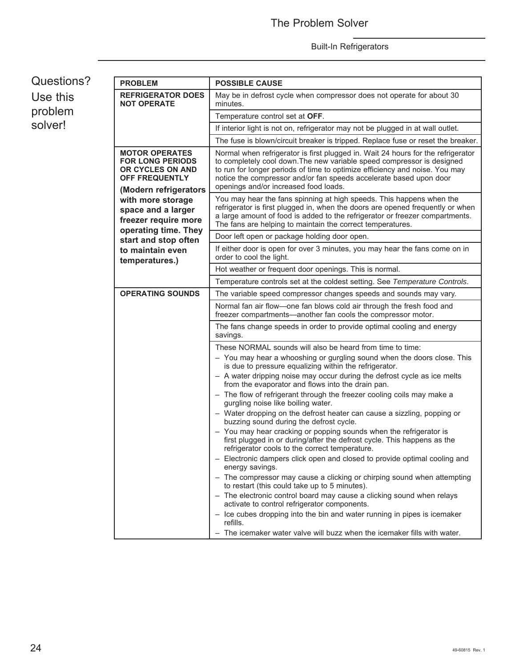| Questions? | <b>PROBLEM</b>                                                                                                                                                                            | <b>POSSIBLE CAUSE</b>                                                                                                                                                                                                                                                                                                                                    |  |  |  |
|------------|-------------------------------------------------------------------------------------------------------------------------------------------------------------------------------------------|----------------------------------------------------------------------------------------------------------------------------------------------------------------------------------------------------------------------------------------------------------------------------------------------------------------------------------------------------------|--|--|--|
| Use this   | <b>REFRIGERATOR DOES</b><br><b>NOT OPERATE</b>                                                                                                                                            | May be in defrost cycle when compressor does not operate for about 30<br>minutes.                                                                                                                                                                                                                                                                        |  |  |  |
| problem    |                                                                                                                                                                                           | Temperature control set at OFF.                                                                                                                                                                                                                                                                                                                          |  |  |  |
| solver!    |                                                                                                                                                                                           | If interior light is not on, refrigerator may not be plugged in at wall outlet.                                                                                                                                                                                                                                                                          |  |  |  |
|            |                                                                                                                                                                                           | The fuse is blown/circuit breaker is tripped. Replace fuse or reset the breaker.                                                                                                                                                                                                                                                                         |  |  |  |
|            | <b>MOTOR OPERATES</b><br><b>FOR LONG PERIODS</b><br>OR CYCLES ON AND<br><b>OFF FREQUENTLY</b><br>(Modern refrigerators<br>with more storage<br>space and a larger<br>freezer require more | Normal when refrigerator is first plugged in. Wait 24 hours for the refrigerator<br>to completely cool down. The new variable speed compressor is designed<br>to run for longer periods of time to optimize efficiency and noise. You may<br>notice the compressor and/or fan speeds accelerate based upon door<br>openings and/or increased food loads. |  |  |  |
|            |                                                                                                                                                                                           | You may hear the fans spinning at high speeds. This happens when the<br>refrigerator is first plugged in, when the doors are opened frequently or when<br>a large amount of food is added to the refrigerator or freezer compartments.<br>The fans are helping to maintain the correct temperatures.                                                     |  |  |  |
|            | operating time. They<br>start and stop often                                                                                                                                              | Door left open or package holding door open.                                                                                                                                                                                                                                                                                                             |  |  |  |
|            | to maintain even<br>temperatures.)                                                                                                                                                        | If either door is open for over 3 minutes, you may hear the fans come on in<br>order to cool the light.                                                                                                                                                                                                                                                  |  |  |  |
|            |                                                                                                                                                                                           | Hot weather or frequent door openings. This is normal.                                                                                                                                                                                                                                                                                                   |  |  |  |
|            |                                                                                                                                                                                           | Temperature controls set at the coldest setting. See Temperature Controls.                                                                                                                                                                                                                                                                               |  |  |  |
|            | <b>OPERATING SOUNDS</b>                                                                                                                                                                   | The variable speed compressor changes speeds and sounds may vary.                                                                                                                                                                                                                                                                                        |  |  |  |
|            |                                                                                                                                                                                           | Normal fan air flow-one fan blows cold air through the fresh food and<br>freezer compartments—another fan cools the compressor motor.                                                                                                                                                                                                                    |  |  |  |
|            |                                                                                                                                                                                           | The fans change speeds in order to provide optimal cooling and energy<br>savings.                                                                                                                                                                                                                                                                        |  |  |  |
|            |                                                                                                                                                                                           | These NORMAL sounds will also be heard from time to time:                                                                                                                                                                                                                                                                                                |  |  |  |
|            |                                                                                                                                                                                           | - You may hear a whooshing or gurgling sound when the doors close. This<br>is due to pressure equalizing within the refrigerator.                                                                                                                                                                                                                        |  |  |  |
|            |                                                                                                                                                                                           | - A water dripping noise may occur during the defrost cycle as ice melts<br>from the evaporator and flows into the drain pan.                                                                                                                                                                                                                            |  |  |  |
|            |                                                                                                                                                                                           | - The flow of refrigerant through the freezer cooling coils may make a<br>gurgling noise like boiling water.                                                                                                                                                                                                                                             |  |  |  |
|            |                                                                                                                                                                                           | - Water dropping on the defrost heater can cause a sizzling, popping or<br>buzzing sound during the defrost cycle.                                                                                                                                                                                                                                       |  |  |  |
|            |                                                                                                                                                                                           | - You may hear cracking or popping sounds when the refrigerator is<br>first plugged in or during/after the defrost cycle. This happens as the<br>refrigerator cools to the correct temperature.                                                                                                                                                          |  |  |  |
|            |                                                                                                                                                                                           | - Electronic dampers click open and closed to provide optimal cooling and<br>energy savings.                                                                                                                                                                                                                                                             |  |  |  |
|            |                                                                                                                                                                                           | - The compressor may cause a clicking or chirping sound when attempting<br>to restart (this could take up to 5 minutes).                                                                                                                                                                                                                                 |  |  |  |
|            |                                                                                                                                                                                           | - The electronic control board may cause a clicking sound when relays<br>activate to control refrigerator components.                                                                                                                                                                                                                                    |  |  |  |
|            |                                                                                                                                                                                           | - Ice cubes dropping into the bin and water running in pipes is icemaker<br>refills.                                                                                                                                                                                                                                                                     |  |  |  |
|            |                                                                                                                                                                                           | - The icemaker water valve will buzz when the icemaker fills with water.                                                                                                                                                                                                                                                                                 |  |  |  |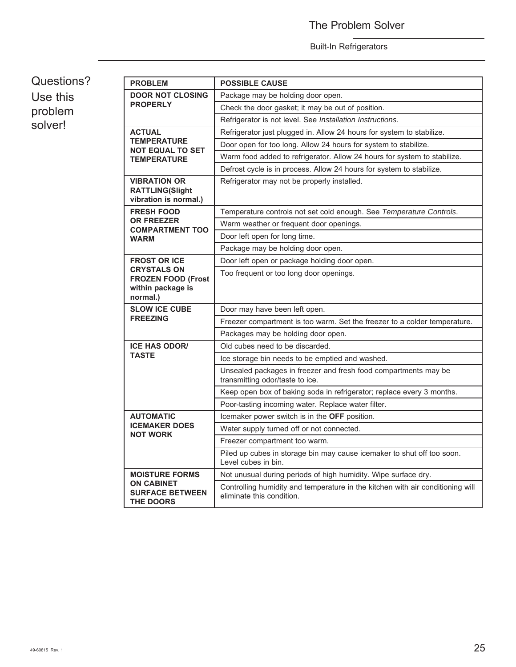### The Problem Solver

#### Built-In Refrigerators

### Questions? Use this problem solver!

| <b>PROBLEM</b>                                                         | <b>POSSIBLE CAUSE</b>                                                                                       |  |  |  |
|------------------------------------------------------------------------|-------------------------------------------------------------------------------------------------------------|--|--|--|
| <b>DOOR NOT CLOSING</b>                                                | Package may be holding door open.                                                                           |  |  |  |
| <b>PROPERLY</b>                                                        | Check the door gasket; it may be out of position.                                                           |  |  |  |
|                                                                        | Refrigerator is not level. See Installation Instructions.                                                   |  |  |  |
| <b>ACTUAL</b>                                                          | Refrigerator just plugged in. Allow 24 hours for system to stabilize.                                       |  |  |  |
| <b>TEMPERATURE</b><br><b>NOT EQUAL TO SET</b>                          | Door open for too long. Allow 24 hours for system to stabilize.                                             |  |  |  |
| <b>TEMPERATURE</b>                                                     | Warm food added to refrigerator. Allow 24 hours for system to stabilize.                                    |  |  |  |
|                                                                        | Defrost cycle is in process. Allow 24 hours for system to stabilize.                                        |  |  |  |
| <b>VIBRATION OR</b><br><b>RATTLING(Slight</b><br>vibration is normal.) | Refrigerator may not be properly installed.                                                                 |  |  |  |
| <b>FRESH FOOD</b>                                                      | Temperature controls not set cold enough. See Temperature Controls.                                         |  |  |  |
| <b>OR FREEZER</b><br><b>COMPARTMENT TOO</b>                            | Warm weather or frequent door openings.                                                                     |  |  |  |
| <b>WARM</b>                                                            | Door left open for long time.                                                                               |  |  |  |
|                                                                        | Package may be holding door open.                                                                           |  |  |  |
| <b>FROST OR ICE</b>                                                    | Door left open or package holding door open.                                                                |  |  |  |
| <b>CRYSTALS ON</b><br><b>FROZEN FOOD (Frost</b>                        | Too frequent or too long door openings.                                                                     |  |  |  |
| within package is<br>normal.)                                          |                                                                                                             |  |  |  |
| <b>SLOW ICE CUBE</b>                                                   | Door may have been left open.                                                                               |  |  |  |
| <b>FREEZING</b>                                                        | Freezer compartment is too warm. Set the freezer to a colder temperature.                                   |  |  |  |
|                                                                        | Packages may be holding door open.                                                                          |  |  |  |
| <b>ICE HAS ODOR/</b>                                                   | Old cubes need to be discarded.                                                                             |  |  |  |
| <b>TASTE</b>                                                           | Ice storage bin needs to be emptied and washed.                                                             |  |  |  |
|                                                                        | Unsealed packages in freezer and fresh food compartments may be<br>transmitting odor/taste to ice.          |  |  |  |
|                                                                        | Keep open box of baking soda in refrigerator; replace every 3 months.                                       |  |  |  |
|                                                                        | Poor-tasting incoming water. Replace water filter.                                                          |  |  |  |
| <b>AUTOMATIC</b>                                                       | Icemaker power switch is in the OFF position.                                                               |  |  |  |
| <b>ICEMAKER DOES</b>                                                   | Water supply turned off or not connected.                                                                   |  |  |  |
| <b>NOT WORK</b>                                                        | Freezer compartment too warm.                                                                               |  |  |  |
|                                                                        | Piled up cubes in storage bin may cause icemaker to shut off too soon.<br>Level cubes in bin.               |  |  |  |
| <b>MOISTURE FORMS</b>                                                  | Not unusual during periods of high humidity. Wipe surface dry.                                              |  |  |  |
| <b>ON CABINET</b><br><b>SURFACE BETWEEN</b><br><b>THE DOORS</b>        | Controlling humidity and temperature in the kitchen with air conditioning will<br>eliminate this condition. |  |  |  |
|                                                                        |                                                                                                             |  |  |  |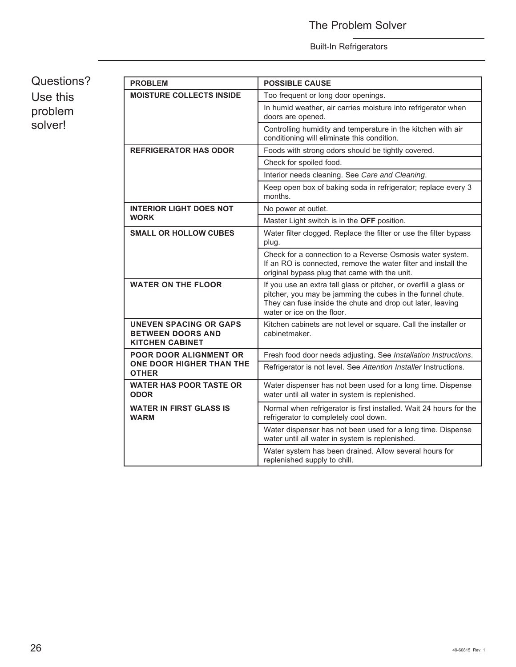### The Problem Solver

#### Built-In Refrigerators

Questions? Use this problem solver!

| <b>PROBLEM</b>                                                                      | <b>POSSIBLE CAUSE</b>                                                                                                                                                                                                       |  |  |  |
|-------------------------------------------------------------------------------------|-----------------------------------------------------------------------------------------------------------------------------------------------------------------------------------------------------------------------------|--|--|--|
| <b>MOISTURE COLLECTS INSIDE</b>                                                     | Too frequent or long door openings.                                                                                                                                                                                         |  |  |  |
|                                                                                     | In humid weather, air carries moisture into refrigerator when<br>doors are opened.                                                                                                                                          |  |  |  |
|                                                                                     | Controlling humidity and temperature in the kitchen with air<br>conditioning will eliminate this condition.                                                                                                                 |  |  |  |
| <b>REFRIGERATOR HAS ODOR</b>                                                        | Foods with strong odors should be tightly covered.                                                                                                                                                                          |  |  |  |
|                                                                                     | Check for spoiled food.                                                                                                                                                                                                     |  |  |  |
|                                                                                     | Interior needs cleaning. See Care and Cleaning.                                                                                                                                                                             |  |  |  |
|                                                                                     | Keep open box of baking soda in refrigerator; replace every 3<br>months.                                                                                                                                                    |  |  |  |
| <b>INTERIOR LIGHT DOES NOT</b>                                                      | No power at outlet.                                                                                                                                                                                                         |  |  |  |
| <b>WORK</b>                                                                         | Master Light switch is in the OFF position.                                                                                                                                                                                 |  |  |  |
| <b>SMALL OR HOLLOW CUBES</b>                                                        | Water filter clogged. Replace the filter or use the filter bypass<br>plug.                                                                                                                                                  |  |  |  |
|                                                                                     | Check for a connection to a Reverse Osmosis water system.<br>If an RO is connected, remove the water filter and install the<br>original bypass plug that came with the unit.                                                |  |  |  |
| <b>WATER ON THE FLOOR</b>                                                           | If you use an extra tall glass or pitcher, or overfill a glass or<br>pitcher, you may be jamming the cubes in the funnel chute.<br>They can fuse inside the chute and drop out later, leaving<br>water or ice on the floor. |  |  |  |
| <b>UNEVEN SPACING OR GAPS</b><br><b>BETWEEN DOORS AND</b><br><b>KITCHEN CABINET</b> | Kitchen cabinets are not level or square. Call the installer or<br>cabinetmaker.                                                                                                                                            |  |  |  |
| <b>POOR DOOR ALIGNMENT OR</b>                                                       | Fresh food door needs adjusting. See Installation Instructions.                                                                                                                                                             |  |  |  |
| ONE DOOR HIGHER THAN THE<br><b>OTHER</b>                                            | Refrigerator is not level. See Attention Installer Instructions.                                                                                                                                                            |  |  |  |
| <b>WATER HAS POOR TASTE OR</b><br><b>ODOR</b>                                       | Water dispenser has not been used for a long time. Dispense<br>water until all water in system is replenished.                                                                                                              |  |  |  |
| <b>WATER IN FIRST GLASS IS</b><br><b>WARM</b>                                       | Normal when refrigerator is first installed. Wait 24 hours for the<br>refrigerator to completely cool down.                                                                                                                 |  |  |  |
|                                                                                     | Water dispenser has not been used for a long time. Dispense<br>water until all water in system is replenished.                                                                                                              |  |  |  |
|                                                                                     | Water system has been drained. Allow several hours for<br>replenished supply to chill.                                                                                                                                      |  |  |  |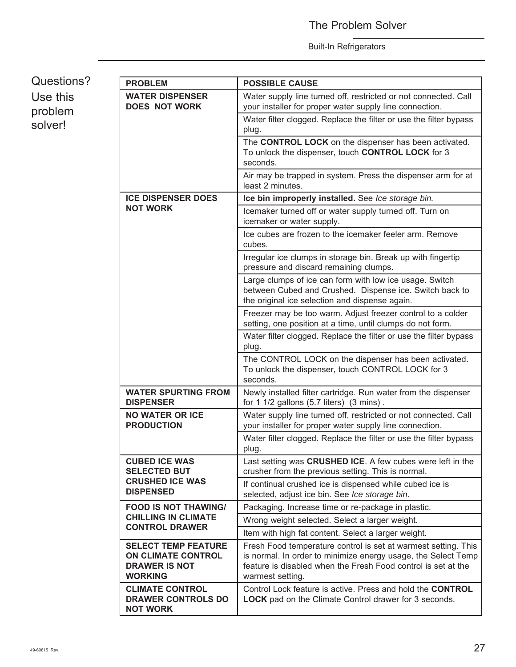Questions? Use this problem solver!

| <b>PROBLEM</b>                                                                                    | <b>POSSIBLE CAUSE</b>                                                                                                                                                                                                |
|---------------------------------------------------------------------------------------------------|----------------------------------------------------------------------------------------------------------------------------------------------------------------------------------------------------------------------|
| <b>WATER DISPENSER</b><br><b>DOES NOT WORK</b>                                                    | Water supply line turned off, restricted or not connected. Call<br>your installer for proper water supply line connection.                                                                                           |
|                                                                                                   | Water filter clogged. Replace the filter or use the filter bypass<br>plug.                                                                                                                                           |
|                                                                                                   | The CONTROL LOCK on the dispenser has been activated.<br>To unlock the dispenser, touch CONTROL LOCK for 3<br>seconds.                                                                                               |
|                                                                                                   | Air may be trapped in system. Press the dispenser arm for at<br>least 2 minutes.                                                                                                                                     |
| <b>ICE DISPENSER DOES</b>                                                                         | Ice bin improperly installed. See Ice storage bin.                                                                                                                                                                   |
| <b>NOT WORK</b>                                                                                   | Icemaker turned off or water supply turned off. Turn on<br>icemaker or water supply.                                                                                                                                 |
|                                                                                                   | Ice cubes are frozen to the icemaker feeler arm. Remove<br>cubes.                                                                                                                                                    |
|                                                                                                   | Irregular ice clumps in storage bin. Break up with fingertip<br>pressure and discard remaining clumps.                                                                                                               |
|                                                                                                   | Large clumps of ice can form with low ice usage. Switch<br>between Cubed and Crushed. Dispense ice. Switch back to<br>the original ice selection and dispense again.                                                 |
|                                                                                                   | Freezer may be too warm. Adjust freezer control to a colder<br>setting, one position at a time, until clumps do not form.                                                                                            |
|                                                                                                   | Water filter clogged. Replace the filter or use the filter bypass<br>plug.                                                                                                                                           |
|                                                                                                   | The CONTROL LOCK on the dispenser has been activated.<br>To unlock the dispenser, touch CONTROL LOCK for 3<br>seconds.                                                                                               |
| <b>WATER SPURTING FROM</b><br><b>DISPENSER</b>                                                    | Newly installed filter cartridge. Run water from the dispenser<br>for 1 1/2 gallons (5.7 liters) (3 mins).                                                                                                           |
| <b>NO WATER OR ICE</b><br><b>PRODUCTION</b>                                                       | Water supply line turned off, restricted or not connected. Call<br>your installer for proper water supply line connection.                                                                                           |
|                                                                                                   | Water filter clogged. Replace the filter or use the filter bypass<br>plug.                                                                                                                                           |
| <b>CUBED ICE WAS</b><br><b>SELECTED BUT</b>                                                       | Last setting was CRUSHED ICE. A few cubes were left in the<br>crusher from the previous setting. This is normal.                                                                                                     |
| <b>CRUSHED ICE WAS</b><br><b>DISPENSED</b>                                                        | If continual crushed ice is dispensed while cubed ice is<br>selected, adjust ice bin. See Ice storage bin.                                                                                                           |
| <b>FOOD IS NOT THAWING/</b>                                                                       | Packaging. Increase time or re-package in plastic.                                                                                                                                                                   |
| <b>CHILLING IN CLIMATE</b>                                                                        | Wrong weight selected. Select a larger weight.                                                                                                                                                                       |
| <b>CONTROL DRAWER</b>                                                                             | Item with high fat content. Select a larger weight.                                                                                                                                                                  |
| <b>SELECT TEMP FEATURE</b><br><b>ON CLIMATE CONTROL</b><br><b>DRAWER IS NOT</b><br><b>WORKING</b> | Fresh Food temperature control is set at warmest setting. This<br>is normal. In order to minimize energy usage, the Select Temp<br>feature is disabled when the Fresh Food control is set at the<br>warmest setting. |
| <b>CLIMATE CONTROL</b><br><b>DRAWER CONTROLS DO</b><br><b>NOT WORK</b>                            | Control Lock feature is active. Press and hold the CONTROL<br><b>LOCK</b> pad on the Climate Control drawer for 3 seconds.                                                                                           |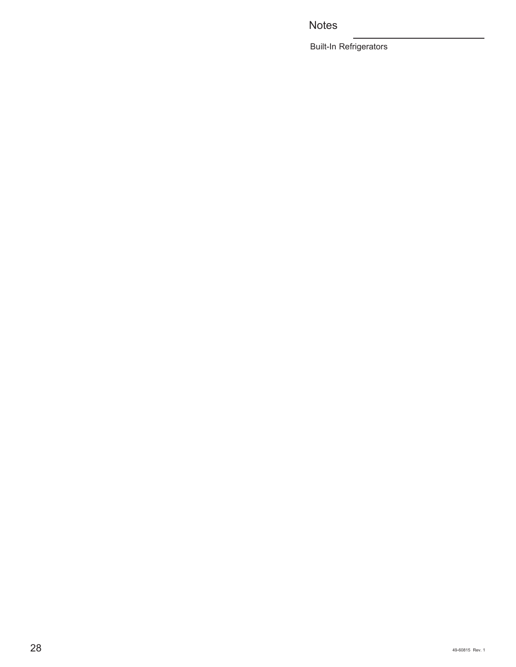### **Notes**

Built-In Refrigerators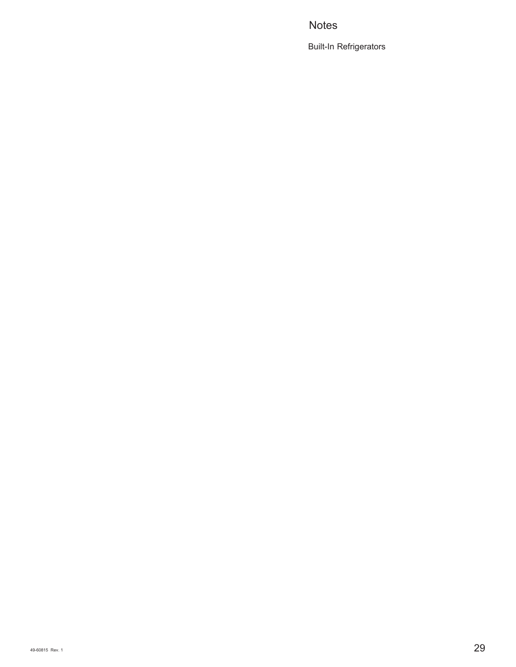### **Notes**

Built-In Refrigerators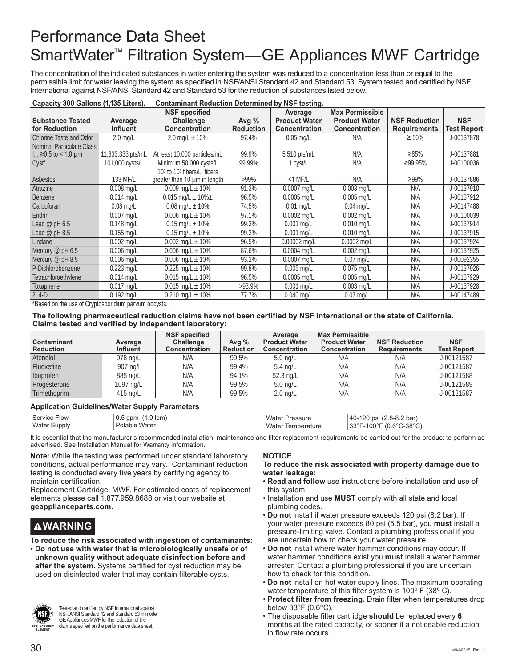## Performance Data Sheet SmartWater™ Filtration System—GE Appliances MWF Cartridge

The concentration of the indicated substances in water entering the system was reduced to a concentration less than or equal to the permissible limit for water leaving the system as specified in NSF/ANSI Standard 42 and Standard 53. System tested and certified by NSF International against NSF/ANSI Standard 42 and Standard 53 for the reduction of substances listed below.

| Capacity 300 Gallons (1,135 Liters).<br>Contaminant Reduction Determined by NSF testing. |                    |                                         |                  |                      |                        |                      |             |
|------------------------------------------------------------------------------------------|--------------------|-----------------------------------------|------------------|----------------------|------------------------|----------------------|-------------|
|                                                                                          |                    | <b>NSF</b> specified                    |                  | Average              | <b>Max Permissible</b> |                      |             |
| <b>Substance Tested</b>                                                                  | Average            | Challenge                               | Avg $%$          | <b>Product Water</b> | <b>Product Water</b>   | <b>NSF Reduction</b> | <b>NSF</b>  |
| for Reduction                                                                            | <b>Influent</b>    | <b>Concentration</b>                    | <b>Reduction</b> | <b>Concentration</b> | <b>Concentration</b>   | <b>Requirements</b>  | Test Report |
| Chlorine Taste and Odor                                                                  | $2.0 \text{ mq/L}$ | 2.0 mg/L $\pm$ 10%                      | 97.4%            | $0.05$ mg/L          | N/A                    | $\geq 50\%$          | J-00137878  |
| Nominal Particulate Class                                                                |                    |                                         |                  |                      |                        |                      |             |
| $\mu$ , ≥0.5 to < 1.0 µm                                                                 | 11,333,333 pts/mL  | At least 10,000 particles/mL            | 99.9%            | 5,510 pts/mL         | N/A                    | ≥85%                 | J-00137881  |
| $Cyst^*$                                                                                 | 101,000 cysts/L    | Minimum 50,000 cysts/L                  | 99.99%           | 1 cyst/L             | N/A                    | ≥99.95%              | J-00100036  |
|                                                                                          |                    | 107 to 10 <sup>8</sup> fibers/L; fibers |                  |                      |                        |                      |             |
| <b>Asbestos</b>                                                                          | 133 MF/L           | greater than 10 um in length            | $>99\%$          | $<$ 1 MF/L           | N/A                    | ≥99%                 | J-00137886  |
| Atrazine                                                                                 | $0.008$ mg/L       | 0.009 mg/L $\pm$ 10%                    | 91.3%            | 0.0007 mg/L          | $0.003$ mg/L           | N/A                  | J-00137910  |
| <b>Benzene</b>                                                                           | $0.014$ mg/L       | 0.015 mg/L $\pm$ 10% $\pm$              | 96.5%            | $0.0005$ mg/L        | $0.005$ mg/L           | N/A                  | J-00137912  |
| Carbofuran                                                                               | $0.08$ mg/L        | $0.08$ mg/L $\pm$ 10%                   | 74.5%            | $0.01$ mg/L          | $0.04$ mg/L            | N/A                  | J-00147488  |
| <b>Endrin</b>                                                                            | $0.007$ mg/L       | 0.006 mg/L $\pm$ 10%                    | 97.1%            | $0.0002$ mg/L        | $0.002 \text{ mq/L}$   | N/A                  | J-00100039  |
| Lead $@$ pH 6.5                                                                          | $0.148$ mg/L       | $0.15$ mg/L $\pm$ 10%                   | 99.3%            | $0.001$ mg/L         | $0.010$ mg/L           | N/A                  | J-00137914  |
| Lead $@$ pH 8.5                                                                          | $0.155$ mg/L       | $0.15$ mg/L $\pm$ 10%                   | 99.3%            | $0.001$ mg/L         | $0.010$ mg/L           | N/A                  | J-00137915  |
| Lindane                                                                                  | $0.002$ mg/L       | $0.002$ mg/L $\pm$ 10%                  | 96.5%            | $0.00002$ mg/L       | $0.0002$ mg/L          | N/A                  | J-00137924  |
| Mercury $\varnothing$ pH 6.5                                                             | $0.006$ mg/L       | $0.006$ mg/L $\pm$ 10%                  | 87.6%            | $0.0004$ mg/L        | $0.002$ mg/L           | N/A                  | J-00137925  |
| Mercury $\varnothing$ pH 8.5                                                             | $0.006$ mg/L       | $0.006$ mg/L $\pm$ 10%                  | 93.2%            | $0.0007$ mg/L        | $0.07$ mg/L            | N/A                  | J-00092355  |
| P-Dichlorobenzene                                                                        | $0.223$ mg/L       | 0.225 mg/L $\pm$ 10%                    | 99.8%            | $0.005$ mg/L         | $0.075$ mg/L           | N/A                  | J-00137926  |
| Tetrachloroethylene                                                                      | $0.014$ mg/L       | $0.015$ mg/L $\pm$ 10%                  | 96.5%            | $0.0005$ mg/L        | $0.005$ mg/L           | N/A                  | J-00137929  |
| Toxaphene                                                                                | $0.017$ mg/L       | $0.015$ mg/L $\pm$ 10%                  | >93.9%           | $0.001$ mg/L         | $0.003$ mg/L           | N/A                  | J-00137928  |
| $2, 4-D$                                                                                 | $0.192$ mg/L       | $0.210$ mg/L $\pm$ 10%                  | 77.7%            | $0.040$ mg/L         | $0.07$ mg/L            | N/A                  | J-00147489  |

\*Based on the use of Cryptosporidium parvum oocysts.

#### **The following pharmaceutical reduction claims have not been certified by NSF International or the state of California. Claims tested and verified by independent laboratory:**

| Contaminant<br><b>Reduction</b> | Average<br><b>Influent</b> | <b>NSF</b> specified<br><b>Challenge</b><br>Concentration | Avg $%$<br><b>Reduction</b> | Average<br><b>Product Water</b><br><b>Concentration</b> | <b>Max Permissible</b><br><b>Product Water</b><br><b>Concentration</b> | <b>NSF Reduction</b><br><b>Requirements</b> | <b>NSF</b><br><b>Test Report</b> |
|---------------------------------|----------------------------|-----------------------------------------------------------|-----------------------------|---------------------------------------------------------|------------------------------------------------------------------------|---------------------------------------------|----------------------------------|
| Atenolol                        | 978 na/L                   | N/A                                                       | 99.5%                       | $5.0 \text{ ng/L}$                                      | N/A                                                                    | N/A                                         | J-00121587                       |
| Fluoxetine                      | 907 na/l                   | N/A                                                       | 99.4%                       | $5.4$ ng/L                                              | N/A                                                                    | N/A                                         | J-00121587                       |
| Ibuprofen                       | 885 ng/L                   | N/A                                                       | 94.1%                       | 52.3 ng/L                                               | N/A                                                                    | N/A                                         | J-00121588                       |
| Progesterone                    | 1097 ng/L                  | N/A                                                       | 99.5%                       | $5.0 \text{ nq/L}$                                      | N/A                                                                    | N/A                                         | J-00121589                       |
| <b>Trimethoprim</b>             | 415 ng/L                   | N/A                                                       | 99.5%                       | $2.0 \text{ nq/L}$                                      | N/A                                                                    | N/A                                         | J-00121587                       |

#### **Application Guidelines/Water Supply Parameters**

| <b>Service Flow</b> | $0.5$ gpm<br>$1.9 \text{ lpm}$ | vvate.               | 120 psi (2.8-8.2 bar)<br>$.40 - 1$ |
|---------------------|--------------------------------|----------------------|------------------------------------|
| Water Supply        | ⊦Potable Water                 | Water<br>lemperature | 33°F-100°F (0.6°C-38°C) *          |

It is essential that the manufacturer's recommended installation, maintenance and filter replacement requirements be carried out for the product to perform as advertised. See Installation Manual for Warranty information.

**Note:** While the testing was performed under standard laboratory conditions, actual performance may vary. Contaminant reduction testing is conducted every five years by certifying agency to maintain certification.

Replacement Cartridge: MWF. For estimated costs of replacement elements please call 1.877.959.8688 or visit our website at **geapplianceparts.com.**

### **WARNING**

**To reduce the risk associated with ingestion of contaminants:** • **Do not use with water that is microbiologically unsafe or of unknown quality without adequate disinfection before and after the system.** Systems certified for cyst reduction may be used on disinfected water that may contain filterable cysts.



Tested and certified by NSF International against NSF/ANSI Standard 42 and Standard 53 in model GE Appliances MWF for the reduction of the claims specified on the performance data sheet.

#### **NOTICE**

#### **To reduce the risk associated with property damage due to water leakage:**

- **Read and follow** use instructions before installation and use of this system.
- Installation and use **MUST** comply with all state and local plumbing codes.
- **Do not** install if water pressure exceeds 120 psi (8.2 bar). If your water pressure exceeds 80 psi (5.5 bar), you **must** install a pressure-limiting valve. Contact a plumbing professional if you are uncertain how to check your water pressure.
- **Do not** install where water hammer conditions may occur. If water hammer conditions exist you **must** install a water hammer arrester. Contact a plumbing professional if you are uncertain how to check for this condition.
- **Do not** install on hot water supply lines. The maximum operating water temperature of this filter system is 100º F (38º C).
- **Protect filter from freezing.** Drain filter when temperatures drop below 33ºF (0.6ºC).
- The disposable filter cartridge **should** be replaced every **6** months at the rated capacity, or sooner if a noticeable reduction in flow rate occurs.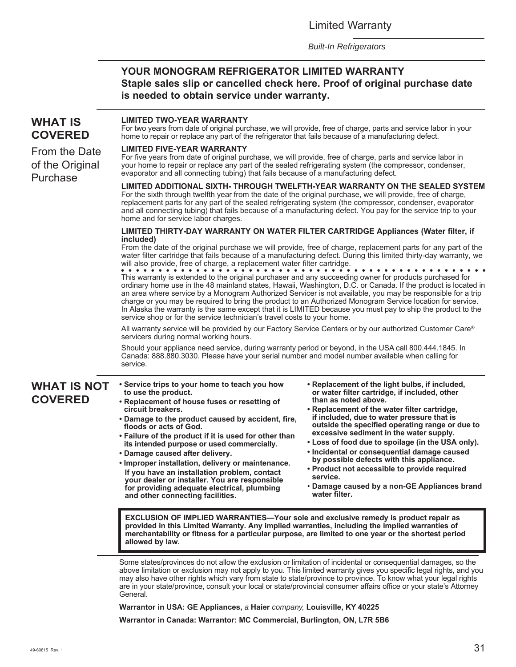Limited Warranty

*Built-In Refrigerators*

#### **YOUR MONOGRAM REFRIGERATOR LIMITED WARRANTY Staple sales slip or cancelled check here. Proof of original purchase date is needed to obtain service under warranty.**

#### **WHAT IS COVERED** From the Date of the Original Purchase **LIMITED TWO-YEAR WARRANTY** For two years from date of original purchase, we will provide, free of charge, parts and service labor in your home to repair or replace any part of the refrigerator that fails because of a manufacturing defect. **LIMITED FIVE-YEAR WARRANTY** For five years from date of original purchase, we will provide, free of charge, parts and service labor in your home to repair or replace any part of the sealed refrigerating system (the compressor, condenser, evaporator and all connecting tubing) that fails because of a manufacturing defect. **LIMITED ADDITIONAL SIXTH- THROUGH TWELFTH-YEAR WARRANTY ON THE SEALED SYSTEM** For the sixth through twelfth year from the date of the original purchase, we will provide, free of charge, replacement parts for any part of the sealed refrigerating system (the compressor, condenser, evaporator and all connecting tubing) that fails because of a manufacturing defect. You pay for the service trip to your home and for service labor charges. **LIMITED THIRTY-DAY WARRANTY ON WATER FILTER CARTRIDGE Appliances (Water filter, if included)** From the date of the original purchase we will provide, free of charge, replacement parts for any part of the water filter cartridge that fails because of a manufacturing defect. During this limited thirty-day warranty, we will also provide, free of charge, a replacement water filter cartridge. This warranty is extended to the original purchaser and any succeeding owner for products purchased for ordinary home use in the 48 mainland states, Hawaii, Washington, D.C. or Canada. If the product is located in an area where service by a Monogram Authorized Servicer is not available, you may be responsible for a trip charge or you may be required to bring the product to an Authorized Monogram Service location for service. In Alaska the warranty is the same except that it is LIMITED because you must pay to ship the product to the service shop or for the service technician's travel costs to your home. All warranty service will be provided by our Factory Service Centers or by our authorized Customer Care® servicers during normal working hours. Should your appliance need service, during warranty period or beyond, in the USA call 800.444.1845. In Canada: 888.880.3030. Please have your serial number and model number available when calling for service. Some states/provinces do not allow the exclusion or limitation of incidental or consequential damages, so the above limitation or exclusion may not apply to you. This limited warranty gives you specific legal rights, and you may also have other rights which vary from state to state/province to province. To know what your legal rights are in your state/province, consult your local or state/provincial consumer affairs office or your state's Attorney General. **Warrantor in USA: GE Appliances,** *a* **Haier** *company,* **Louisville, KY 40225 WHAT IS NOT COVERED • Service trips to your home to teach you how to use the product. • Replacement of house fuses or resetting of circuit breakers. • Damage to the product caused by accident, fire, floods or acts of God. • Failure of the product if it is used for other than its intended purpose or used commercially. • Damage caused after delivery. • Improper installation, delivery or maintenance. If you have an installation problem, contact your dealer or installer. You are responsible for providing adequate electrical, plumbing and other connecting facilities. • Replacement of the light bulbs, if included, or water filter cartridge, if included, other than as noted above. • Replacement of the water filter cartridge, if included, due to water pressure that is outside the specified operating range or due to excessive sediment in the water supply. • Loss of food due to spoilage (in the USA only). • Incidental or consequential damage caused by possible defects with this appliance. • Product not accessible to provide required service.** • **Damage caused by a non-GE Appliances brand water filter. EXCLUSION OF IMPLIED WARRANTIES—Your sole and exclusive remedy is product repair as provided in this Limited Warranty. Any implied warranties, including the implied warranties of merchantability or fitness for a particular purpose, are limited to one year or the shortest period allowed by law.**

**Warrantor in Canada: Warrantor: MC Commercial, Burlington, ON, L7R 5B6**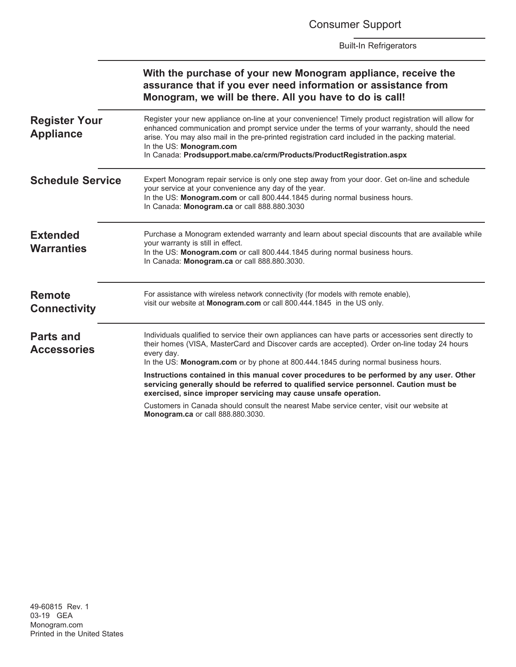Consumer Support

Built-In Refrigerators

|                                          | With the purchase of your new Monogram appliance, receive the<br>assurance that if you ever need information or assistance from<br>Monogram, we will be there. All you have to do is call!                                                                                                                                                                                                               |
|------------------------------------------|----------------------------------------------------------------------------------------------------------------------------------------------------------------------------------------------------------------------------------------------------------------------------------------------------------------------------------------------------------------------------------------------------------|
| <b>Register Your</b><br><b>Appliance</b> | Register your new appliance on-line at your convenience! Timely product registration will allow for<br>enhanced communication and prompt service under the terms of your warranty, should the need<br>arise. You may also mail in the pre-printed registration card included in the packing material.<br>In the US: Monogram.com<br>In Canada: Prodsupport.mabe.ca/crm/Products/ProductRegistration.aspx |
| <b>Schedule Service</b>                  | Expert Monogram repair service is only one step away from your door. Get on-line and schedule<br>your service at your convenience any day of the year.<br>In the US: Monogram.com or call 800.444.1845 during normal business hours.<br>In Canada: Monogram.ca or call 888.880.3030                                                                                                                      |
| <b>Extended</b><br><b>Warranties</b>     | Purchase a Monogram extended warranty and learn about special discounts that are available while<br>your warranty is still in effect.<br>In the US: Monogram.com or call 800.444.1845 during normal business hours.<br>In Canada: Monogram.ca or call 888.880.3030.                                                                                                                                      |
| <b>Remote</b><br><b>Connectivity</b>     | For assistance with wireless network connectivity (for models with remote enable),<br>visit our website at Monogram.com or call 800.444.1845 in the US only.                                                                                                                                                                                                                                             |
| <b>Parts and</b><br><b>Accessories</b>   | Individuals qualified to service their own appliances can have parts or accessories sent directly to<br>their homes (VISA, MasterCard and Discover cards are accepted). Order on-line today 24 hours<br>every day.<br>In the US: Monogram.com or by phone at 800.444.1845 during normal business hours.                                                                                                  |
|                                          | Instructions contained in this manual cover procedures to be performed by any user. Other<br>servicing generally should be referred to qualified service personnel. Caution must be<br>exercised, since improper servicing may cause unsafe operation.                                                                                                                                                   |
|                                          | Customers in Canada should consult the nearest Mabe service center, visit our website at<br>Monogram.ca or call 888.880.3030.                                                                                                                                                                                                                                                                            |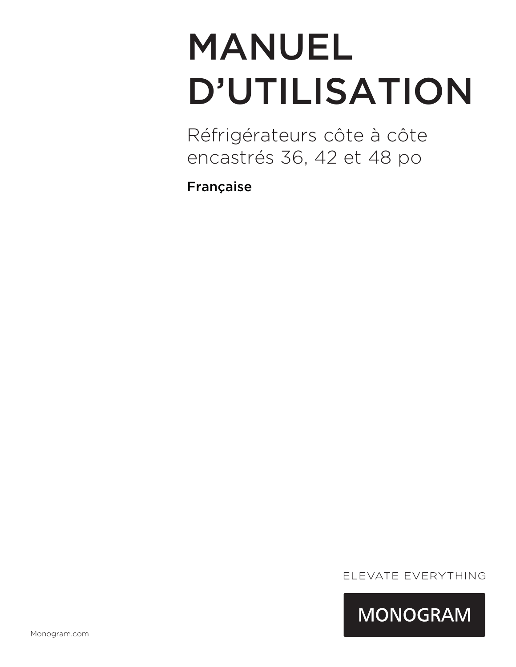# MANUEL D'UTILISATION

Réfrigérateurs côte à côte encastrés 36, 42 et 48 po

Française

ELEVATE EVERYTHING

**MONOGRAM**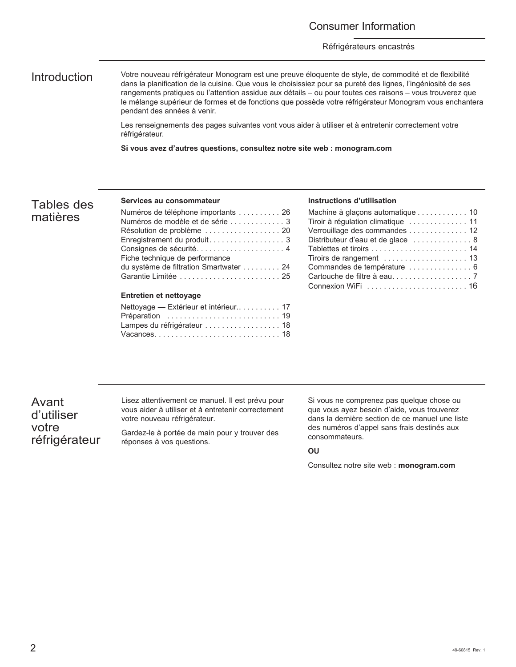#### Consumer Information

#### Réfrigérateurs encastrés

Introduction Votre nouveau réfrigérateur Monogram est une preuve éloquente de style, de commodité et de flexibilité dans la planification de la cuisine. Que vous le choisissiez pour sa pureté des lignes, l'ingéniosité de ses rangements pratiques ou l'attention assidue aux détails – ou pour toutes ces raisons – vous trouverez que le mélange supérieur de formes et de fonctions que possède votre réfrigérateur Monogram vous enchantera pendant des années à venir.

> Les renseignements des pages suivantes vont vous aider à utiliser et à entretenir correctement votre réfrigérateur.

**Si vous avez d'autres questions, consultez notre site web : monogram.com**

#### Tables des matières

#### **Services au consommateur**

| Numéros de téléphone importants 26     |
|----------------------------------------|
| Numéros de modèle et de série  3       |
| Résolution de problème  20             |
| Enregistrement du produit 3            |
| Consignes de sécurité 4                |
| Fiche technique de performance         |
| du système de filtration Smartwater 24 |
| Garantie Limitée  25                   |
|                                        |
| <b>Entretien et nettovage</b>          |
| Nettoyage — Extérieur et intérieur 17  |
| Préparation  19                        |
| Lampes du réfrigérateur  18            |

Vacances . . . . . . . . . . . . . . . . . . . . . . . . . . . . . . 18

#### **Instructions d'utilisation**

| Machine à glaçons automatique 10   |
|------------------------------------|
| Tiroir à régulation climatique  11 |
| Verrouillage des commandes  12     |
| Distributeur d'eau et de glace  8  |
|                                    |
|                                    |
| Commandes de température  6        |
|                                    |
|                                    |

Avant d'utiliser votre réfrigérateur Lisez attentivement ce manuel. Il est prévu pour vous aider à utiliser et à entretenir correctement votre nouveau réfrigérateur.

Gardez-le à portée de main pour y trouver des réponses à vos questions.

Si vous ne comprenez pas quelque chose ou que vous ayez besoin d'aide, vous trouverez dans la dernière section de ce manuel une liste des numéros d'appel sans frais destinés aux consommateurs.

#### **OU**

Consultez notre site web : **monogram.com**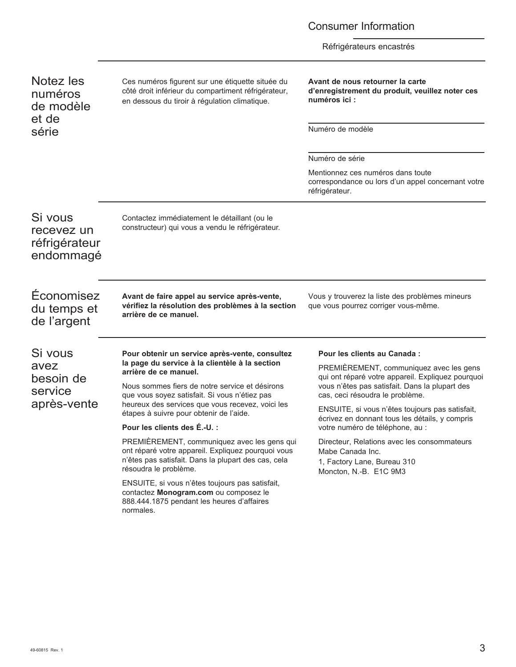### Consumer Information

Réfrigérateurs encastrés

| Notez les<br>numéros<br>de modèle<br>et de          | Ces numéros figurent sur une étiquette située du<br>côté droit inférieur du compartiment réfrigérateur,<br>en dessous du tiroir à régulation climatique.                          | Avant de nous retourner la carte<br>d'enregistrement du produit, veuillez noter ces<br>numéros ici :<br>Numéro de modèle                                                          |  |
|-----------------------------------------------------|-----------------------------------------------------------------------------------------------------------------------------------------------------------------------------------|-----------------------------------------------------------------------------------------------------------------------------------------------------------------------------------|--|
| série                                               |                                                                                                                                                                                   |                                                                                                                                                                                   |  |
|                                                     |                                                                                                                                                                                   | Numéro de série                                                                                                                                                                   |  |
|                                                     |                                                                                                                                                                                   | Mentionnez ces numéros dans toute<br>correspondance ou lors d'un appel concernant votre<br>réfrigérateur.                                                                         |  |
| Si vous<br>recevez un<br>réfrigérateur<br>endommagé | Contactez immédiatement le détaillant (ou le<br>constructeur) qui vous a vendu le réfrigérateur.                                                                                  |                                                                                                                                                                                   |  |
| Economisez<br>du temps et<br>de l'argent            | Avant de faire appel au service après-vente,<br>vérifiez la résolution des problèmes à la section<br>arrière de ce manuel.                                                        | Vous y trouverez la liste des problèmes mineurs<br>que vous pourrez corriger vous-même.                                                                                           |  |
| Si vous                                             | Pour obtenir un service après-vente, consultez                                                                                                                                    | Pour les clients au Canada :                                                                                                                                                      |  |
| avez<br>besoin de<br>service<br>après-vente         | la page du service à la clientèle à la section<br>arrière de ce manuel.                                                                                                           | PREMIÈREMENT, communiquez avec les gens<br>qui ont réparé votre appareil. Expliquez pourquoi<br>vous n'êtes pas satisfait. Dans la plupart des<br>cas, ceci résoudra le problème. |  |
|                                                     | Nous sommes fiers de notre service et désirons<br>que vous soyez satisfait. Si vous n'étiez pas                                                                                   |                                                                                                                                                                                   |  |
|                                                     | heureux des services que vous recevez, voici les<br>étapes à suivre pour obtenir de l'aide.                                                                                       | ENSUITE, si vous n'êtes toujours pas satisfait,<br>écrivez en donnant tous les détails, y compris                                                                                 |  |
|                                                     | Pour les clients des É.-U. :                                                                                                                                                      | votre numéro de téléphone, au :                                                                                                                                                   |  |
|                                                     | PREMIÈREMENT, communiquez avec les gens qui<br>ont réparé votre appareil. Expliquez pourquoi vous<br>n'êtes pas satisfait. Dans la plupart des cas, cela<br>résoudra le problème. | Directeur, Relations avec les consommateurs<br>Mabe Canada Inc.<br>1, Factory Lane, Bureau 310<br>Moncton, N.-B. E1C 9M3                                                          |  |
|                                                     | ENSUITE, si vous n'êtes toujours pas satisfait,<br>contactez Monogram.com ou composez le                                                                                          |                                                                                                                                                                                   |  |

888.444.1875 pendant les heures d'affaires

normales.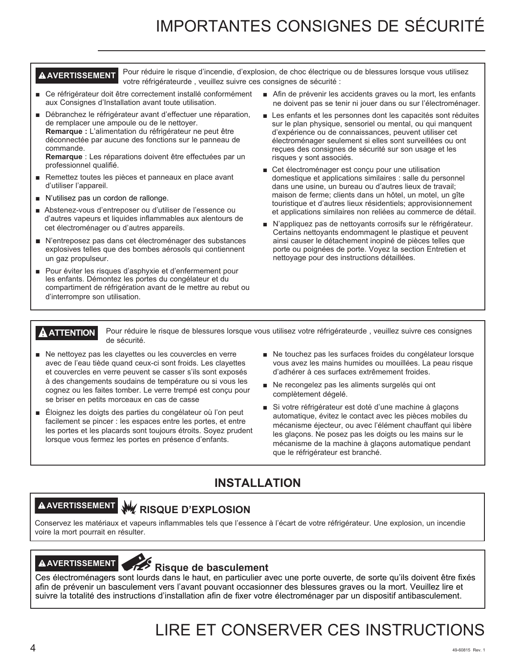## IMPORTANTES CONSIGNES DE SÉCURITÉ

**AVERTISSEMENT** Pour réduire le risque d'incendie, d'explosion, de choc électrique ou de blessures lorsque vous utilisez votre réfrigérateurde , veuillez suivre ces consignes de sécurité :

- Ce réfrigérateur doit être correctement installé conformément aux Consignes d'Installation avant toute utilisation.
- Débranchez le réfrigérateur avant d'effectuer une réparation, de remplacer une ampoule ou de le nettoyer. **Remarque :** L'alimentation du réfrigérateur ne peut être déconnectée par aucune des fonctions sur le panneau de commande.

**Remarque** : Les réparations doivent être effectuées par un professionnel qualifié.

- Remettez toutes les pièces et panneaux en place avant d'utiliser l'appareil.
- N'utilisez pas un cordon de rallonge.
- Abstenez-vous d'entreposer ou d'utiliser de l'essence ou d'autres vapeurs et liquides inflammables aux alentours de cet électroménager ou d'autres appareils.
- N'entreposez pas dans cet électroménager des substances explosives telles que des bombes aérosols qui contiennent un gaz propulseur.
- Pour éviter les risques d'asphyxie et d'enfermement pour les enfants. Démontez les portes du congélateur et du compartiment de réfrigération avant de le mettre au rebut ou d'interrompre son utilisation.
- $\blacksquare$  Afin de prévenir les accidents graves ou la mort, les enfants ne doivent pas se tenir ni jouer dans ou sur l'électroménager.
- $\blacksquare$  Les enfants et les personnes dont les capacités sont réduites sur le plan physique, sensoriel ou mental, ou qui manquent d'expérience ou de connaissances, peuvent utiliser cet électroménager seulement si elles sont surveillées ou ont reçues des consignes de sécurité sur son usage et les risques y sont associés.
- Cet électroménager est conçu pour une utilisation domestique et applications similaires : salle du personnel dans une usine, un bureau ou d'autres lieux de travail; maison de ferme; clients dans un hôtel, un motel, un gîte touristique et d'autres lieux résidentiels; approvisionnement et applications similaires non reliées au commerce de détail.
- N'appliquez pas de nettoyants corrosifs sur le réfrigérateur. Certains nettoyants endommagent le plastique et peuvent ainsi causer le détachement inopiné de pièces telles que porte ou poignées de porte. Voyez la section Entretien et nettoyage pour des instructions détaillées.

**A ATTENTION** Pour réduire le risque de blessures lorsque vous utilisez votre réfrigérateurde, veuillez suivre ces consignes de sécurité.

- $\blacksquare$  Ne nettoyez pas les clayettes ou les couvercles en verre avec de l'eau tiède quand ceux-ci sont froids. Les clayettes et couvercles en verre peuvent se casser s'ils sont exposés à des changements soudains de température ou si vous les cognez ou les faites tomber. Le verre trempé est conçu pour se briser en petits morceaux en cas de casse
- Éloignez les doigts des parties du congélateur où l'on peut facilement se pincer : les espaces entre les portes, et entre les portes et les placards sont toujours étroits. Soyez prudent lorsque vous fermez les portes en présence d'enfants.
- Ne touchez pas les surfaces froides du congélateur lorsque vous avez les mains humides ou mouillées. La peau risque d'adhérer à ces surfaces extrêmement froides.
- Ne recongelez pas les aliments surgelés qui ont complètement dégelé.
- Si votre réfrigérateur est doté d'une machine à glaçons automatique, évitez le contact avec les pièces mobiles du mécanisme éjecteur, ou avec l'élément chauffant qui libère les glaçons. Ne posez pas les doigts ou les mains sur le mécanisme de la machine à glaçons automatique pendant que le réfrigérateur est branché.

### **INSTALLATION**

## **AVERTISSEMENT RISQUE D'EXPLOSION**

Conservez les matériaux et vapeurs inflammables tels que l'essence à l'écart de votre réfrigérateur. Une explosion, un incendie voire la mort pourrait en résulter.

## **AAVERTISSEMENT**<br> **Risque de basculement**

Ces électroménagers sont lourds dans le haut, en particulier avec une porte ouverte, de sorte qu'ils doivent être fixés afin de prévenir un basculement vers l'avant pouvant occasionner des blessures graves ou la mort. Veuillez lire et suivre la totalité des instructions d'installation afin de fixer votre électroménager par un dispositif antibasculement.

## LIRE ET CONSERVER CES INSTRUCTIONS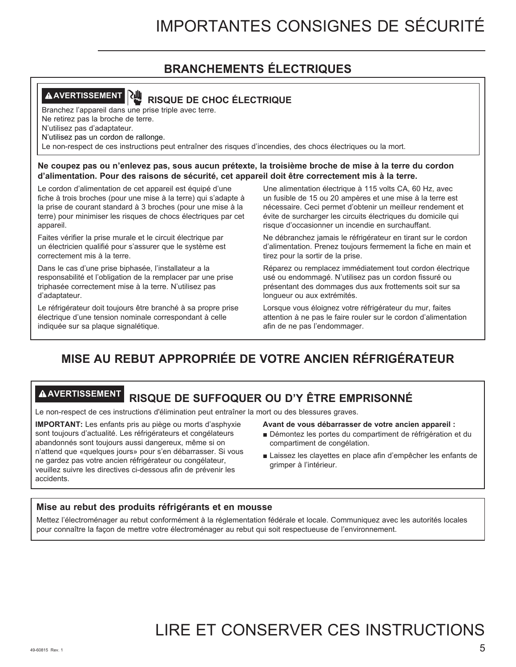# **BRANCHEMENTS ÉLECTRIQUES**

# **AVERTISSEMENT RISQUE DE CHOC ÉLECTRIQUE**

Branchez l'appareil dans une prise triple avec terre.

Ne retirez pas la broche de terre.

N'utilisez pas d'adaptateur.

N'utilisez pas un cordon de rallonge.

Le non-respect de ces instructions peut entraîner des risques d'incendies, des chocs électriques ou la mort.

**Ne coupez pas ou n'enlevez pas, sous aucun prétexte, la troisième broche de mise à la terre du cordon d'alimentation. Pour des raisons de sécurité, cet appareil doit être correctement mis à la terre.**

Le cordon d'alimentation de cet appareil est équipé d'une fiche à trois broches (pour une mise à la terre) qui s'adapte à la prise de courant standard à 3 broches (pour une mise à la terre) pour minimiser les risques de chocs électriques par cet appareil.

Faites vérifier la prise murale et le circuit électrique par un électricien qualifié pour s'assurer que le système est correctement mis à la terre.

Dans le cas d'une prise biphasée, l'installateur a la responsabilité et l'obligation de la remplacer par une prise triphasée correctement mise à la terre. N'utilisez pas d'adaptateur.

Le réfrigérateur doit toujours être branché à sa propre prise électrique d'une tension nominale correspondant à celle indiquée sur sa plaque signalétique.

Une alimentation électrique à 115 volts CA, 60 Hz, avec un fusible de 15 ou 20 ampères et une mise à la terre est nécessaire. Ceci permet d'obtenir un meilleur rendement et évite de surcharger les circuits électriques du domicile qui risque d'occasionner un incendie en surchauffant.

Ne débranchez jamais le réfrigérateur en tirant sur le cordon d'alimentation. Prenez toujours fermement la fiche en main et tirez pour la sortir de la prise.

Réparez ou remplacez immédiatement tout cordon électrique usé ou endommagé. N'utilisez pas un cordon fissuré ou présentant des dommages dus aux frottements soit sur sa longueur ou aux extrémités.

Lorsque vous éloignez votre réfrigérateur du mur, faites attention à ne pas le faire rouler sur le cordon d'alimentation afin de ne pas l'endommager.

# **MISE AU REBUT APPROPRIÉE DE VOTRE ANCIEN RÉFRIGÉRATEUR**

# **AVERTISSEMENT RISQUE DE SUFFOQUER OU D'Y ÊTRE EMPRISONNÉ**

Le non-respect de ces instructions d'élimination peut entraîner la mort ou des blessures graves.

**IMPORTANT:** Les enfants pris au piège ou morts d'asphyxie sont toujours d'actualité. Les réfrigérateurs et congélateurs abandonnés sont toujours aussi dangereux, même si on n'attend que «quelques jours» pour s'en débarrasser. Si vous ne gardez pas votre ancien réfrigérateur ou congélateur, veuillez suivre les directives ci-dessous afin de prévenir les accidents.

## **Avant de vous débarrasser de votre ancien appareil :**

- $\blacksquare$ Démontez les portes du compartiment de réfrigération et du compartiment de congélation.
- Laissez les clayettes en place afin d'empêcher les enfants de grimper à l'intérieur.

# **Mise au rebut des produits réfrigérants et en mousse**

Mettez l'électroménager au rebut conformément à la réglementation fédérale et locale. Communiquez avec les autorités locales pour connaître la façon de mettre votre électroménager au rebut qui soit respectueuse de l'environnement.

# LIRE ET CONSERVER CES INSTRUCTIONS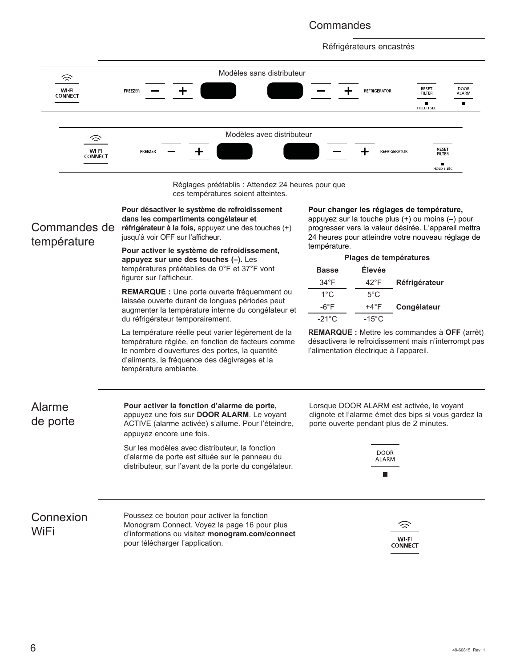# **Commandes**

Réfrigérateurs encastrés



ces températures soient atteintes.

| Commandes de<br>température | Pour désactiver le système de refroidissement<br>dans les compartiments congélateur et<br>réfrigérateur à la fois, appuyez une des touches (+)<br>jusqu'à voir OFF sur l'afficheur.<br>Pour activer le système de refroidissement,<br>appuyez sur une des touches (-). Les | Pour changer les réglages de température,<br>appuyez sur la touche plus (+) ou moins (-) pour<br>progresser vers la valeur désirée. L'appareil mettra<br>24 heures pour atteindre votre nouveau réglage de<br>température.<br>Plages de températures |                                  |                                                                                                                                               |  |
|-----------------------------|----------------------------------------------------------------------------------------------------------------------------------------------------------------------------------------------------------------------------------------------------------------------------|------------------------------------------------------------------------------------------------------------------------------------------------------------------------------------------------------------------------------------------------------|----------------------------------|-----------------------------------------------------------------------------------------------------------------------------------------------|--|
|                             | températures préétablies de 0°F et 37°F vont<br>figurer sur l'afficheur.                                                                                                                                                                                                   | <b>Basse</b>                                                                                                                                                                                                                                         | Élevée                           |                                                                                                                                               |  |
|                             | REMARQUE : Une porte ouverte fréquemment ou                                                                                                                                                                                                                                | $34^{\circ}F$                                                                                                                                                                                                                                        | $42^{\circ}F$                    | Réfrigérateur                                                                                                                                 |  |
|                             | laissée ouverte durant de longues périodes peut                                                                                                                                                                                                                            | $1^{\circ}$ C<br>$-6^{\circ}F$                                                                                                                                                                                                                       | $5^{\circ}$ C                    |                                                                                                                                               |  |
|                             | augmenter la température interne du congélateur et<br>du réfrigérateur temporairement.                                                                                                                                                                                     | $-21^{\circ}$ C                                                                                                                                                                                                                                      | $+4^{\circ}F$<br>$-15^{\circ}$ C | Congélateur                                                                                                                                   |  |
|                             | La température réelle peut varier légèrement de la<br>température réglée, en fonction de facteurs comme<br>le nombre d'ouvertures des portes, la quantité<br>d'aliments, la fréquence des dégivrages et la<br>température ambiante.                                        | l'alimentation électrique à l'appareil.                                                                                                                                                                                                              |                                  | <b>REMARQUE :</b> Mettre les commandes à OFF (arrêt)<br>désactivera le refroidissement mais n'interrompt pas                                  |  |
| Alarme<br>de porte          | Pour activer la fonction d'alarme de porte,<br>appuyez une fois sur DOOR ALARM. Le voyant<br>ACTIVE (alarme activée) s'allume. Pour l'éteindre,<br>appuyez encore une fois.<br>Sur les modèles avec distributeur, la fonction                                              |                                                                                                                                                                                                                                                      |                                  | Lorsque DOOR ALARM est activée, le voyant<br>clignote et l'alarme émet des bips si vous gardez la<br>porte ouverte pendant plus de 2 minutes. |  |
|                             | d'alarme de porte est située sur le panneau du<br>distributeur, sur l'avant de la porte du congélateur.                                                                                                                                                                    |                                                                                                                                                                                                                                                      | DOOR<br>ALARM<br>П               |                                                                                                                                               |  |
| Connexion<br>WiFi           | Poussez ce bouton pour activer la fonction<br>Monogram Connect. Voyez la page 16 pour plus<br>d'informations ou visitez monogram.com/connect<br>pour télécharger l'application.                                                                                            |                                                                                                                                                                                                                                                      |                                  | ੇ<br>WI-FI<br><b>CONNECT</b>                                                                                                                  |  |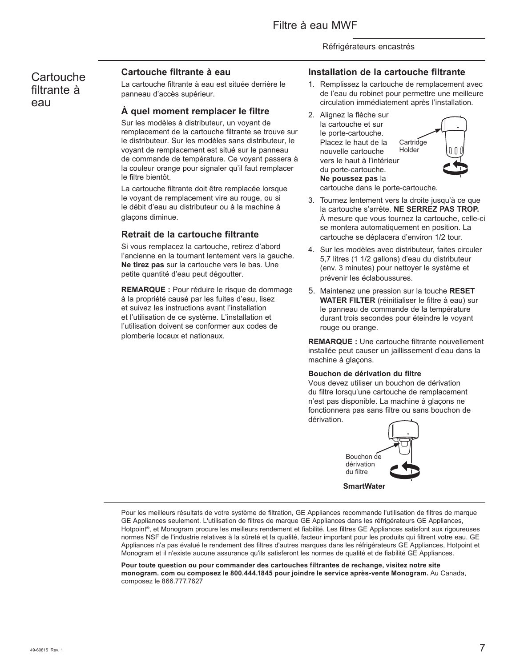# **Cartouche** filtrante à eau

# **Cartouche filtrante à eau**

La cartouche filtrante à eau est située derrière le panneau d'accès supérieur.

# **À quel moment remplacer le filtre**

Sur les modèles à distributeur, un voyant de remplacement de la cartouche filtrante se trouve sur le distributeur. Sur les modèles sans distributeur, le voyant de remplacement est situé sur le panneau de commande de température. Ce voyant passera à la couleur orange pour signaler qu'il faut remplacer le filtre bientôt.

La cartouche filtrante doit être remplacée lorsque le voyant de remplacement vire au rouge, ou si le débit d'eau au distributeur ou à la machine à glaçons diminue.

# **Retrait de la cartouche filtrante**

Si vous remplacez la cartouche, retirez d'abord l'ancienne en la tournant lentement vers la gauche. **Ne tirez pas** sur la cartouche vers le bas. Une petite quantité d'eau peut dégoutter.

**REMARQUE :** Pour réduire le risque de dommage à la propriété causé par les fuites d'eau, lisez et suivez les instructions avant l'installation et l'utilisation de ce système. L'installation et l'utilisation doivent se conformer aux codes de plomberie locaux et nationaux.

# **Installation de la cartouche filtrante**

- 1. Remplissez la cartouche de remplacement avec de l'eau du robinet pour permettre une meilleure circulation immédiatement après l'installation.
- 2. Alignez la flèche sur la cartouche et sur le porte-cartouche. Placez le haut de la nouvelle cartouche vers le haut à l'intérieur du porte-cartouche. **Ne poussez pas** la



cartouche dans le porte-cartouche.

- 3. Tournez lentement vers la droite jusqu'à ce que la cartouche s'arrête. **NE SERREZ PAS TROP.** À mesure que vous tournez la cartouche, celle-ci se montera automatiquement en position. La cartouche se déplacera d'environ 1/2 tour.
- 4. Sur les modèles avec distributeur, faites circuler 5,7 litres (1 1/2 gallons) d'eau du distributeur (env. 3 minutes) pour nettoyer le système et prévenir les éclaboussures.
- 5. Maintenez une pression sur la touche **RESET WATER FILTER** (réinitialiser le filtre à eau) sur le panneau de commande de la température durant trois secondes pour éteindre le voyant rouge ou orange.

**REMARQUE :** Une cartouche filtrante nouvellement installée peut causer un jaillissement d'eau dans la machine à glaçons.

## **Bouchon de dérivation du filtre**

Vous devez utiliser un bouchon de dérivation du filtre lorsqu'une cartouche de remplacement n'est pas disponible. La machine à glaçons ne fonctionnera pas sans filtre ou sans bouchon de dérivation.



Pour les meilleurs résultats de votre système de filtration, GE Appliances recommande l'utilisation de filtres de marque GE Appliances seulement. L'utilisation de filtres de marque GE Appliances dans les réfrigérateurs GE Appliances, Hotpoint®, et Monogram procure les meilleurs rendement et fiabilité. Les filtres GE Appliances satisfont aux rigoureuses normes NSF de l'industrie relatives à la sûreté et la qualité, facteur important pour les produits qui filtrent votre eau. GE Appliances n'a pas évalué le rendement des filtres d'autres marques dans les réfrigérateurs GE Appliances, Hotpoint et Monogram et il n'existe aucune assurance qu'ils satisferont les normes de qualité et de fiabilité GE Appliances.

**Pour toute question ou pour commander des cartouches filtrantes de rechange, visitez notre site monogram. com ou composez le 800.444.1845 pour joindre le service après-vente Monogram.** Au Canada, composez le 866.777.7627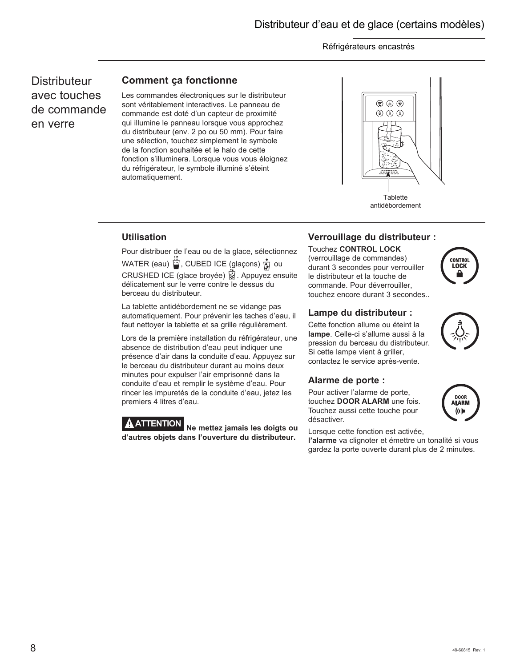**Distributeur** avec touches de commande en verre

# **Comment ça fonctionne**

Les commandes électroniques sur le distributeur sont véritablement interactives. Le panneau de commande est doté d'un capteur de proximité qui illumine le panneau lorsque vous approchez du distributeur (env. 2 po ou 50 mm). Pour faire une sélection, touchez simplement le symbole de la fonction souhaitée et le halo de cette fonction s'illuminera. Lorsque vous vous éloignez du réfrigérateur, le symbole illuminé s'éteint automatiquement.



# **Utilisation**

Pour distribuer de l'eau ou de la glace, sélectionnez WATER (eau)  $\ddot{\ddot{\ddot{\bm{w}}}}$ , CUBED ICE (glaçons)  $\dot{\ddot{\ddot{\bm{y}}}}$  ou CRUSHED ICE (glace broyée) 3. Appuyez ensuite délicatement sur le verre contre le dessus du berceau du distributeur.

La tablette antidébordement ne se vidange pas automatiquement. Pour prévenir les taches d'eau, il faut nettoyer la tablette et sa grille régulièrement.

Lors de la première installation du réfrigérateur, une absence de distribution d'eau peut indiquer une présence d'air dans la conduite d'eau. Appuyez sur le berceau du distributeur durant au moins deux minutes pour expulser l'air emprisonné dans la conduite d'eau et remplir le système d'eau. Pour rincer les impuretés de la conduite d'eau, jetez les premiers 4 litres d'eau.

**ATTENTION Ne mettez jamais les doigts ou d'autres objets dans l'ouverture du distributeur.**

# **Verrouillage du distributeur :**

## Touchez **CONTROL LOCK**

(verrouillage de commandes) durant 3 secondes pour verrouiller le distributeur et la touche de commande. Pour déverrouiller, touchez encore durant 3 secondes..

# **Lampe du distributeur :**

Cette fonction allume ou éteint la **lampe**. Celle-ci s'allume aussi à la pression du berceau du distributeur. Si cette lampe vient à griller, contactez le service après-vente.

## **Alarme de porte :**

Pour activer l'alarme de porte, touchez **DOOR ALARM** une fois. Touchez aussi cette touche pour désactiver.

Lorsque cette fonction est activée,

**l'alarme** va clignoter et émettre un tonalité si vous gardez la porte ouverte durant plus de 2 minutes.





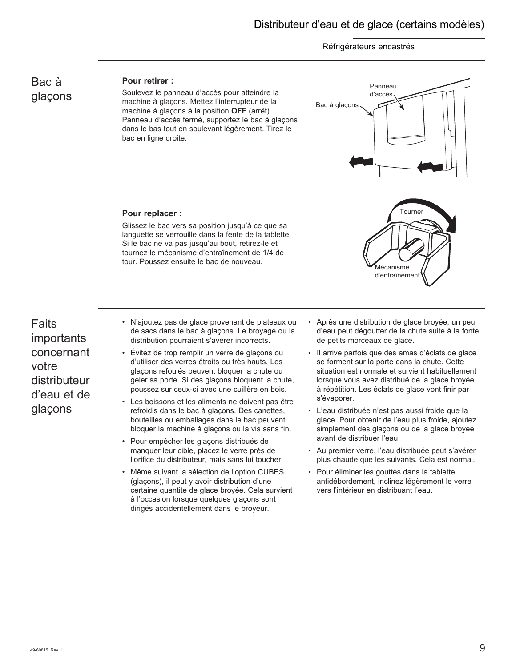# Bac à glaçons

# **Pour retirer :**

Soulevez le panneau d'accès pour atteindre la machine à glaçons. Mettez l'interrupteur de la machine à glaçons à la position **OFF** (arrêt). Panneau d'accès fermé, supportez le bac à glaçons dans le bas tout en soulevant légèrement. Tirez le bac en ligne droite.



## **Pour replacer :**

Glissez le bac vers sa position jusqu'à ce que sa languette se verrouille dans la fente de la tablette. Si le bac ne va pas jusqu'au bout, retirez-le et tournez le mécanisme d'entraînement de 1/4 de tour. Poussez ensuite le bac de nouveau.

Faits importants concernant votre distributeur d'eau et de glaçons

- N'ajoutez pas de glace provenant de plateaux ou de sacs dans le bac à glaçons. Le broyage ou la distribution pourraient s'avérer incorrects.
- Évitez de trop remplir un verre de glaçons ou d'utiliser des verres étroits ou très hauts. Les glaçons refoulés peuvent bloquer la chute ou geler sa porte. Si des glaçons bloquent la chute, poussez sur ceux-ci avec une cuillère en bois.
- Les boissons et les aliments ne doivent pas être refroidis dans le bac à glaçons. Des canettes, bouteilles ou emballages dans le bac peuvent bloquer la machine à glaçons ou la vis sans fin.
- Pour empêcher les glaçons distribués de manquer leur cible, placez le verre près de l'orifice du distributeur, mais sans lui toucher.
- Même suivant la sélection de l'option CUBES (glaçons), il peut y avoir distribution d'une certaine quantité de glace broyée. Cela survient à l'occasion lorsque quelques glaçons sont dirigés accidentellement dans le broyeur.

• Après une distribution de glace broyée, un peu d'eau peut dégoutter de la chute suite à la fonte de petits morceaux de glace.

Mécanisme d'entraînement

- Il arrive parfois que des amas d'éclats de glace se forment sur la porte dans la chute. Cette situation est normale et survient habituellement lorsque vous avez distribué de la glace broyée à répétition. Les éclats de glace vont finir par s'évaporer.
- L'eau distribuée n'est pas aussi froide que la glace. Pour obtenir de l'eau plus froide, ajoutez simplement des glaçons ou de la glace broyée avant de distribuer l'eau.
- Au premier verre, l'eau distribuée peut s'avérer plus chaude que les suivants. Cela est normal.
- Pour éliminer les gouttes dans la tablette antidébordement, inclinez légèrement le verre vers l'intérieur en distribuant l'eau.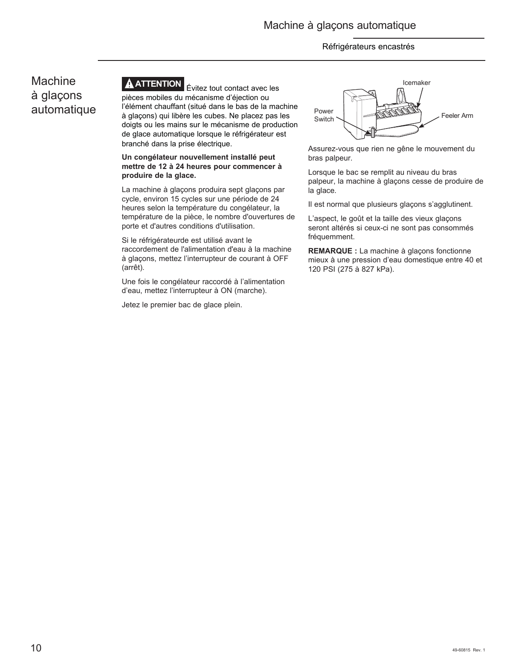# Machine à glaçons automatique



**ATTENTION** Évitez tout contact avec les pièces mobiles du mécanisme d'éjection ou l'élément chauffant (situé dans le bas de la machine à glaçons) qui libère les cubes. Ne placez pas les doigts ou les mains sur le mécanisme de production de glace automatique lorsque le réfrigérateur est branché dans la prise électrique.

## **Un congélateur nouvellement installé peut mettre de 12 à 24 heures pour commencer à produire de la glace.**

La machine à glaçons produira sept glaçons par cycle, environ 15 cycles sur une période de 24 heures selon la température du congélateur, la température de la pièce, le nombre d'ouvertures de porte et d'autres conditions d'utilisation.

Si le réfrigérateurde est utilisé avant le raccordement de l'alimentation d'eau à la machine à glaçons, mettez l'interrupteur de courant à OFF (arrêt).

Une fois le congélateur raccordé à l'alimentation d'eau, mettez l'interrupteur à ON (marche).

Jetez le premier bac de glace plein.



Assurez-vous que rien ne gêne le mouvement du bras palpeur.

Lorsque le bac se remplit au niveau du bras palpeur, la machine à glaçons cesse de produire de la glace.

Il est normal que plusieurs glaçons s'agglutinent.

L'aspect, le goût et la taille des vieux glaçons seront altérés si ceux-ci ne sont pas consommés fréquemment.

**REMARQUE :** La machine à glaçons fonctionne mieux à une pression d'eau domestique entre 40 et 120 PSI (275 à 827 kPa).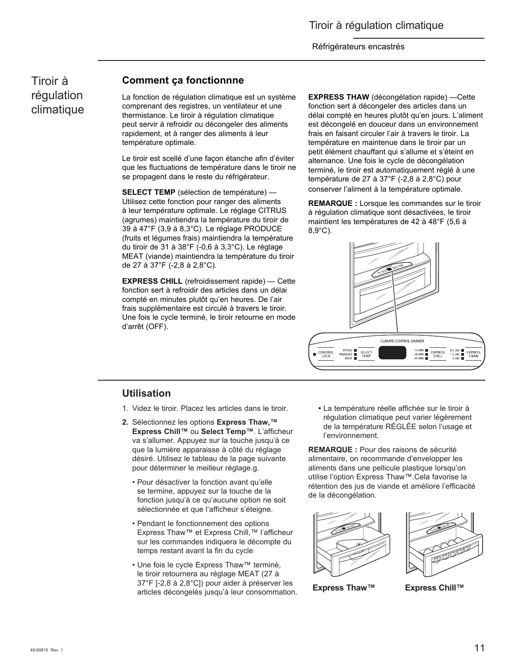Tiroir à régulation climatique

# **Comment ça fonctionnne**

La fonction de régulation climatique est un système comprenant des registres, un ventilateur et une thermistance. Le tiroir à régulation climatique peut servir à refroidir ou décongeler des aliments rapidement, et à ranger des aliments à leur température optimale.

Le tiroir est scellé d'une façon étanche afin d'éviter que les fluctuations de température dans le tiroir ne se propagent dans le reste du réfrigérateur.

**SELECT TEMP** (sélection de température) — Utilisez cette fonction pour ranger des aliments à leur température optimale. Le réglage CITRUS (agrumes) maintiendra la température du tiroir de 39 à 47°F (3,9 à 8,3°C). Le réglage PRODUCE (fruits et légumes frais) maintiendra la température du tiroir de 31 à 38°F (-0,6 à 3,3°C). Le réglage MEAT (viande) maintiendra la température du tiroir de 27 à 37°F (-2,8 à 2,8°C).

**EXPRESS CHILL** (refroidissement rapide) — Cette fonction sert à refroidir des articles dans un délai compté en minutes plutôt qu'en heures. De l'air frais supplémentaire est circulé à travers le tiroir. Une fois le cycle terminé, le tiroir retourne en mode d'arrêt (OFF).

**EXPRESS THAW** (décongélation rapide) —Cette fonction sert à décongeler des articles dans un délai compté en heures plutôt qu'en jours. L'aliment est décongelé en douceur dans un environnement frais en faisant circuler l'air à travers le tiroir. La température en maintenue dans le tiroir par un petit élément chauffant qui s'allume et s'éteint en alternance. Une fois le cycle de décongélation terminé, le tiroir est automatiquement réglé à une température de 27 à 37°F (-2,8 à 2,8°C) pour conserver l'aliment à la température optimale.

**REMARQUE :** Lorsque les commandes sur le tiroir à régulation climatique sont désactivées, le tiroir maintient les températures de 42 à 48°F (5,6 à 8,9°C).



# **Utilisation**

- 1. Videz le tiroir. Placez les articles dans le tiroir.
- **2.** Sélectionnez les options **Express Thaw,™ Express Chill™** ou **Select Temp™**. L'afficheur va s'allumer. Appuyez sur la touche jusqu'à ce que la lumière apparaisse à côté du réglage désiré. Utilisez le tableau de la page suivante pour déterminer le meilleur réglage.g.
	- Pour désactiver la fonction avant qu'elle se termine, appuyez sur la touche de la fonction jusqu'à ce qu'aucune option ne soit sélectionnée et que l'afficheur s'éteigne.
	- Pendant le fonctionnement des options Express Thaw™ et Express Chill,™ l'afficheur sur les commandes indiquera le décompte du temps restant avant la fin du cycle
	- Une fois le cycle Express Thaw™ terminé, le tiroir retournera au réglage MEAT (27 à 37°F [-2,8 à 2,8°C]) pour aider à préserver les articles décongelés jusqu'à leur consommation.

 **•** La température réelle affichée sur le tiroir à régulation climatique peut varier légèrement de la température RÉGLÉE selon l'usage et l'environnement.

**REMARQUE :** Pour des raisons de sécurité alimentaire, on recommande d'envelopper les aliments dans une pellicule plastique lorsqu'on utilise l'option Express Thaw™.Cela favorise la rétention des jus de viande et améliore l'efficacité de la décongélation.



**Express Thaw™ Express Chill™**

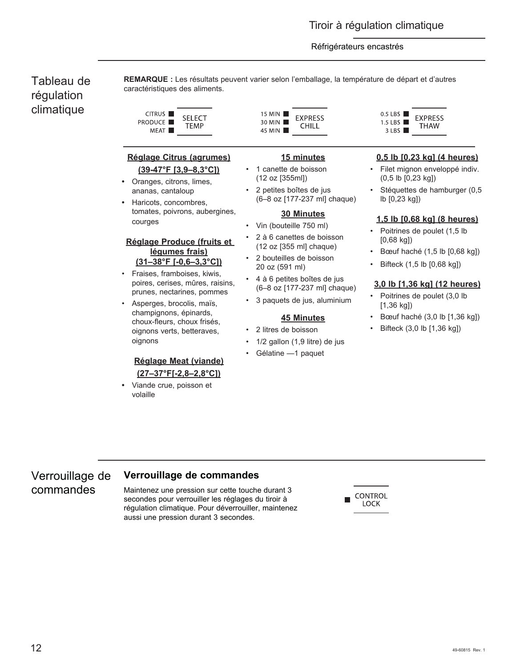# Tableau de régulation climatique

**REMARQUE :** Les résultats peuvent varier selon l'emballage, la température de départ et d'autres caractéristiques des aliments.

| CITRUS III       | SFI FCT |
|------------------|---------|
| PRODUCE <b>H</b> | TEMP    |
| MEAT I           |         |

# **Réglage Citrus (agrumes) (39-47°F [3,9–8,3°C])**

- Oranges, citrons, limes, ananas, cantaloup
- Haricots, concombres, tomates, poivrons, aubergines, courges

# **Réglage Produce (fruits et légumes frais) (31–38°F [-0,6–3,3°C])**

- Fraises, framboises, kiwis, poires, cerises, mûres, raisins, prunes, nectarines, pommes
- Asperges, brocolis, maïs, champignons, épinards, choux-fleurs, choux frisés, oignons verts, betteraves, oignons

# **Réglage Meat (viande) (27–37°F[-2,8–2,8°C])**

**•** Viande crue, poisson et volaille

15 MIN **EXPRESS** 30 MIN CHILL 45 MIN

# **15 minutes**

- 1 canette de boisson (12 oz [355ml])
	- 2 petites boîtes de jus (6–8 oz [177-237 ml] chaque)

## **30 Minutes**

- Vin (bouteille 750 ml)
- 2 à 6 canettes de boisson (12 oz [355 ml] chaque)
- 2 bouteilles de boisson 20 oz (591 ml)
- 4 à 6 petites boîtes de jus (6–8 oz [177-237 ml] chaque)
- 3 paquets de jus, aluminium

# **45 Minutes**

- 2 litres de boisson
- 1/2 gallon (1,9 litre) de jus
- Gélatine -1 paquet

 $0.5$  LBS **EXPRESS** 1.5 LBS  $\blacksquare$ THAW  $3$  LBS

# **0,5 lb [0,23 kg] (4 heures)**

- Filet mignon enveloppé indiv. (0,5 lb [0,23 kg])
- Stéquettes de hamburger (0,5 lb [0,23 kg])

## **1,5 lb [0,68 kg] (8 heures)**

- Poitrines de poulet (1,5 lb [0,68 kg])
- Bœuf haché (1,5 lb [0,68 kg])
- Bifteck (1,5 lb [0,68 kg])

# **3,0 lb [1,36 kg] (12 heures)**

- Poitrines de poulet (3,0 lb [1,36 kg])
- Bœuf haché (3,0 lb [1,36 kg])
- Bifteck (3,0 lb [1,36 kg])

### Verrouillage de **Verrouillage de commandes**

Maintenez une pression sur cette touche durant 3 secondes pour verrouiller les réglages du tiroir à régulation climatique. Pour déverrouiller, maintenez aussi une pression durant 3 secondes.



commandes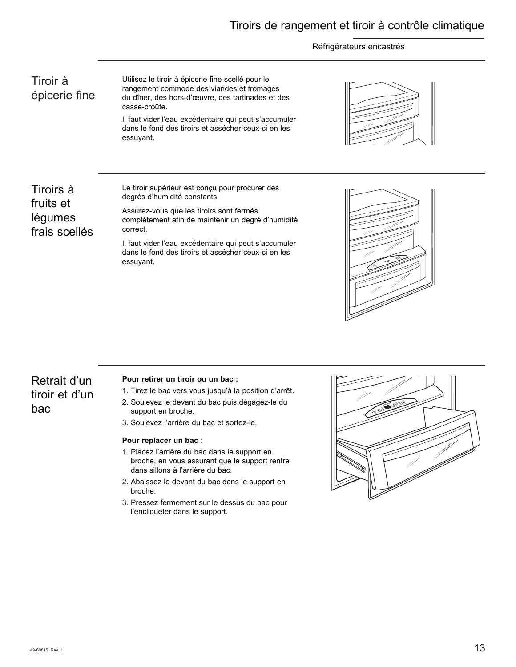# Tiroirs de rangement et tiroir à contrôle climatique

# Réfrigérateurs encastrés

Tiroir à épicerie fine Utilisez le tiroir à épicerie fine scellé pour le rangement commode des viandes et fromages du dîner, des hors-d'œuvre, des tartinades et des casse-croûte.

Il faut vider l'eau excédentaire qui peut s'accumuler dans le fond des tiroirs et assécher ceux-ci en les essuyant.



Tiroirs à fruits et légumes frais scellés Le tiroir supérieur est conçu pour procurer des degrés d'humidité constants.

Assurez-vous que les tiroirs sont fermés complètement afin de maintenir un degré d'humidité correct.

Il faut vider l'eau excédentaire qui peut s'accumuler dans le fond des tiroirs et assécher ceux-ci en les essuyant.



# Retrait d'un tiroir et d'un bac

## **Pour retirer un tiroir ou un bac :**

- 1. Tirez le bac vers vous jusqu'à la position d'arrêt.
- 2. Soulevez le devant du bac puis dégagez-le du support en broche.
- 3. Soulevez l'arrière du bac et sortez-le.

## **Pour replacer un bac :**

- 1. Placez l'arrière du bac dans le support en broche, en vous assurant que le support rentre dans sillons à l'arrière du bac.
- 2. Abaissez le devant du bac dans le support en broche.
- 3. Pressez fermement sur le dessus du bac pour l'encliqueter dans le support.

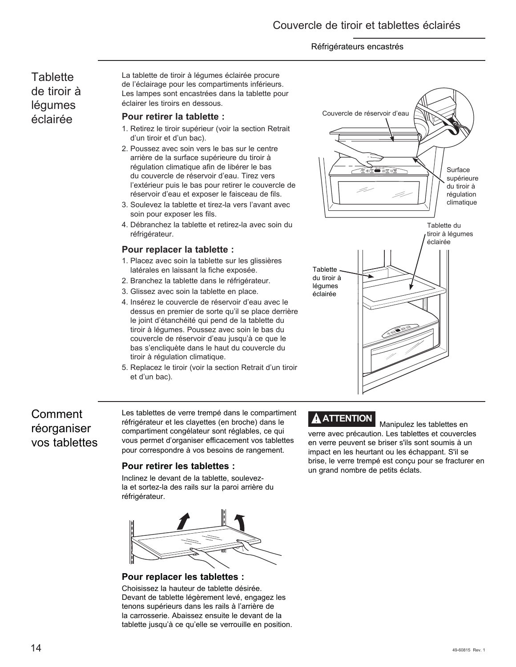# **Tablette** de tiroir à légumes éclairée

La tablette de tiroir à légumes éclairée procure de l'éclairage pour les compartiments inférieurs. Les lampes sont encastrées dans la tablette pour éclairer les tiroirs en dessous.

# **Pour retirer la tablette :**

- 1. Retirez le tiroir supérieur (voir la section Retrait d'un tiroir et d'un bac).
- 2. Poussez avec soin vers le bas sur le centre arrière de la surface supérieure du tiroir à régulation climatique afin de libérer le bas du couvercle de réservoir d'eau. Tirez vers l'extérieur puis le bas pour retirer le couvercle de réservoir d'eau et exposer le faisceau de fils.
- 3. Soulevez la tablette et tirez-la vers l'avant avec soin pour exposer les fils.
- 4. Débranchez la tablette et retirez-la avec soin du réfrigérateur.

# **Pour replacer la tablette :**

- 1. Placez avec soin la tablette sur les glissières latérales en laissant la fiche exposée.
- 2. Branchez la tablette dans le réfrigérateur.
- 3. Glissez avec soin la tablette en place.
- 4. Insérez le couvercle de réservoir d'eau avec le dessus en premier de sorte qu'il se place derrière le joint d'étanchéité qui pend de la tablette du tiroir à légumes. Poussez avec soin le bas du couvercle de réservoir d'eau jusqu'à ce que le bas s'encliquète dans le haut du couvercle du tiroir à régulation climatique.
- 5. Replacez le tiroir (voir la section Retrait d'un tiroir et d'un bac).

# Comment réorganiser vos tablettes

Les tablettes de verre trempé dans le compartiment réfrigérateur et les clayettes (en broche) dans le compartiment congélateur sont réglables, ce qui vous permet d'organiser efficacement vos tablettes pour correspondre à vos besoins de rangement.

## **Pour retirer les tablettes :**

Inclinez le devant de la tablette, soulevezla et sortez-la des rails sur la paroi arrière du réfrigérateur.



**Pour replacer les tablettes :**

Choisissez la hauteur de tablette désirée. Devant de tablette légèrement levé, engagez les tenons supérieurs dans les rails à l'arrière de la carrosserie. Abaissez ensuite le devant de la tablette jusqu'à ce qu'elle se verrouille en position.





**A ATTENTION** Manipulez les tablettes en verre avec précaution. Les tablettes et couvercles en verre peuvent se briser s'ils sont soumis à un impact en les heurtant ou les échappant. S'il se brise, le verre trempé est conçu pour se fracturer en un grand nombre de petits éclats.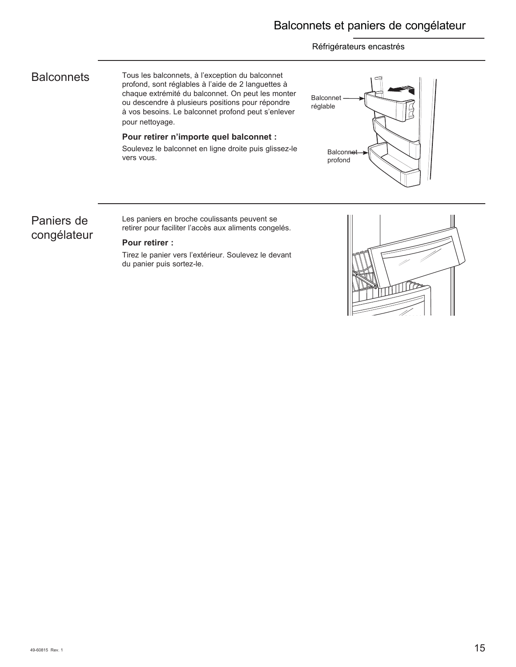# **Balconnets**

Tous les balconnets, à l'exception du balconnet profond, sont réglables à l'aide de 2 languettes à chaque extrémité du balconnet. On peut les monter ou descendre à plusieurs positions pour répondre à vos besoins. Le balconnet profond peut s'enlever pour nettoyage.

**Pour retirer n'importe quel balconnet :** Soulevez le balconnet en ligne droite puis glissez-le

# Balconnet réglable **Balconnet** profond

# Paniers de congélateur

Les paniers en broche coulissants peuvent se retirer pour faciliter l'accès aux aliments congelés.

# **Pour retirer :**

vers vous.

Tirez le panier vers l'extérieur. Soulevez le devant du panier puis sortez-le.

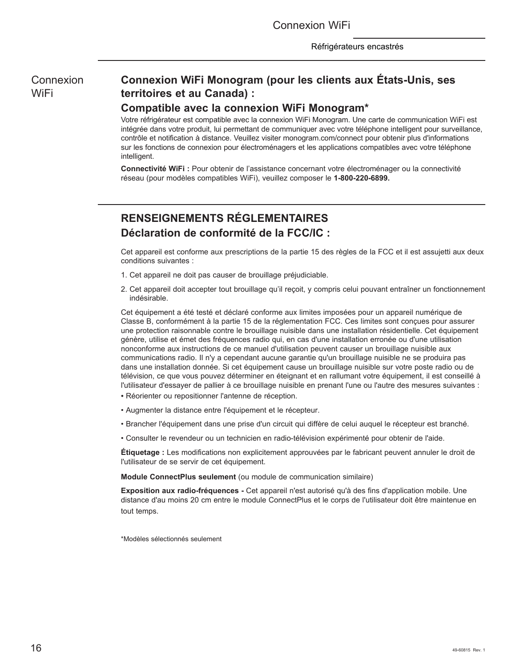Connexion WiFi

Connexion **WiFi** 

# **Connexion WiFi Monogram (pour les clients aux États-Unis, ses territoires et au Canada) :**

# **Compatible avec la connexion WiFi Monogram\***

Votre réfrigérateur est compatible avec la connexion WiFi Monogram. Une carte de communication WiFi est intégrée dans votre produit, lui permettant de communiquer avec votre téléphone intelligent pour surveillance, contrôle et notification à distance. Veuillez visiter monogram.com/connect pour obtenir plus d'informations sur les fonctions de connexion pour électroménagers et les applications compatibles avec votre téléphone intelligent.

**Connectivité WiFi :** Pour obtenir de l'assistance concernant votre électroménager ou la connectivité réseau (pour modèles compatibles WiFi), veuillez composer le **1-800-220-6899.**

# **RENSEIGNEMENTS RÉGLEMENTAIRES Déclaration de conformité de la FCC/IC :**

Cet appareil est conforme aux prescriptions de la partie 15 des règles de la FCC et il est assujetti aux deux conditions suivantes :

- 1. Cet appareil ne doit pas causer de brouillage préjudiciable.
- 2. Cet appareil doit accepter tout brouillage qu'il reçoit, y compris celui pouvant entraîner un fonctionnement indésirable.

Cet équipement a été testé et déclaré conforme aux limites imposées pour un appareil numérique de Classe B, conformément à la partie 15 de la réglementation FCC. Ces limites sont conçues pour assurer une protection raisonnable contre le brouillage nuisible dans une installation résidentielle. Cet équipement génère, utilise et émet des fréquences radio qui, en cas d'une installation erronée ou d'une utilisation nonconforme aux instructions de ce manuel d'utilisation peuvent causer un brouillage nuisible aux communications radio. Il n'y a cependant aucune garantie qu'un brouillage nuisible ne se produira pas dans une installation donnée. Si cet équipement cause un brouillage nuisible sur votre poste radio ou de télévision, ce que vous pouvez déterminer en éteignant et en rallumant votre équipement, il est conseillé à l'utilisateur d'essayer de pallier à ce brouillage nuisible en prenant l'une ou l'autre des mesures suivantes :

- *•* Réorienter ou repositionner l'antenne de réception.
- Augmenter la distance entre l'équipement et le récepteur.
- Brancher l'équipement dans une prise d'un circuit qui diffère de celui auquel le récepteur est branché.
- Consulter le revendeur ou un technicien en radio-télévision expérimenté pour obtenir de l'aide.

**Étiquetage :** Les modifications non explicitement approuvées par le fabricant peuvent annuler le droit de l'utilisateur de se servir de cet équipement.

**Module ConnectPlus seulement** (ou module de communication similaire)

**Exposition aux radio-fréquences -** Cet appareil n'est autorisé qu'à des fins d'application mobile. Une distance d'au moins 20 cm entre le module ConnectPlus et le corps de l'utilisateur doit être maintenue en tout temps.

\*Modèles sélectionnés seulement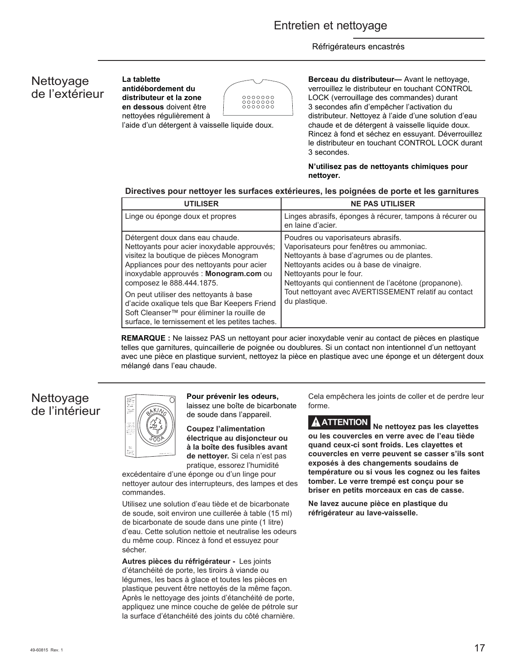# Nettoyage de l'extérieur

**La tablette antidébordement du distributeur et la zone en dessous** doivent être nettoyées régulièrement à



l'aide d'un détergent à vaisselle liquide doux.

**Berceau du distributeur—** Avant le nettoyage, verrouillez le distributeur en touchant CONTROL LOCK (verrouillage des commandes) durant 3 secondes afin d'empêcher l'activation du distributeur. Nettoyez à l'aide d'une solution d'eau chaude et de détergent à vaisselle liquide doux. Rincez à fond et séchez en essuyant. Déverrouillez le distributeur en touchant CONTROL LOCK durant 3 secondes.

## **N'utilisez pas de nettoyants chimiques pour nettoyer.**

# **Directives pour nettoyer les surfaces extérieures, les poignées de porte et les garnitures**

| <b>UTILISER</b>                                                                                                                                                                                                                                                                                                                                                                                                                         | <b>NE PAS UTILISER</b>                                                                                                                                                                                                                                                                                                                |
|-----------------------------------------------------------------------------------------------------------------------------------------------------------------------------------------------------------------------------------------------------------------------------------------------------------------------------------------------------------------------------------------------------------------------------------------|---------------------------------------------------------------------------------------------------------------------------------------------------------------------------------------------------------------------------------------------------------------------------------------------------------------------------------------|
| Linge ou éponge doux et propres                                                                                                                                                                                                                                                                                                                                                                                                         | Linges abrasifs, éponges à récurer, tampons à récurer ou<br>en laine d'acier.                                                                                                                                                                                                                                                         |
| Détergent doux dans eau chaude.<br>Nettoyants pour acier inoxydable approuvés;<br>visitez la boutique de pièces Monogram<br>Appliances pour des nettoyants pour acier<br>inoxydable approuvés : Monogram.com ou<br>composez le 888.444.1875.<br>On peut utiliser des nettoyants à base<br>d'acide oxalique tels que Bar Keepers Friend<br>Soft Cleanser™ pour éliminer la rouille de<br>surface, le ternissement et les petites taches. | Poudres ou vaporisateurs abrasifs.<br>Vaporisateurs pour fenêtres ou ammoniac.<br>Nettoyants à base d'agrumes ou de plantes.<br>Nettoyants acides ou à base de vinaigre.<br>Nettoyants pour le four.<br>Nettoyants qui contiennent de l'acétone (propanone).<br>Tout nettoyant avec AVERTISSEMENT relatif au contact<br>du plastique. |

**REMARQUE :** Ne laissez PAS un nettoyant pour acier inoxydable venir au contact de pièces en plastique telles que garnitures, quincaillerie de poignée ou doublures. Si un contact non intentionnel d'un nettoyant avec une pièce en plastique survient, nettoyez la pièce en plastique avec une éponge et un détergent doux mélangé dans l'eau chaude.

# Nettoyage de l'intérieur



**Pour prévenir les odeurs,**  laissez une boîte de bicarbonate de soude dans l'appareil.

**Coupez l'alimentation électrique au disjoncteur ou à la boîte des fusibles avant de nettoyer.** Si cela n'est pas pratique, essorez l'humidité

excédentaire d'une éponge ou d'un linge pour nettoyer autour des interrupteurs, des lampes et des commandes.

Utilisez une solution d'eau tiède et de bicarbonate de soude, soit environ une cuillerée à table (15 ml) de bicarbonate de soude dans une pinte (1 litre) d'eau. Cette solution nettoie et neutralise les odeurs du même coup. Rincez à fond et essuyez pour sécher.

**Autres pièces du réfrigérateur -** Les joints d'étanchéité de porte, les tiroirs à viande ou légumes, les bacs à glace et toutes les pièces en plastique peuvent être nettoyés de la même façon. Après le nettoyage des joints d'étanchéité de porte, appliquez une mince couche de gelée de pétrole sur la surface d'étanchéité des joints du côté charnière.

Cela empêchera les joints de coller et de perdre leur forme.

**ATTENTION Ne nettoyez pas les clayettes ou les couvercles en verre avec de l'eau tiède quand ceux-ci sont froids. Les clayettes et couvercles en verre peuvent se casser s'ils sont exposés à des changements soudains de température ou si vous les cognez ou les faites tomber. Le verre trempé est conçu pour se briser en petits morceaux en cas de casse.**

**Ne lavez aucune pièce en plastique du réfrigérateur au lave-vaisselle.**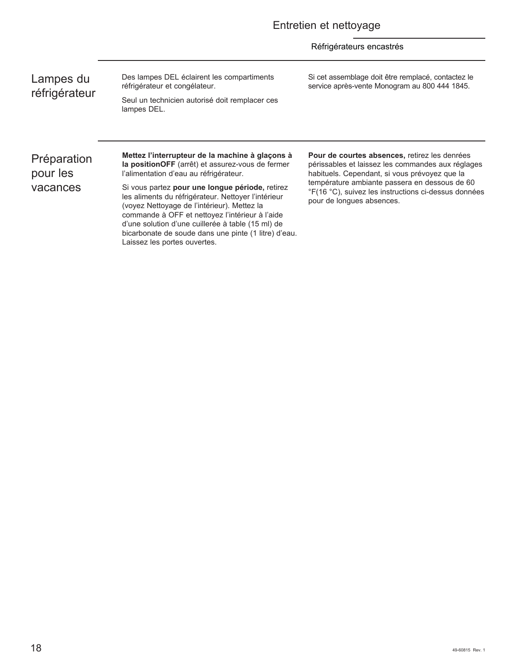Lampes du réfrigérateur Des lampes DEL éclairent les compartiments réfrigérateur et congélateur. Seul un technicien autorisé doit remplacer ces

lampes DEL.

Si cet assemblage doit être remplacé, contactez le service après-vente Monogram au 800 444 1845.

Préparation pour les vacances

**Mettez l'interrupteur de la machine à glaçons à la positionOFF** (arrêt) et assurez-vous de fermer l'alimentation d'eau au réfrigérateur.

Si vous partez **pour une longue période,** retirez les aliments du réfrigérateur. Nettoyer l'intérieur (voyez Nettoyage de l'intérieur). Mettez la commande à OFF et nettoyez l'intérieur à l'aide d'une solution d'une cuillerée à table (15 ml) de bicarbonate de soude dans une pinte (1 litre) d'eau. Laissez les portes ouvertes.

**Pour de courtes absences,** retirez les denrées périssables et laissez les commandes aux réglages habituels. Cependant, si vous prévoyez que la température ambiante passera en dessous de 60 °F(16 °C), suivez les instructions ci-dessus données pour de longues absences.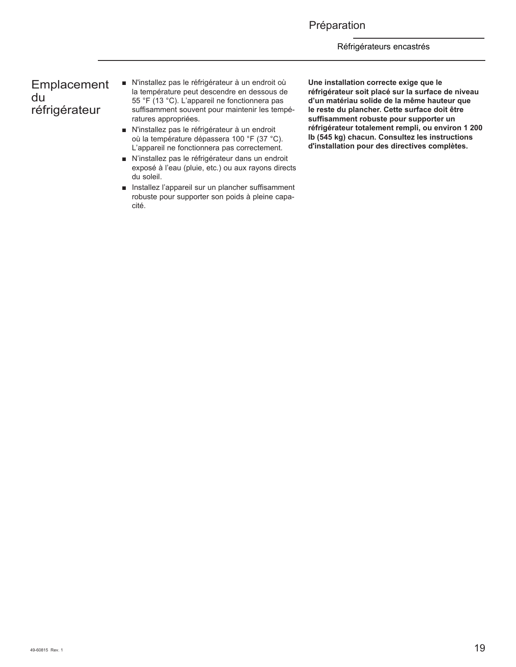# Préparation

## Réfrigérateurs encastrés

# Emplacement du réfrigérateur

- N'installez pas le réfrigérateur à un endroit où la température peut descendre en dessous de 55 °F (13 °C). L'appareil ne fonctionnera pas suffisamment souvent pour maintenir les températures appropriées.
- N'installez pas le réfrigérateur à un endroit où la température dépassera 100 °F (37 °C). L'appareil ne fonctionnera pas correctement.
- N'installez pas le réfrigérateur dans un endroit exposé à l'eau (pluie, etc.) ou aux rayons directs du soleil.
- **EXECUTE:** Installez l'appareil sur un plancher suffisamment robuste pour supporter son poids à pleine capacité.

**Une installation correcte exige que le réfrigérateur soit placé sur la surface de niveau d'un matériau solide de la même hauteur que le reste du plancher. Cette surface doit être suffisamment robuste pour supporter un réfrigérateur totalement rempli, ou environ 1 200 lb (545 kg) chacun. Consultez les instructions d'installation pour des directives complètes.**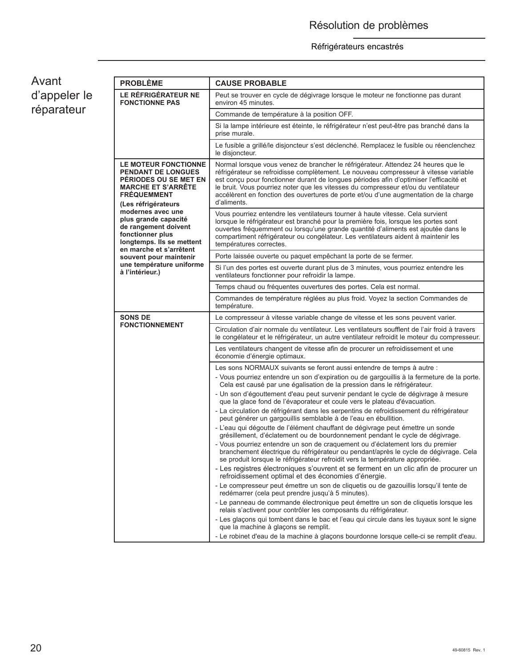| Avant        |
|--------------|
| d'appeler le |
| réparateur   |

| <b>PROBLÈME</b>                                                                                                                                             | <b>CAUSE PROBABLE</b>                                                                                                                                                                                                                                                                                                                                                                                                                                            |
|-------------------------------------------------------------------------------------------------------------------------------------------------------------|------------------------------------------------------------------------------------------------------------------------------------------------------------------------------------------------------------------------------------------------------------------------------------------------------------------------------------------------------------------------------------------------------------------------------------------------------------------|
| LE RÉFRIGÉRATEUR NE<br><b>FONCTIONNE PAS</b>                                                                                                                | Peut se trouver en cycle de dégivrage lorsque le moteur ne fonctionne pas durant<br>environ 45 minutes.                                                                                                                                                                                                                                                                                                                                                          |
|                                                                                                                                                             | Commande de température à la position OFF.                                                                                                                                                                                                                                                                                                                                                                                                                       |
|                                                                                                                                                             | Si la lampe intérieure est éteinte, le réfrigérateur n'est peut-être pas branché dans la<br>prise murale.                                                                                                                                                                                                                                                                                                                                                        |
|                                                                                                                                                             | Le fusible a grillé/le disjoncteur s'est déclenché. Remplacez le fusible ou réenclenchez<br>le disjoncteur.                                                                                                                                                                                                                                                                                                                                                      |
| <b>LE MOTEUR FONCTIONNE</b><br><b>PENDANT DE LONGUES</b><br>PERIODES OU SE MET EN<br><b>MARCHE ET S'ARRÊTE</b><br><b>FREQUEMMENT</b><br>(Les réfrigérateurs | Normal lorsque vous venez de brancher le réfrigérateur. Attendez 24 heures que le<br>réfrigérateur se refroidisse complètement. Le nouveau compresseur à vitesse variable<br>est conçu pour fonctionner durant de longues périodes afin d'optimiser l'efficacité et<br>le bruit. Vous pourriez noter que les vitesses du compresseur et/ou du ventilateur<br>accélèrent en fonction des ouvertures de porte et/ou d'une augmentation de la charge<br>d'aliments. |
| modernes avec une<br>plus grande capacité<br>de rangement doivent<br>fonctionner plus<br>longtemps. Ils se mettent                                          | Vous pourriez entendre les ventilateurs tourner à haute vitesse. Cela survient<br>lorsque le réfrigérateur est branché pour la première fois, lorsque les portes sont<br>ouvertes fréquemment ou lorsqu'une grande quantité d'aliments est ajoutée dans le<br>compartiment réfrigérateur ou congélateur. Les ventilateurs aident à maintenir les<br>températures correctes.                                                                                      |
| en marche et s'arrêtent<br>souvent pour maintenir                                                                                                           | Porte laissée ouverte ou paquet empêchant la porte de se fermer.                                                                                                                                                                                                                                                                                                                                                                                                 |
| une température uniforme<br>à l'intérieur.)                                                                                                                 | Si l'un des portes est ouverte durant plus de 3 minutes, vous pourriez entendre les<br>ventilateurs fonctionner pour refroidir la lampe.                                                                                                                                                                                                                                                                                                                         |
|                                                                                                                                                             | Temps chaud ou fréquentes ouvertures des portes. Cela est normal.                                                                                                                                                                                                                                                                                                                                                                                                |
|                                                                                                                                                             | Commandes de température réglées au plus froid. Voyez la section Commandes de<br>température.                                                                                                                                                                                                                                                                                                                                                                    |
| <b>SONS DE</b>                                                                                                                                              | Le compresseur à vitesse variable change de vitesse et les sons peuvent varier.                                                                                                                                                                                                                                                                                                                                                                                  |
| <b>FONCTIONNEMENT</b>                                                                                                                                       | Circulation d'air normale du ventilateur. Les ventilateurs soufflent de l'air froid à travers<br>le congélateur et le réfrigérateur, un autre ventilateur refroidit le moteur du compresseur.                                                                                                                                                                                                                                                                    |
|                                                                                                                                                             | Les ventilateurs changent de vitesse afin de procurer un refroidissement et une<br>économie d'énergie optimaux.                                                                                                                                                                                                                                                                                                                                                  |
|                                                                                                                                                             | Les sons NORMAUX suivants se feront aussi entendre de temps à autre :                                                                                                                                                                                                                                                                                                                                                                                            |
|                                                                                                                                                             | - Vous pourriez entendre un son d'expiration ou de gargouillis à la fermeture de la porte.<br>Cela est causé par une égalisation de la pression dans le réfrigérateur.                                                                                                                                                                                                                                                                                           |
|                                                                                                                                                             | - Un son d'égouttement d'eau peut survenir pendant le cycle de dégivrage à mesure<br>que la glace fond de l'évaporateur et coule vers le plateau d'évacuation.                                                                                                                                                                                                                                                                                                   |
|                                                                                                                                                             | - La circulation de réfrigérant dans les serpentins de refroidissement du réfrigérateur<br>peut générer un gargouillis semblable à de l'eau en ébullition.                                                                                                                                                                                                                                                                                                       |
|                                                                                                                                                             | - L'eau qui dégoutte de l'élément chauffant de dégivrage peut émettre un sonde<br>grésillement, d'éclatement ou de bourdonnement pendant le cycle de dégivrage.                                                                                                                                                                                                                                                                                                  |
|                                                                                                                                                             | - Vous pourriez entendre un son de craquement ou d'éclatement lors du premier<br>branchement électrique du réfrigérateur ou pendant/après le cycle de dégivrage. Cela<br>se produit lorsque le réfrigérateur refroidit vers la température appropriée.                                                                                                                                                                                                           |
|                                                                                                                                                             | - Les registres électroniques s'ouvrent et se ferment en un clic afin de procurer un<br>refroidissement optimal et des économies d'énergie.                                                                                                                                                                                                                                                                                                                      |
|                                                                                                                                                             | - Le compresseur peut émettre un son de cliquetis ou de gazouillis lorsqu'il tente de<br>redémarrer (cela peut prendre jusqu'à 5 minutes).                                                                                                                                                                                                                                                                                                                       |
|                                                                                                                                                             | - Le panneau de commande électronique peut émettre un son de cliquetis lorsque les<br>relais s'activent pour contrôler les composants du réfrigérateur.                                                                                                                                                                                                                                                                                                          |
|                                                                                                                                                             | - Les glaçons qui tombent dans le bac et l'eau qui circule dans les tuyaux sont le signe<br>que la machine à glaçons se remplit.                                                                                                                                                                                                                                                                                                                                 |
|                                                                                                                                                             | - Le robinet d'eau de la machine à glaçons bourdonne lorsque celle-ci se remplit d'eau.                                                                                                                                                                                                                                                                                                                                                                          |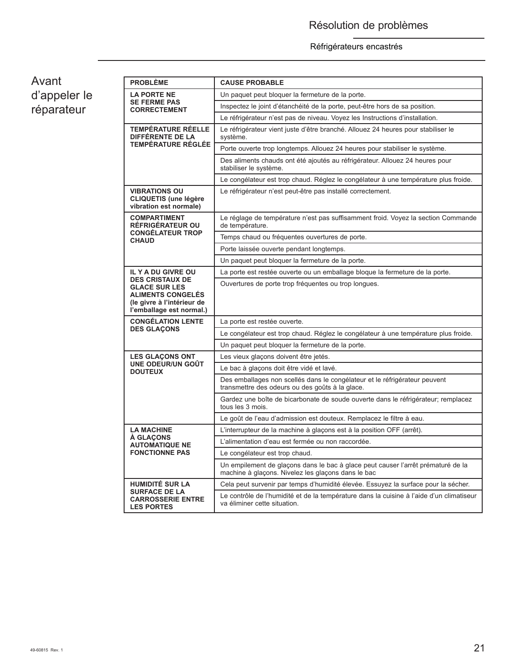# Avant d'appeler le réparateur

| <b>PROBLÈME</b>                                                                                                                      | <b>CAUSE PROBABLE</b>                                                                                                                  |  |  |  |
|--------------------------------------------------------------------------------------------------------------------------------------|----------------------------------------------------------------------------------------------------------------------------------------|--|--|--|
| <b>LA PORTE NE</b><br><b>SE FERME PAS</b><br><b>CORRECTEMENT</b>                                                                     | Un paquet peut bloquer la fermeture de la porte.                                                                                       |  |  |  |
|                                                                                                                                      | Inspectez le joint d'étanchéité de la porte, peut-être hors de sa position.                                                            |  |  |  |
|                                                                                                                                      | Le réfrigérateur n'est pas de niveau. Voyez les Instructions d'installation.                                                           |  |  |  |
| TEMPÉRATURE RÉELLE<br>DIFFÉRENTE DE LA                                                                                               | Le réfrigérateur vient juste d'être branché. Allouez 24 heures pour stabiliser le<br>système.                                          |  |  |  |
| <b>TEMPÉRATURE RÉGLÉE</b>                                                                                                            | Porte ouverte trop longtemps. Allouez 24 heures pour stabiliser le système.                                                            |  |  |  |
|                                                                                                                                      | Des aliments chauds ont été ajoutés au réfrigérateur. Allouez 24 heures pour<br>stabiliser le système.                                 |  |  |  |
|                                                                                                                                      | Le congélateur est trop chaud. Réglez le congélateur à une température plus froide.                                                    |  |  |  |
| <b>VIBRATIONS OU</b><br><b>CLIQUETIS (une légère</b><br>vibration est normale)                                                       | Le réfrigérateur n'est peut-être pas installé correctement.                                                                            |  |  |  |
| <b>COMPARTIMENT</b><br><b>RÉFRIGÉRATEUR OU</b>                                                                                       | Le réglage de température n'est pas suffisamment froid. Voyez la section Commande<br>de température.                                   |  |  |  |
| <b>CONGÉLATEUR TROP</b><br><b>CHAUD</b>                                                                                              | Temps chaud ou fréquentes ouvertures de porte.                                                                                         |  |  |  |
|                                                                                                                                      | Porte laissée ouverte pendant longtemps.                                                                                               |  |  |  |
|                                                                                                                                      | Un paquet peut bloquer la fermeture de la porte.                                                                                       |  |  |  |
| <b>IL Y A DU GIVRE OU</b>                                                                                                            | La porte est restée ouverte ou un emballage bloque la fermeture de la porte.                                                           |  |  |  |
| <b>DES CRISTAUX DE</b><br><b>GLACE SUR LES</b><br><b>ALIMENTS CONGELÉS</b><br>(le givre à l'intérieur de<br>l'emballage est normal.) | Ouvertures de porte trop fréquentes ou trop longues.                                                                                   |  |  |  |
| <b>CONGÉLATION LENTE</b>                                                                                                             | La porte est restée ouverte.                                                                                                           |  |  |  |
| <b>DES GLACONS</b>                                                                                                                   | Le congélateur est trop chaud. Réglez le congélateur à une température plus froide.                                                    |  |  |  |
|                                                                                                                                      | Un paquet peut bloquer la fermeture de la porte.                                                                                       |  |  |  |
| <b>LES GLAÇONS ONT</b>                                                                                                               | Les vieux glaçons doivent être jetés.                                                                                                  |  |  |  |
| UNE ODEUR/UN GOÛT<br><b>DOUTEUX</b>                                                                                                  | Le bac à glaçons doit être vidé et lavé.                                                                                               |  |  |  |
|                                                                                                                                      | Des emballages non scellés dans le congélateur et le réfrigérateur peuvent<br>transmettre des odeurs ou des goûts à la glace.          |  |  |  |
|                                                                                                                                      | Gardez une boîte de bicarbonate de soude ouverte dans le réfrigérateur; remplacez<br>tous les 3 mois.                                  |  |  |  |
|                                                                                                                                      | Le goût de l'eau d'admission est douteux. Remplacez le filtre à eau.                                                                   |  |  |  |
| <b>LA MACHINE</b>                                                                                                                    | L'interrupteur de la machine à glaçons est à la position OFF (arrêt).                                                                  |  |  |  |
| À GLAÇONS<br><b>AUTOMATIQUE NE</b>                                                                                                   | L'alimentation d'eau est fermée ou non raccordée.                                                                                      |  |  |  |
| <b>FONCTIONNE PAS</b>                                                                                                                | Le congélateur est trop chaud.                                                                                                         |  |  |  |
|                                                                                                                                      | Un empilement de glaçons dans le bac à glace peut causer l'arrêt prématuré de la<br>machine à glaçons. Nivelez les glaçons dans le bac |  |  |  |
| <b>HUMIDITÉ SUR LA</b>                                                                                                               | Cela peut survenir par temps d'humidité élevée. Essuyez la surface pour la sécher.                                                     |  |  |  |
| <b>SURFACE DE LA</b><br><b>CARROSSERIE ENTRE</b><br><b>LES PORTES</b>                                                                | Le contrôle de l'humidité et de la température dans la cuisine à l'aide d'un climatiseur<br>va éliminer cette situation.               |  |  |  |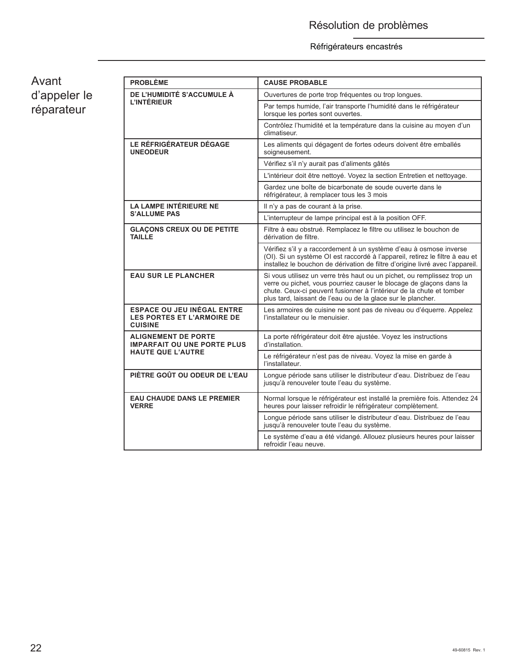Avant d'appeler le réparateur

| <b>PROBLÈME</b>                                                                          | <b>CAUSE PROBABLE</b>                                                                                                                                                                                                                                                                  |  |  |  |  |
|------------------------------------------------------------------------------------------|----------------------------------------------------------------------------------------------------------------------------------------------------------------------------------------------------------------------------------------------------------------------------------------|--|--|--|--|
| DE L'HUMIDITÉ S'ACCUMULE À                                                               | Ouvertures de porte trop fréquentes ou trop longues.                                                                                                                                                                                                                                   |  |  |  |  |
| L'INTÉRIEUR                                                                              | Par temps humide, l'air transporte l'humidité dans le réfrigérateur<br>lorsque les portes sont ouvertes.                                                                                                                                                                               |  |  |  |  |
|                                                                                          | Contrôlez l'humidité et la température dans la cuisine au moyen d'un<br>climatiseur.                                                                                                                                                                                                   |  |  |  |  |
| LE RÉFRIGÉRATEUR DÉGAGE<br><b>UNEODEUR</b>                                               | Les aliments qui dégagent de fortes odeurs doivent être emballés<br>soigneusement.                                                                                                                                                                                                     |  |  |  |  |
|                                                                                          | Vérifiez s'il n'y aurait pas d'aliments gâtés                                                                                                                                                                                                                                          |  |  |  |  |
|                                                                                          | L'intérieur doit être nettoyé. Voyez la section Entretien et nettoyage.                                                                                                                                                                                                                |  |  |  |  |
|                                                                                          | Gardez une boîte de bicarbonate de soude ouverte dans le<br>réfrigérateur, à remplacer tous les 3 mois                                                                                                                                                                                 |  |  |  |  |
| <b>LA LAMPE INTÉRIEURE NE</b>                                                            | Il n'y a pas de courant à la prise.                                                                                                                                                                                                                                                    |  |  |  |  |
| <b>S'ALLUME PAS</b>                                                                      | L'interrupteur de lampe principal est à la position OFF.                                                                                                                                                                                                                               |  |  |  |  |
| <b>GLACONS CREUX OU DE PETITE</b><br>TAILLE                                              | Filtre à eau obstrué. Remplacez le filtre ou utilisez le bouchon de<br>dérivation de filtre.                                                                                                                                                                                           |  |  |  |  |
|                                                                                          | Vérifiez s'il y a raccordement à un système d'eau à osmose inverse<br>(OI). Si un système OI est raccordé à l'appareil, retirez le filtre à eau et<br>installez le bouchon de dérivation de filtre d'origine livré avec l'appareil.                                                    |  |  |  |  |
| <b>EAU SUR LE PLANCHER</b>                                                               | Si vous utilisez un verre très haut ou un pichet, ou remplissez trop un<br>verre ou pichet, vous pourriez causer le blocage de glaçons dans la<br>chute. Ceux-ci peuvent fusionner à l'intérieur de la chute et tomber<br>plus tard, laissant de l'eau ou de la glace sur le plancher. |  |  |  |  |
| <b>ESPACE OU JEU INÉGAL ENTRE</b><br><b>LES PORTES ET L'ARMOIRE DE</b><br><b>CUISINE</b> | Les armoires de cuisine ne sont pas de niveau ou d'équerre. Appelez<br>l'installateur ou le menuisier.                                                                                                                                                                                 |  |  |  |  |
| <b>ALIGNEMENT DE PORTE</b><br><b>IMPARFAIT OU UNE PORTE PLUS</b>                         | La porte réfrigérateur doit être ajustée. Voyez les instructions<br>d'installation.                                                                                                                                                                                                    |  |  |  |  |
| <b>HAUTE QUE L'AUTRE</b>                                                                 | Le réfrigérateur n'est pas de niveau. Voyez la mise en garde à<br>l'installateur.                                                                                                                                                                                                      |  |  |  |  |
| PIÈTRE GOÛT OU ODEUR DE L'EAU                                                            | Longue période sans utiliser le distributeur d'eau. Distribuez de l'eau<br>jusqu'à renouveler toute l'eau du système.                                                                                                                                                                  |  |  |  |  |
| <b>EAU CHAUDE DANS LE PREMIER</b><br><b>VERRE</b>                                        | Normal lorsque le réfrigérateur est installé la première fois. Attendez 24<br>heures pour laisser refroidir le réfrigérateur complètement.                                                                                                                                             |  |  |  |  |
|                                                                                          | Longue période sans utiliser le distributeur d'eau. Distribuez de l'eau<br>jusqu'à renouveler toute l'eau du système.                                                                                                                                                                  |  |  |  |  |
|                                                                                          | Le système d'eau a été vidangé. Allouez plusieurs heures pour laisser<br>refroidir l'eau neuve.                                                                                                                                                                                        |  |  |  |  |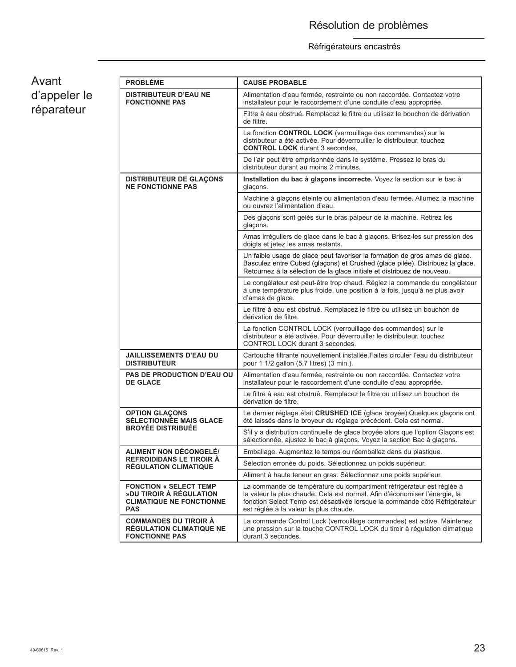Avant d'appeler le réparateur

| <b>PROBLÈME</b>                                                                                           | <b>CAUSE PROBABLE</b>                                                                                                                                                                                                                                                       |  |  |
|-----------------------------------------------------------------------------------------------------------|-----------------------------------------------------------------------------------------------------------------------------------------------------------------------------------------------------------------------------------------------------------------------------|--|--|
| <b>DISTRIBUTEUR D'EAU NE</b><br><b>FONCTIONNE PAS</b>                                                     | Alimentation d'eau fermée, restreinte ou non raccordée. Contactez votre<br>installateur pour le raccordement d'une conduite d'eau appropriée.                                                                                                                               |  |  |
|                                                                                                           | Filtre à eau obstrué. Remplacez le filtre ou utilisez le bouchon de dérivation<br>de filtre.                                                                                                                                                                                |  |  |
|                                                                                                           | La fonction CONTROL LOCK (verrouillage des commandes) sur le<br>distributeur a été activée. Pour déverrouiller le distributeur, touchez<br><b>CONTROL LOCK</b> durant 3 secondes.                                                                                           |  |  |
|                                                                                                           | De l'air peut être emprisonnée dans le système. Pressez le bras du<br>distributeur durant au moins 2 minutes.                                                                                                                                                               |  |  |
| <b>DISTRIBUTEUR DE GLACONS</b><br><b>NE FONCTIONNE PAS</b>                                                | Installation du bac à glaçons incorrecte. Voyez la section sur le bac à<br>glaçons.                                                                                                                                                                                         |  |  |
|                                                                                                           | Machine à glaçons éteinte ou alimentation d'eau fermée. Allumez la machine<br>ou ouvrez l'alimentation d'eau.                                                                                                                                                               |  |  |
|                                                                                                           | Des glaçons sont gelés sur le bras palpeur de la machine. Retirez les<br>glaçons.                                                                                                                                                                                           |  |  |
|                                                                                                           | Amas irréguliers de glace dans le bac à glaçons. Brisez-les sur pression des<br>doigts et jetez les amas restants.                                                                                                                                                          |  |  |
|                                                                                                           | Un faible usage de glace peut favoriser la formation de gros amas de glace.<br>Basculez entre Cubed (glaçons) et Crushed (glace pilée). Distribuez la glace.<br>Retournez à la sélection de la glace initiale et distribuez de nouveau.                                     |  |  |
|                                                                                                           | Le congélateur est peut-être trop chaud. Réglez la commande du congélateur<br>à une température plus froide, une position à la fois, jusqu'à ne plus avoir<br>d'amas de glace.                                                                                              |  |  |
|                                                                                                           | Le filtre à eau est obstrué. Remplacez le filtre ou utilisez un bouchon de<br>dérivation de filtre.                                                                                                                                                                         |  |  |
|                                                                                                           | La fonction CONTROL LOCK (verrouillage des commandes) sur le<br>distributeur a été activée. Pour déverrouiller le distributeur, touchez<br>CONTROL LOCK durant 3 secondes.                                                                                                  |  |  |
| <b>JAILLISSEMENTS D'EAU DU</b><br><b>DISTRIBUTEUR</b>                                                     | Cartouche filtrante nouvellement installée. Faites circuler l'eau du distributeur<br>pour 1 1/2 gallon (5,7 litres) (3 min.).                                                                                                                                               |  |  |
| <b>PAS DE PRODUCTION D'EAU OU</b><br><b>DE GLACE</b>                                                      | Alimentation d'eau fermée, restreinte ou non raccordée. Contactez votre<br>installateur pour le raccordement d'une conduite d'eau appropriée.                                                                                                                               |  |  |
|                                                                                                           | Le filtre à eau est obstrué. Remplacez le filtre ou utilisez un bouchon de<br>dérivation de filtre.                                                                                                                                                                         |  |  |
| <b>OPTION GLAÇONS</b><br><b>SÉLECTIONNÉE MAIS GLACE</b>                                                   | Le dernier réglage était CRUSHED ICE (glace broyée). Quelques glaçons ont<br>été laissés dans le broyeur du réglage précédent. Cela est normal.                                                                                                                             |  |  |
| <b>BROYÉE DISTRIBUÉE</b>                                                                                  | S'il y a distribution continuelle de glace broyée alors que l'option Glaçons est<br>sélectionnée, ajustez le bac à glaçons. Voyez la section Bac à glaçons.                                                                                                                 |  |  |
| <b>ALIMENT NON DÉCONGELÉ/</b>                                                                             | Emballage. Augmentez le temps ou réemballez dans du plastique.                                                                                                                                                                                                              |  |  |
| <b>REFROIDIDANS LE TIROIR A</b><br><b>RÉGULATION CLIMATIQUE</b>                                           | Sélection erronée du poids. Sélectionnez un poids supérieur.                                                                                                                                                                                                                |  |  |
|                                                                                                           | Aliment à haute teneur en gras. Sélectionnez une poids supérieur.                                                                                                                                                                                                           |  |  |
| <b>FONCTION « SELECT TEMP</b><br>»DU TIROIR À RÉGULATION<br><b>CLIMATIQUE NE FONCTIONNE</b><br><b>PAS</b> | La commande de température du compartiment réfrigérateur est réglée à<br>la valeur la plus chaude. Cela est normal. Afin d'économiser l'énergie, la<br>fonction Select Temp est désactivée lorsque la commande côté Réfrigérateur<br>est réglée à la valeur la plus chaude. |  |  |
| <b>COMMANDES DU TIROIR A</b><br><b>RÉGULATION CLIMATIQUE NE</b><br><b>FONCTIONNE PAS</b>                  | La commande Control Lock (verrouillage commandes) est active. Maintenez<br>une pression sur la touche CONTROL LOCK du tiroir à régulation climatique<br>durant 3 secondes.                                                                                                  |  |  |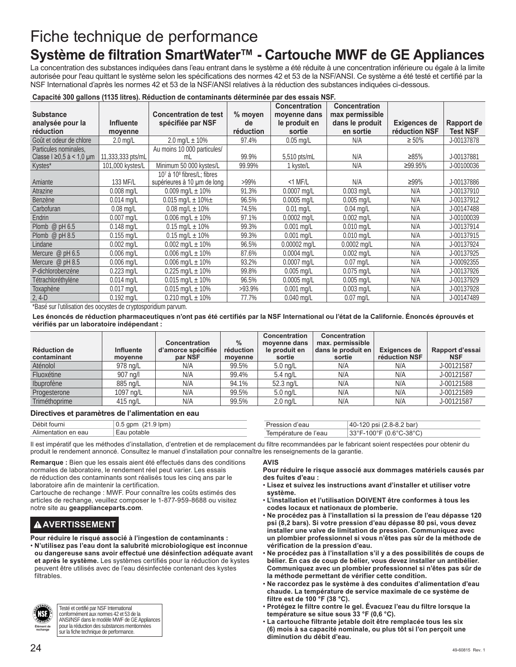# Fiche technique de performance

# **Système de filtration SmartWater™ - Cartouche MWF de GE Appliances**

La concentration des substances indiquées dans l'eau entrant dans le système a été réduite à une concentration inférieure ou égale à la limite autorisée pour l'eau quittant le système selon les spécifications des normes 42 et 53 de la NSF/ANSI. Ce système a été testé et certifié par la NSF International d'après les normes 42 et 53 de la NSF/ANSI relatives à la réduction des substances indiquées ci-dessous.

## **Capacité 300 gallons (1135 litres). Réduction de contaminants déterminée par des essais NSF.**

| <b>Substance</b>         |                   | <b>Concentration de test</b>   | % moyen   | <b>Concentration</b><br>moyenne dans | <b>Concentration</b><br>max permissible |               |                 |
|--------------------------|-------------------|--------------------------------|-----------|--------------------------------------|-----------------------------------------|---------------|-----------------|
| analysée pour la         | <b>Influente</b>  | spécifiée par NSF              | de        | le produit en                        | dans le produit                         | Exigences de  | Rapport de      |
| réduction                | moyenne           |                                | réduction | sortie                               | en sortie                               | réduction NSF | <b>Test NSF</b> |
| Goût et odeur de chlore  | $2.0$ mg/L        | 2.0 mg/L $\pm$ 10%             | 97.4%     | $0.05$ mg/L                          | N/A                                     | $\geq 50\%$   | J-00137878      |
| Particules nominales,    |                   | Au moins 10 000 particules/    |           |                                      |                                         |               |                 |
| Classe I ≥0,5 à < 1,0 µm | 11,333,333 pts/mL | ml                             | 99.9%     | 5,510 pts/mL                         | N/A                                     | ≥85%          | J-00137881      |
| Kystes*                  | 101,000 kystes/L  | Minimum 50 000 kystes/L        | 99.99%    | 1 kyste/L                            | N/A                                     | ≥99.95%       | J-00100036      |
|                          |                   | $107$ à $108$ fibres/L: fibres |           |                                      |                                         |               |                 |
| Amiante                  | 133 MF/L          | supérieures à 10 µm de long    | $>99\%$   | $<$ 1 MF/L                           | N/A                                     | ≥99%          | J-00137886      |
| Atrazine                 | $0.008$ mg/L      | 0.009 mg/L $\pm$ 10%           | 91.3%     | $0.0007$ mg/L                        | $0.003$ mg/L                            | N/A           | J-00137910      |
| Benzène                  | $0.014$ mg/L      | $0.015$ mg/L $\pm$ 10% $\pm$   | 96.5%     | $0.0005$ mg/L                        | $0.005$ mg/L                            | N/A           | J-00137912      |
| Carbofuran               | $0.08$ mg/L       | $0.08$ mg/L $\pm$ 10%          | 74.5%     | $0.01$ mg/L                          | $0.04$ mg/L                             | N/A           | J-00147488      |
| <b>Endrin</b>            | $0.007$ mg/L      | 0.006 mg/L $\pm$ 10%           | 97.1%     | $0.0002$ mg/L                        | $0.002$ mg/L                            | N/A           | J-00100039      |
| Plomb $@$ pH 6.5         | $0.148$ mg/L      | $0.15$ mg/L $\pm$ 10%          | 99.3%     | $0.001$ mg/L                         | $0.010$ mg/L                            | N/A           | J-00137914      |
| Plomb @ $pH$ 8.5         | $0.155$ mg/L      | $0.15$ mg/L $\pm$ 10%          | 99.3%     | $0.001$ mg/L                         | $0.010$ mg/L                            | N/A           | J-00137915      |
| Lindane                  | $0.002$ mg/L      | $0.002$ mg/L $\pm$ 10%         | 96.5%     | 0.00002 mg/L                         | $0.0002$ mg/L                           | N/A           | J-00137924      |
| Mercure $@$ pH 6.5       | $0.006$ mg/L      | 0.006 mg/L $\pm$ 10%           | 87.6%     | $0.0004$ ma/L                        | $0.002$ mg/L                            | N/A           | J-00137925      |
| Mercure @ pH 8.5         | $0.006$ mg/L      | 0.006 mg/L $\pm$ 10%           | 93.2%     | $0.0007$ mg/L                        | $0.07$ mg/L                             | N/A           | J-00092355      |
| P-dichlorobenzène        | 0.223 mg/L        | 0.225 mg/L $\pm$ 10%           | 99.8%     | $0.005$ mg/L                         | $0.075$ mg/L                            | N/A           | J-00137926      |
| Tétrachloréthylène       | $0.014$ mg/L      | $0.015$ mg/L $\pm$ 10%         | 96.5%     | $0.0005$ mg/L                        | $0.005$ mg/L                            | N/A           | J-00137929      |
| Toxaphène                | $0.017$ mg/L      | $0.015$ mg/L $\pm$ 10%         | $>93.9\%$ | $0.001$ mg/L                         | $0.003$ mg/L                            | N/A           | J-00137928      |
| $2, 4-D$                 | $0.192$ mg/L      | $0.210$ mg/L $\pm$ 10%         | 77.7%     | $0.040$ mg/L                         | $0.07$ mg/L                             | N/A           | J-00147489      |

\*Basé sur l'utilisation des oocystes de cryptosporidium parvum.

**Les énoncés de réduction pharmaceutiques n'ont pas été certifiés par la NSF International ou l'état de la Californie. Énoncés éprouvés et vérifiés par un laboratoire indépendant :**

| <b>Réduction de</b><br>contaminant | Influente<br>moyenne | <b>Concentration</b><br>d'amorce spécifiée<br>par NSF | $\%$<br>réduction<br>moyenne | <b>Concentration</b><br>movenne dans<br>le produit en<br>sortie | Concentration<br>max. permissible<br>dans le produit en<br>sortie | Exigences de<br>réduction NSF | Rapport d'essai<br><b>NSF</b> |
|------------------------------------|----------------------|-------------------------------------------------------|------------------------------|-----------------------------------------------------------------|-------------------------------------------------------------------|-------------------------------|-------------------------------|
| Aténolol                           | 978 na/L             | N/A                                                   | 99.5%                        | $5.0 \text{ ng/L}$                                              | N/A                                                               | N/A                           | J-00121587                    |
| Fluoxétine                         | 907 na/l             | N/A                                                   | 99.4%                        | $5.4 \text{ ng/L}$                                              | N/A                                                               | N/A                           | J-00121587                    |
| Ibuprofène                         | 885 ng/L             | N/A                                                   | 94.1%                        | $52.3$ ng/L                                                     | N/A                                                               | N/A                           | J-00121588                    |
| Progesterone                       | $1097$ ng/L          | N/A                                                   | 99.5%                        | $5.0 \text{ ng/L}$                                              | N/A                                                               | N/A                           | J-00121589                    |
| Triméthoprime                      | 415 ng/L             | N/A                                                   | 99.5%                        | $2.0 \text{ nq/L}$                                              | N/A                                                               | N/A                           | J-00121587                    |

## **Directives et paramètres de l'alimentation en eau**

| Débit fourni             | 9 lpm<br>apm<br>v.v | า′eau           | $8-8.2$ bar)<br>nsı<br>40-<br>$-0.6$                 |
|--------------------------|---------------------|-----------------|------------------------------------------------------|
| .<br>Alimentation en eau | potable<br>Ea∪      | rature de l'eau | ل^-38°C<br>$\sim$<br>220F<br>1000<br>. .<br>ື<br>vv. |

Il est impératif que les méthodes d'installation, d'entretien et de remplacement du filtre recommandées par le fabricant soient respectées pour obtenir du produit le rendement annoncé. Consultez le manuel d'installation pour connaître les renseignements de la garantie.

**Remarque :** Bien que les essais aient été effectués dans des conditions normales de laboratoire, le rendement réel peut varier. Les essais de réduction des contaminants sont réalisés tous les cinq ans par le laboratoire afin de maintenir la certification.

Cartouche de rechange : MWF. Pour connaître les coûts estimés des articles de rechange, veuillez composer le 1-877-959-8688 ou visitez notre site au **geapplianceparts.com**.

# **AAVERTISSEMENT**

**Pour réduire le risqué associé à l'ingestion de contaminants :**

• **N'utilisez pas l'eau dont la salubrité microbiologique est inconnue ou dangereuse sans avoir effectué une désinfection adéquate avant et après le système.** Les systèmes certifiés pour la réduction de kystes peuvent être utilisés avec de l'eau désinfectée contenant des kystes filtrables.



Testé et certifié par NSF International conformément aux normes 42 et 53 de la ANSI/NSF dans le modèle MWF de GE Appliances pour la réduction des substances mentionnées sur la fiche technique de performance.

## **AVIS**

## **Pour réduire le risque associé aux dommages matériels causés par des fuites d'eau :**

- **Lisez et suivez les instructions avant d'installer et utiliser votre système.**
- **L'installation et l'utilisation DOIVENT être conformes à tous les codes locaux et nationaux de plomberie.**
- **Ne procédez pas à l'installation si la pression de l'eau dépasse 120 psi (8,2 bars). Si votre pression d'eau dépasse 80 psi, vous devez installer une valve de limitation de pression. Communiquez avec un plombier professionnel si vous n'êtes pas sûr de la méthode de vérification de la pression d'eau.**
- **Ne procédez pas à l'installation s'il y a des possibilités de coups de bélier. En cas de coup de bélier, vous devez installer un antibélier. Communiquez avec un plombier professionnel si n'êtes pas sûr de la méthode permettant de vérifier cette condition.**
- **Ne raccordez pas le système à des conduites d'alimentation d'eau chaude. La température de service maximale de ce système de filtre est de 100 °F (38 °C).**
- **Protégez le filtre contre le gel. Évacuez l'eau du filtre lorsque la température se situe sous 33 °F (0,6 °C).**
- **La cartouche filtrante jetable doit être remplacée tous les six (6) mois à sa capacité nominale, ou plus tôt si l'on perçoit une diminution du débit d'eau.**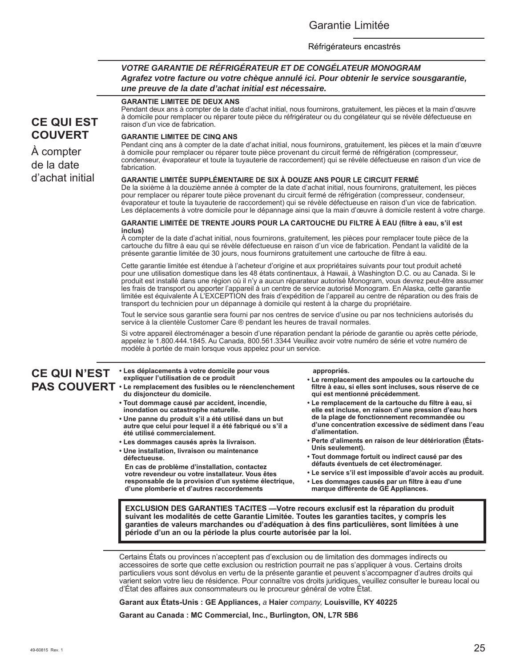# Garantie Limitée

## Réfrigérateurs encastrés

# *VOTRE GARANTIE DE RÉFRIGÉRATEUR ET DE CONGÉLATEUR MONOGRAM Agrafez votre facture ou votre chèque annulé ici. Pour obtenir le service sousgarantie, une preuve de la date d'achat initial est nécessaire.*

# **CE QUI EST COUVERT**

À compter de la date d'achat initial

## **GARANTIE LIMITEE DE DEUX ANS**

Pendant deux ans à compter de la date d'achat initial, nous fournirons, gratuitement, les pièces et la main d'œuvre à domicile pour remplacer ou réparer toute pièce du réfrigérateur ou du congélateur qui se révèle défectueuse en raison d'un vice de fabrication.

## **GARANTIE LIMITEE DE CINQ ANS**

Pendant cinq ans à compter de la date d'achat initial, nous fournirons, gratuitement, les pièces et la main d'œuvre à domicile pour remplacer ou réparer toute pièce provenant du circuit fermé de réfrigération (compresseur, condenseur, évaporateur et toute la tuyauterie de raccordement) qui se révèle défectueuse en raison d'un vice de fabrication.

## **GARANTIE LIMITÉE SUPPLÉMENTAIRE DE SIX À DOUZE ANS POUR LE CIRCUIT FERMÉ**

De la sixième à la douzième année à compter de la date d'achat initial, nous fournirons, gratuitement, les pièces pour remplacer ou réparer toute pièce provenant du circuit fermé de réfrigération (compresseur, condenseur, évaporateur et toute la tuyauterie de raccordement) qui se révèle défectueuse en raison d'un vice de fabrication. Les déplacements à votre domicile pour le dépannage ainsi que la main d'œuvre à domicile restent à votre charge.

## **GARANTIE LIMITÉE DE TRENTE JOURS POUR LA CARTOUCHE DU FILTRE À EAU (filtre à eau, s'il est inclus)**

À compter de la date d'achat initial, nous fournirons, gratuitement, les pièces pour remplacer toute pièce de la cartouche du filtre à eau qui se révèle défectueuse en raison d'un vice de fabrication. Pendant la validité de la présente garantie limitée de 30 jours, nous fournirons gratuitement une cartouche de filtre à eau.

Cette garantie limitée est étendue à l'acheteur d'origine et aux propriétaires suivants pour tout produit acheté pour une utilisation domestique dans les 48 états continentaux, à Hawaii, à Washington D.C. ou au Canada. Si le produit est installé dans une région où il n'y a aucun réparateur autorisé Monogram, vous devrez peut-être assumer les frais de transport ou apporter l'appareil à un centre de service autorisé Monogram. En Alaska, cette garantie limitée est équivalente À L'EXCEPTION des frais d'expédition de l'appareil au centre de réparation ou des frais de transport du technicien pour un dépannage à domicile qui restent à la charge du propriétaire.

Tout le service sous garantie sera fourni par nos centres de service d'usine ou par nos techniciens autorisés du service à la clientèle Customer Care ® pendant les heures de travail normales.

Si votre appareil électroménager a besoin d'une réparation pendant la période de garantie ou après cette période, appelez le 1.800.444.1845. Au Canada, 800.561.3344 Veuillez avoir votre numéro de série et votre numéro de modèle à portée de main lorsque vous appelez pour un service.

### **CE QUI N'EST PAS COUVERT • Le remplacement des fusibles ou le réenclenchement • Les déplacements à votre domicile pour vous expliquer l'utilisation de ce produit du disjoncteur du domicile. • Tout dommage causé par accident, incendie, inondation ou catastrophe naturelle. • Une panne du produit s'il a été utilisé dans un but autre que celui pour lequel il a été fabriqué ou s'il a été utilisé commercialement. • Les dommages causés après la livraison. • Une installation, livraison ou maintenance défectueuse. En cas de problème d'installation, contactez votre revendeur ou votre installateur. Vous êtes responsable de la provision d'un système électrique, d'une plomberie et d'autres raccordements appropriés. • Le remplacement des ampoules ou la cartouche du filtre à eau, si elles sont incluses, sous réserve de ce qui est mentionné précédemment. • Le remplacement de la cartouche du filtre à eau, si elle est incluse, en raison d'une pression d'eau hors de la plage de fonctionnement recommandée ou d'une concentration excessive de sédiment dans l'eau d'alimentation. • Perte d'aliments en raison de leur détérioration (États-Unis seulement). • Tout dommage fortuit ou indirect causé par des défauts éventuels de cet électroménager. • Le service s'il est impossible d'avoir accès au produit. • Les dommages causés par un filtre à eau d'une marque différente de GE Appliances.**

**EXCLUSION DES GARANTIES TACITES —Votre recours exclusif est la réparation du produit suivant les modalités de cette Garantie Limitée. Toutes les garanties tacites, y compris les garanties de valeurs marchandes ou d'adéquation à des fins particulières, sont limitées à une période d'un an ou la période la plus courte autorisée par la loi.**

Certains États ou provinces n'acceptent pas d'exclusion ou de limitation des dommages indirects ou accessoires de sorte que cette exclusion ou restriction pourrait ne pas s'appliquer à vous. Certains droits particuliers vous sont dévolus en vertu de la présente garantie et peuvent s'accompagner d'autres droits qui varient selon votre lieu de résidence. Pour connaître vos droits juridiques, veuillez consulter le bureau local ou d'État des affaires aux consommateurs ou le procureur général de votre État.

**Garant aux États-Unis : GE Appliances,** *a* **Haier** *company,* **Louisville, KY 40225**

**Garant au Canada : MC Commercial, Inc., Burlington, ON, L7R 5B6**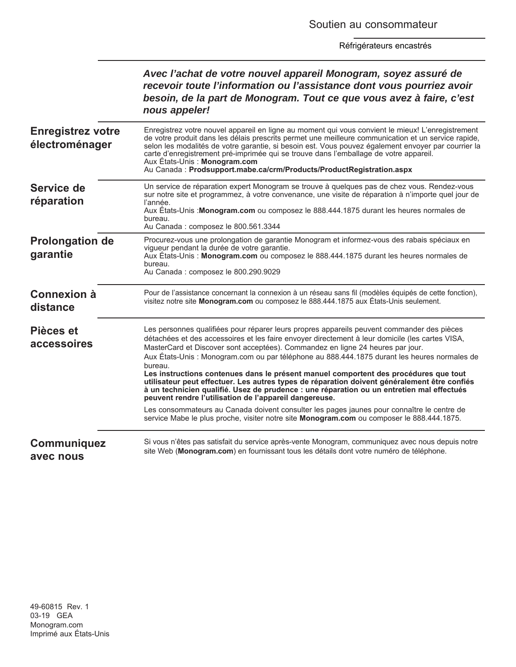|                                            | Avec l'achat de votre nouvel appareil Monogram, soyez assuré de<br>recevoir toute l'information ou l'assistance dont vous pourriez avoir<br>besoin, de la part de Monogram. Tout ce que vous avez à faire, c'est<br>nous appeler!                                                                                                                                                                                                                                                                                                                                                                                                                                                                                                         |
|--------------------------------------------|-------------------------------------------------------------------------------------------------------------------------------------------------------------------------------------------------------------------------------------------------------------------------------------------------------------------------------------------------------------------------------------------------------------------------------------------------------------------------------------------------------------------------------------------------------------------------------------------------------------------------------------------------------------------------------------------------------------------------------------------|
| <b>Enregistrez votre</b><br>électroménager | Enregistrez votre nouvel appareil en ligne au moment qui vous convient le mieux! L'enregistrement<br>de votre produit dans les délais prescrits permet une meilleure communication et un service rapide,<br>selon les modalités de votre garantie, si besoin est. Vous pouvez également envoyer par courrier la<br>carte d'enregistrement pré-imprimée qui se trouve dans l'emballage de votre appareil.<br>Aux Etats-Unis: Monogram.com<br>Au Canada: Prodsupport.mabe.ca/crm/Products/ProductRegistration.aspx                                                                                                                                                                                                                          |
| Service de<br>réparation                   | Un service de réparation expert Monogram se trouve à quelques pas de chez vous. Rendez-vous<br>sur notre site et programmez, à votre convenance, une visite de réparation à n'importe quel jour de<br>l'année.<br>Aux États-Unis : Monogram.com ou composez le 888.444.1875 durant les heures normales de<br>bureau.<br>Au Canada : composez le 800.561.3344                                                                                                                                                                                                                                                                                                                                                                              |
| <b>Prolongation de</b><br>garantie         | Procurez-vous une prolongation de garantie Monogram et informez-vous des rabais spéciaux en<br>vigueur pendant la durée de votre garantie.<br>Aux États-Unis : Monogram.com ou composez le 888.444.1875 durant les heures normales de<br>bureau.<br>Au Canada : composez le 800.290.9029                                                                                                                                                                                                                                                                                                                                                                                                                                                  |
| <b>Connexion à</b><br>distance             | Pour de l'assistance concernant la connexion à un réseau sans fil (modèles équipés de cette fonction),<br>visitez notre site Monogram.com ou composez le 888.444.1875 aux États-Unis seulement.                                                                                                                                                                                                                                                                                                                                                                                                                                                                                                                                           |
| Pièces et<br>accessoires                   | Les personnes qualifiées pour réparer leurs propres appareils peuvent commander des pièces<br>détachées et des accessoires et les faire envoyer directement à leur domicile (les cartes VISA,<br>MasterCard et Discover sont acceptées). Commandez en ligne 24 heures par jour.<br>Aux États-Unis : Monogram.com ou par téléphone au 888.444.1875 durant les heures normales de<br>bureau.<br>Les instructions contenues dans le présent manuel comportent des procédures que tout<br>utilisateur peut effectuer. Les autres types de réparation doivent généralement être confiés<br>à un technicien qualifié. Usez de prudence : une réparation ou un entretien mal effectués<br>peuvent rendre l'utilisation de l'appareil dangereuse. |
|                                            | Les consommateurs au Canada doivent consulter les pages jaunes pour connaître le centre de<br>service Mabe le plus proche, visiter notre site Monogram.com ou composer le 888.444.1875.                                                                                                                                                                                                                                                                                                                                                                                                                                                                                                                                                   |
| Communiquez<br>avec nous                   | Si vous n'êtes pas satisfait du service après-vente Monogram, communiquez avec nous depuis notre<br>site Web (Monogram.com) en fournissant tous les détails dont votre numéro de téléphone.                                                                                                                                                                                                                                                                                                                                                                                                                                                                                                                                               |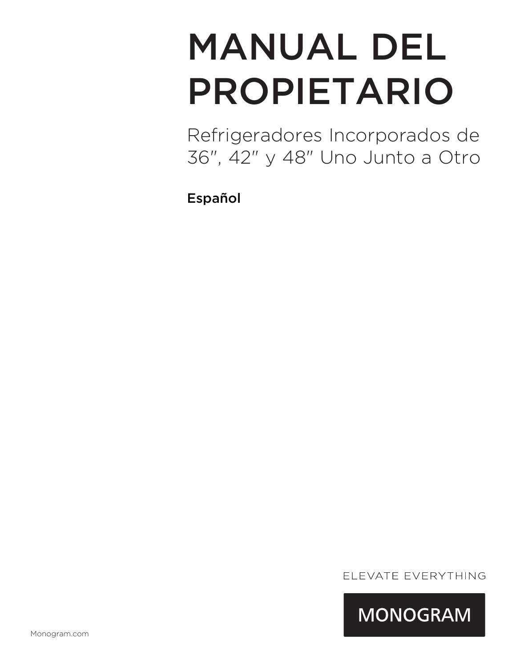# MANUAL DEL PROPIETARIO

Refrigeradores Incorporados de 36", 42" y 48" Uno Junto a Otro

Español

ELEVATE EVERYTHING

**MONOGRAM**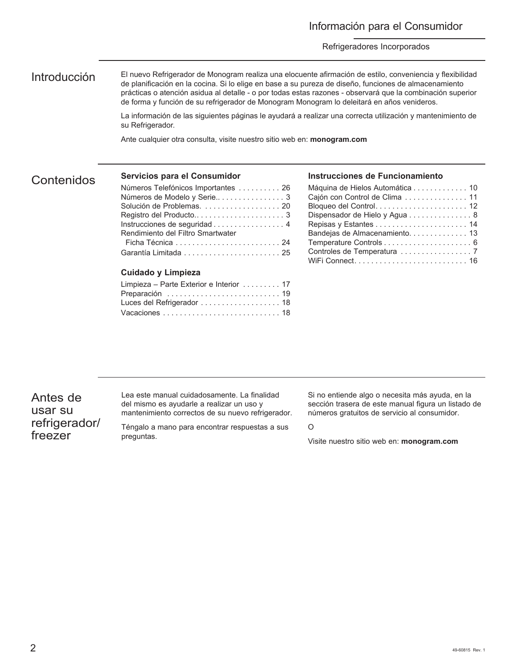# Información para el Consumidor

## Refrigeradores Incorporados

Introducción El nuevo Refrigerador de Monogram realiza una elocuente afirmación de estilo, conveniencia y flexibilidad de planificación en la cocina. Si lo elige en base a su pureza de diseño, funciones de almacenamiento prácticas o atención asidua al detalle - o por todas estas razones - observará que la combinación superior de forma y función de su refrigerador de Monogram Monogram lo deleitará en años venideros.

> La información de las siguientes páginas le ayudará a realizar una correcta utilización y mantenimiento de su Refrigerador.

Ante cualquier otra consulta, visite nuestro sitio web en: **monogram.com**

# Contenidos

# **Servicios para el Consumidor**

| Números Telefónicos Importantes  26 |
|-------------------------------------|
|                                     |
| Solución de Problemas.  20          |
|                                     |
| Instrucciones de seguridad 4        |
| Rendimiento del Filtro Smartwater   |
|                                     |
|                                     |
|                                     |

## **Cuidado y Limpieza**

| Limpieza – Parte Exterior e Interior  17 |  |
|------------------------------------------|--|
| Preparación  19                          |  |
| Luces del Refrigerador 18                |  |
|                                          |  |

## **Instrucciones de Funcionamiento**

| Máquina de Hielos Automática 10 |
|---------------------------------|
| Cajón con Control de Clima  11  |
|                                 |
| Dispensador de Hielo y Agua 8   |
|                                 |
| Bandejas de Almacenamiento 13   |
|                                 |
|                                 |
|                                 |

Antes de usar su refrigerador/ freezer

Lea este manual cuidadosamente. La finalidad del mismo es ayudarle a realizar un uso y mantenimiento correctos de su nuevo refrigerador.

Téngalo a mano para encontrar respuestas a sus preguntas.

Si no entiende algo o necesita más ayuda, en la sección trasera de este manual figura un listado de números gratuitos de servicio al consumidor.

O

Visite nuestro sitio web en: **monogram.com**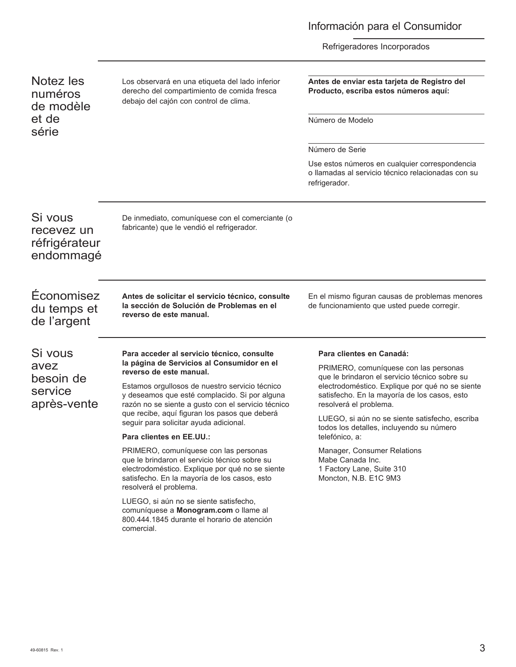# Información para el Consumidor

Refrigeradores Incorporados

| Notez les<br>numéros<br>de modèle<br>et de<br>série | Los observará en una etiqueta del lado inferior<br>derecho del compartimiento de comida fresca<br>debajo del cajón con control de clima.                                                                                                                                     | Antes de enviar esta tarjeta de Registro del<br>Producto, escriba estos números aquí:<br>Número de Modelo                                                                  |
|-----------------------------------------------------|------------------------------------------------------------------------------------------------------------------------------------------------------------------------------------------------------------------------------------------------------------------------------|----------------------------------------------------------------------------------------------------------------------------------------------------------------------------|
|                                                     |                                                                                                                                                                                                                                                                              | Número de Serie                                                                                                                                                            |
|                                                     |                                                                                                                                                                                                                                                                              | Use estos números en cualquier correspondencia<br>o llamadas al servicio técnico relacionadas con su<br>refrigerador.                                                      |
| Si vous<br>recevez un<br>réfrigérateur<br>endommagé | De inmediato, comuníquese con el comerciante (o<br>fabricante) que le vendió el refrigerador.                                                                                                                                                                                |                                                                                                                                                                            |
| Fconomisez<br>du temps et<br>de l'argent            | Antes de solicitar el servicio técnico, consulte<br>la sección de Solución de Problemas en el<br>reverso de este manual.                                                                                                                                                     | En el mismo figuran causas de problemas menores<br>de funcionamiento que usted puede corregir.                                                                             |
| Si vous                                             | Para acceder al servicio técnico, consulte<br>la página de Servicios al Consumidor en el<br>reverso de este manual.<br>Estamos orgullosos de nuestro servicio técnico<br>y deseamos que esté complacido. Si por alguna<br>razón no se siente a gusto con el servicio técnico | Para clientes en Canadá:                                                                                                                                                   |
| avez                                                |                                                                                                                                                                                                                                                                              | PRIMERO, comuníquese con las personas                                                                                                                                      |
| besoin de<br>service<br>après-vente                 |                                                                                                                                                                                                                                                                              | que le brindaron el servicio técnico sobre su<br>electrodoméstico. Explique por qué no se siente<br>satisfecho. En la mayoría de los casos, esto<br>resolverá el problema. |
|                                                     | que recibe, aquí figuran los pasos que deberá<br>seguir para solicitar ayuda adicional.                                                                                                                                                                                      | LUEGO, si aún no se siente satisfecho, escriba<br>todos los detalles, incluyendo su número                                                                                 |
|                                                     | Para clientes en EE.UU.:                                                                                                                                                                                                                                                     | telefónico, a:                                                                                                                                                             |
|                                                     | PRIMERO, comuníquese con las personas<br>que le brindaron el servicio técnico sobre su<br>electrodoméstico. Explique por qué no se siente<br>satisfecho. En la mayoría de los casos, esto<br>resolverá el problema.                                                          | Manager, Consumer Relations<br>Mabe Canada Inc.<br>1 Factory Lane, Suite 310<br>Moncton, N.B. E1C 9M3                                                                      |
|                                                     | LUEGO, si aún no se siente satisfecho,<br>comuníquese a Monogram.com o llame al<br>800.444.1845 durante el horario de atención<br>comercial.                                                                                                                                 |                                                                                                                                                                            |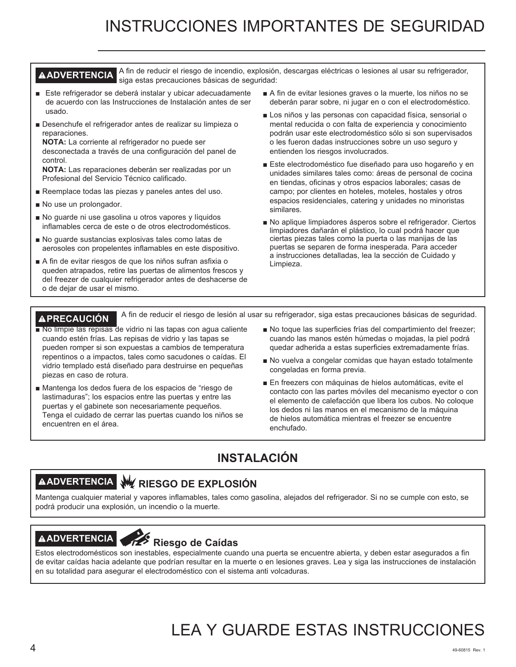# INSTRUCCIONES IMPORTANTES DE SEGURIDAD

## **AADVERTENCIA** A fin de reducir el riesgo de incendio, explosión, descargas eléctricas o lesiones al usar su refrigerador, siga estas precauciones básicas de seguridad:

- Este refrigerador se deberá instalar y ubicar adecuadamente de acuerdo con las Instrucciones de Instalación antes de ser usado.
- Desenchufe el refrigerador antes de realizar su limpieza o reparaciones.

**NOTA:** La corriente al refrigerador no puede ser desconectada a través de una configuración del panel de control.

**NOTA:** Las reparaciones deberán ser realizadas por un Profesional del Servicio Técnico calificado.

- Reemplace todas las piezas y paneles antes del uso.
- No use un prolongador.
- No guarde ni use gasolina u otros vapores y líquidos inflamables cerca de este o de otros electrodomésticos.
- No guarde sustancias explosivas tales como latas de aerosoles con propelentes inflamables en este dispositivo.
- A fin de evitar riesgos de que los niños sufran asfixia o queden atrapados, retire las puertas de alimentos frescos y del freezer de cualquier refrigerador antes de deshacerse de o de dejar de usar el mismo.
- A fin de evitar lesiones graves o la muerte, los niños no se deberán parar sobre, ni jugar en o con el electrodoméstico.
- Los niños y las personas con capacidad física, sensorial o mental reducida o con falta de experiencia y conocimiento podrán usar este electrodoméstico sólo si son supervisados o les fueron dadas instrucciones sobre un uso seguro y entienden los riesgos involucrados.
- Este electrodoméstico fue diseñado para uso hogareño y en unidades similares tales como: áreas de personal de cocina en tiendas, oficinas y otros espacios laborales; casas de campo; por clientes en hoteles, moteles, hostales y otros espacios residenciales, catering y unidades no minoristas similares.
- No aplique limpiadores ásperos sobre el refrigerador. Ciertos limpiadores dañarán el plástico, lo cual podrá hacer que ciertas piezas tales como la puerta o las manijas de las puertas se separen de forma inesperada. Para acceder a instrucciones detalladas, lea la sección de Cuidado y Limpieza.

**PRECAUCIÓN** A fin de reducir el riesgo de lesión al usar su refrigerador, siga estas precauciones básicas de seguridad.

- No limpie las repisas de vidrio ni las tapas con agua caliente cuando estén frías. Las repisas de vidrio y las tapas se pueden romper si son expuestas a cambios de temperatura repentinos o a impactos, tales como sacudones o caídas. El vidrio templado está diseñado para destruirse en pequeñas piezas en caso de rotura.
- Mantenga los dedos fuera de los espacios de "riesgo de lastimaduras"; los espacios entre las puertas y entre las puertas y el gabinete son necesariamente pequeños. Tenga el cuidado de cerrar las puertas cuando los niños se encuentren en el área.
- No toque las superficies frías del compartimiento del freezer; cuando las manos estén húmedas o mojadas, la piel podrá quedar adherida a estas superficies extremadamente frías.
- No vuelva a congelar comidas que hayan estado totalmente congeladas en forma previa.
- En freezers con máquinas de hielos automáticas, evite el contacto con las partes móviles del mecanismo eyector o con el elemento de calefacción que libera los cubos. No coloque los dedos ni las manos en el mecanismo de la máquina de hielos automática mientras el freezer se encuentre enchufado.

# **INSTALACIÓN**

# **ADVERTENCIA RIESGO DE EXPLOSIÓN**

Mantenga cualquier material y vapores inflamables, tales como gasolina, alejados del refrigerador. Si no se cumple con esto, se podrá producir una explosión, un incendio o la muerte.

# **ADVERTENCIA Riesgo de Caídas**

Estos electrodomésticos son inestables, especialmente cuando una puerta se encuentre abierta, y deben estar asegurados a fin de evitar caídas hacia adelante que podrían resultar en la muerte o en lesiones graves. Lea y siga las instrucciones de instalación en su totalidad para asegurar el electrodoméstico con el sistema anti volcaduras.

# LEA Y GUARDE ESTAS INSTRUCCIONES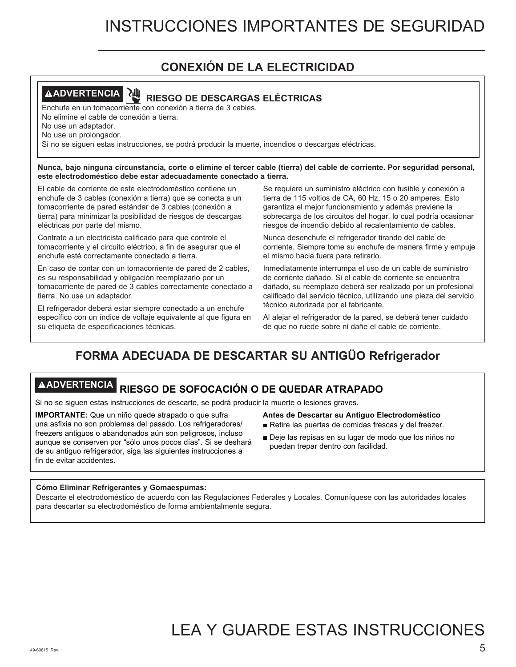# **CONEXIÓN DE LA ELECTRICIDAD**



# **ADVERTENCIA RIESGO DE DESCARGAS ELÉCTRICAS**

Enchufe en un tomacorriente con conexión a tierra de 3 cables. No elimine el cable de conexión a tierra.

No use un adaptador.

No use un prolongador.

Si no se siguen estas instrucciones, se podrá producir la muerte, incendios o descargas eléctricas.

**Nunca, bajo ninguna circunstancia, corte o elimine el tercer cable (tierra) del cable de corriente. Por seguridad personal, este electrodoméstico debe estar adecuadamente conectado a tierra.** 

El cable de corriente de este electrodoméstico contiene un enchufe de 3 cables (conexión a tierra) que se conecta a un tomacorriente de pared estándar de 3 cables (conexión a tierra) para minimizar la posibilidad de riesgos de descargas eléctricas por parte del mismo.

Contrate a un electricista calificado para que controle el tomacorriente y el circuito eléctrico, a fin de asegurar que el enchufe esté correctamente conectado a tierra.

En caso de contar con un tomacorriente de pared de 2 cables, es su responsabilidad y obligación reemplazarlo por un tomacorriente de pared de 3 cables correctamente conectado a tierra. No use un adaptador.

El refrigerador deberá estar siempre conectado a un enchufe específico con un índice de voltaje equivalente al que figura en su etiqueta de especificaciones técnicas.

Se requiere un suministro eléctrico con fusible y conexión a tierra de 115 voltios de CA, 60 Hz, 15 o 20 amperes. Esto garantiza el mejor funcionamiento y además previene la sobrecarga de los circuitos del hogar, lo cual podría ocasionar riesgos de incendio debido al recalentamiento de cables.

Nunca desenchufe el refrigerador tirando del cable de corriente. Siempre tome su enchufe de manera firme y empuje el mismo hacia fuera para retirarlo.

Inmediatamente interrumpa el uso de un cable de suministro de corriente dañado. Si el cable de corriente se encuentra dañado, su reemplazo deberá ser realizado por un profesional calificado del servicio técnico, utilizando una pieza del servicio técnico autorizada por el fabricante.

Al alejar el refrigerador de la pared, se deberá tener cuidado de que no ruede sobre ni dañe el cable de corriente.

# **FORMA ADECUADA DE DESCARTAR SU ANTIGÜO Refrigerador**

# **ADVERTENCIA RIESGO DE SOFOCACIÓN O DE QUEDAR ATRAPADO**

Si no se siguen estas instrucciones de descarte, se podrá producir la muerte o lesiones graves.

**IMPORTANTE:** Que un niño quede atrapado o que sufra una asfixia no son problemas del pasado. Los refrigeradores/ freezers antiguos o abandonados aún son peligrosos, incluso aunque se conserven por "sólo unos pocos días". Si se deshará de su antiguo refrigerador, siga las siguientes instrucciones a fin de evitar accidentes.

- **Antes de Descartar su Antiguo Electrodoméstico**
- Retire las puertas de comidas frescas y del freezer.
- Deje las repisas en su lugar de modo que los niños no puedan trepar dentro con facilidad.

# **Cómo Eliminar Refrigerantes y Gomaespumas:**

Descarte el electrodoméstico de acuerdo con las Regulaciones Federales y Locales. Comuníquese con las autoridades locales para descartar su electrodoméstico de forma ambientalmente segura.

# LEA Y GUARDE ESTAS INSTRUCCIONES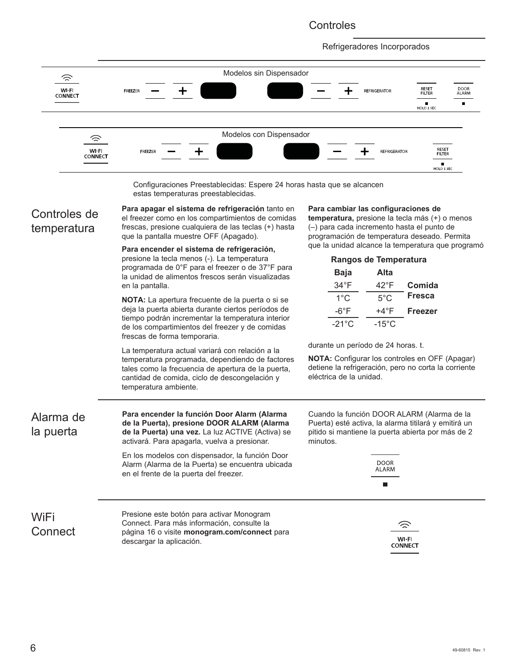# **Controles**

Refrigeradores Incorporados





# Controles de temperatura

**Para apagar el sistema de refrigeración** tanto en el freezer como en los compartimientos de comidas frescas, presione cualquiera de las teclas (+) hasta que la pantalla muestre OFF (Apagado).

**Para encender el sistema de refrigeración,**  presione la tecla menos (-). La temperatura programada de 0°F para el freezer o de 37°F para la unidad de alimentos frescos serán visualizadas en la pantalla.

**NOTA:** La apertura frecuente de la puerta o si se deja la puerta abierta durante ciertos períodos de tiempo podrán incrementar la temperatura interior de los compartimientos del freezer y de comidas frescas de forma temporaria.

La temperatura actual variará con relación a la temperatura programada, dependiendo de factores tales como la frecuencia de apertura de la puerta, cantidad de comida, ciclo de descongelación y temperatura ambiente.

## **Para cambiar las configuraciones de**

**temperatura,** presione la tecla más (+) o menos (–) para cada incremento hasta el punto de programación de temperatura deseado. Permita que la unidad alcance la temperatura que programó

| Rangos de Temperatura |                 |                |
|-----------------------|-----------------|----------------|
| Baja                  | Alta            |                |
| $34^{\circ}$ F        | 42°F            | Comida         |
| $1^{\circ}$ C         | $5^{\circ}$ C   | <b>Fresca</b>  |
| -6°F                  | +4°F            | <b>Freezer</b> |
| $-21^{\circ}$ C       | $-15^{\circ}$ C |                |

durante un período de 24 horas. t.

**NOTA:** Configurar los controles en OFF (Apagar) detiene la refrigeración, pero no corta la corriente eléctrica de la unidad.

| Alarma de<br>la puerta | Para encender la función Door Alarm (Alarma<br>de la Puerta), presione DOOR ALARM (Alarma<br>de la Puerta) una vez. La luz ACTIVE (Activa) se<br>activará. Para apagarla, vuelva a presionar. | Cuando la función DOOR ALARM (Alarma de la<br>Puerta) esté activa, la alarma titilará y emitirá un<br>pitido si mantiene la puerta abierta por más de 2<br>minutos. |
|------------------------|-----------------------------------------------------------------------------------------------------------------------------------------------------------------------------------------------|---------------------------------------------------------------------------------------------------------------------------------------------------------------------|
|                        | En los modelos con dispensador, la función Door<br>Alarm (Alarma de la Puerta) se encuentra ubicada<br>en el frente de la puerta del freezer.                                                 | <b>DOOR</b><br>ALARM<br>п                                                                                                                                           |
| WiFi<br>Connect        | Presione este botón para activar Monogram<br>Connect. Para más información, consulte la<br>página 16 o visite monogram.com/connect para<br>descargar la aplicación.                           | $\widehat{\mathbb{Z}}$<br>WI-FI<br><b>CONNECT</b>                                                                                                                   |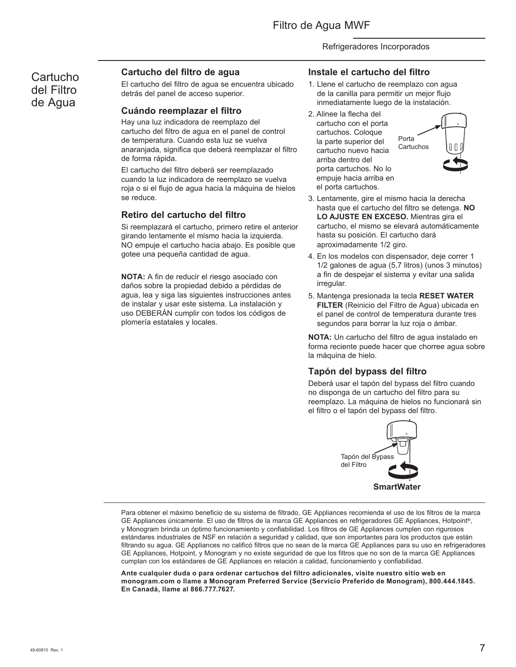# **Cartucho** del Filtro de Agua

# **Cartucho del filtro de agua**

El cartucho del filtro de agua se encuentra ubicado detrás del panel de acceso superior.

# **Cuándo reemplazar el filtro**

Hay una luz indicadora de reemplazo del cartucho del filtro de agua en el panel de control de temperatura. Cuando esta luz se vuelva anaranjada, significa que deberá reemplazar el filtro de forma rápida.

El cartucho del filtro deberá ser reemplazado cuando la luz indicadora de reemplazo se vuelva roja o si el flujo de agua hacia la máquina de hielos se reduce.

# **Retiro del cartucho del filtro**

Si reemplazará el cartucho, primero retire el anterior girando lentamente el mismo hacia la izquierda. NO empuje el cartucho hacia abajo. Es posible que gotee una pequeña cantidad de agua.

**NOTA:** A fin de reducir el riesgo asociado con daños sobre la propiedad debido a pérdidas de agua, lea y siga las siguientes instrucciones antes de instalar y usar este sistema. La instalación y uso DEBERÁN cumplir con todos los códigos de plomería estatales y locales.

- **Instale el cartucho del filtro**
- 1. Llene el cartucho de reemplazo con agua de la canilla para permitir un mejor flujo inmediatamente luego de la instalación.
- 2. Alinee la flecha del cartucho con el porta cartuchos. Coloque la parte superior del cartucho nuevo hacia arriba dentro del porta cartuchos. No lo empuje hacia arriba en el porta cartuchos.



- 3. Lentamente, gire el mismo hacia la derecha hasta que el cartucho del filtro se detenga. **NO LO AJUSTE EN EXCESO.** Mientras gira el cartucho, el mismo se elevará automáticamente hasta su posición. El cartucho dará aproximadamente 1/2 giro.
- 4. En los modelos con dispensador, deje correr 1 1/2 galones de agua (5,7 litros) (unos 3 minutos) a fin de despejar el sistema y evitar una salida irregular.
- 5. Mantenga presionada la tecla **RESET WATER FILTER** (Reinicio del Filtro de Agua) ubicada en el panel de control de temperatura durante tres segundos para borrar la luz roja o ámbar.

**NOTA:** Un cartucho del filtro de agua instalado en forma reciente puede hacer que chorree agua sobre la máquina de hielo.

# **Tapón del bypass del filtro**

Deberá usar el tapón del bypass del filtro cuando no disponga de un cartucho del filtro para su reemplazo. La máquina de hielos no funcionará sin el filtro o el tapón del bypass del filtro.



Para obtener el máximo beneficio de su sistema de filtrado, GE Appliances recomienda el uso de los filtros de la marca GE Appliances únicamente. El uso de filtros de la marca GE Appliances en refrigeradores GE Appliances, Hotpoint®, y Monogram brinda un óptimo funcionamiento y confiabilidad. Los filtros de GE Appliances cumplen con rigurosos estándares industriales de NSF en relación a seguridad y calidad, que son importantes para los productos que están filtrando su agua. GE Appliances no calificó filtros que no sean de la marca GE Appliances para su uso en refrigeradores GE Appliances, Hotpoint, y Monogram y no existe seguridad de que los filtros que no son de la marca GE Appliances cumplan con los estándares de GE Appliances en relación a calidad, funcionamiento y confiabilidad.

**Ante cualquier duda o para ordenar cartuchos del filtro adicionales, visite nuestro sitio web en monogram.com o llame a Monogram Preferred Service (Servicio Preferido de Monogram), 800.444.1845. En Canadá, llame al 866.777.7627.**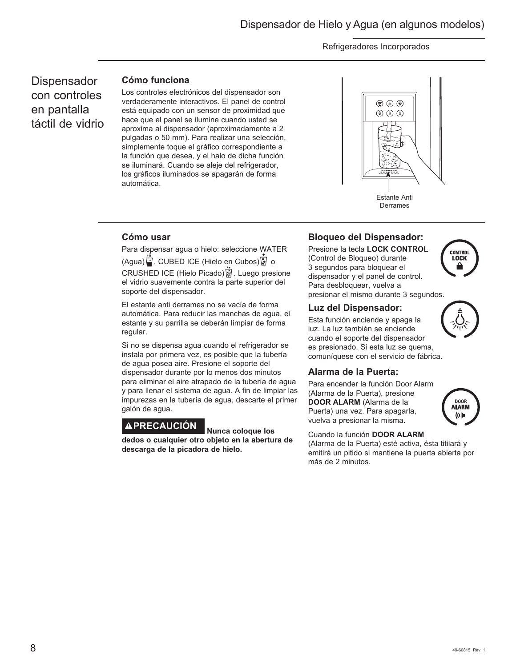**Dispensador** con controles en pantalla táctil de vidrio

# **Cómo funciona**

Los controles electrónicos del dispensador son verdaderamente interactivos. El panel de control está equipado con un sensor de proximidad que hace que el panel se ilumine cuando usted se aproxima al dispensador (aproximadamente a 2 pulgadas o 50 mm). Para realizar una selección, simplemente toque el gráfico correspondiente a la función que desea, y el halo de dicha función se iluminará. Cuando se aleje del refrigerador, los gráficos iluminados se apagarán de forma automática.



# **Cómo usar**

Para dispensar agua o hielo: seleccione WATER (Agua) (CUBED ICE (Hielo en Cubos) ? o CRUSHED ICE (Hielo Picado) . Luego presione el vidrio suavemente contra la parte superior del soporte del dispensador.

El estante anti derrames no se vacía de forma automática. Para reducir las manchas de agua, el estante y su parrilla se deberán limpiar de forma regular.

Si no se dispensa agua cuando el refrigerador se instala por primera vez, es posible que la tubería de agua posea aire. Presione el soporte del dispensador durante por lo menos dos minutos para eliminar el aire atrapado de la tubería de agua y para llenar el sistema de agua. A fin de limpiar las impurezas en la tubería de agua, descarte el primer galón de agua.

# **PRECAUCIÓN Nunca coloque los**

**dedos o cualquier otro objeto en la abertura de descarga de la picadora de hielo.**

# **Bloqueo del Dispensador:**

Presione la tecla **LOCK CONTROL** (Control de Bloqueo) durante 3 segundos para bloquear el dispensador y el panel de control. Para desbloquear, vuelva a presionar el mismo durante 3 segundos.



Esta función enciende y apaga la luz. La luz también se enciende cuando el soporte del dispensador es presionado. Si esta luz se quema, comuníquese con el servicio de fábrica.

# **Alarma de la Puerta:**

Para encender la función Door Alarm (Alarma de la Puerta), presione **DOOR ALARM** (Alarma de la Puerta) una vez. Para apagarla, vuelva a presionar la misma.



# Cuando la función **DOOR ALARM**

(Alarma de la Puerta) esté activa, ésta titilará y emitirá un pitido si mantiene la puerta abierta por más de 2 minutos.



**CONTROL LOCK**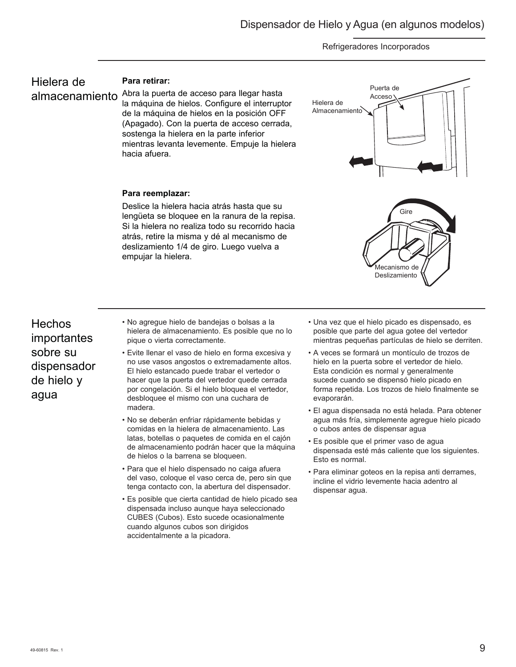# Hielera de almacenamiento

# **Para retirar:**

Abra la puerta de acceso para llegar hasta la máquina de hielos. Configure el interruptor de la máquina de hielos en la posición OFF (Apagado). Con la puerta de acceso cerrada, sostenga la hielera en la parte inferior mientras levanta levemente. Empuje la hielera hacia afuera.



# **Para reemplazar:**

Deslice la hielera hacia atrás hasta que su lengüeta se bloquee en la ranura de la repisa. Si la hielera no realiza todo su recorrido hacia atrás, retire la misma y dé al mecanismo de deslizamiento 1/4 de giro. Luego vuelva a empujar la hielera.

**Hechos** importantes sobre su dispensador de hielo y agua

- No agregue hielo de bandejas o bolsas a la hielera de almacenamiento. Es posible que no lo pique o vierta correctamente.
- Evite llenar el vaso de hielo en forma excesiva y no use vasos angostos o extremadamente altos. El hielo estancado puede trabar el vertedor o hacer que la puerta del vertedor quede cerrada por congelación. Si el hielo bloquea el vertedor, desbloquee el mismo con una cuchara de madera.
- No se deberán enfriar rápidamente bebidas y comidas en la hielera de almacenamiento. Las latas, botellas o paquetes de comida en el cajón de almacenamiento podrán hacer que la máquina de hielos o la barrena se bloqueen.
- Para que el hielo dispensado no caiga afuera del vaso, coloque el vaso cerca de, pero sin que tenga contacto con, la abertura del dispensador.
- Es posible que cierta cantidad de hielo picado sea dispensada incluso aunque haya seleccionado CUBES (Cubos). Esto sucede ocasionalmente cuando algunos cubos son dirigidos accidentalmente a la picadora.

• Una vez que el hielo picado es dispensado, es posible que parte del agua gotee del vertedor mientras pequeñas partículas de hielo se derriten.

Deslizamiento

- A veces se formará un montículo de trozos de hielo en la puerta sobre el vertedor de hielo. Esta condición es normal y generalmente sucede cuando se dispensó hielo picado en forma repetida. Los trozos de hielo finalmente se evaporarán.
- El agua dispensada no está helada. Para obtener agua más fría, simplemente agregue hielo picado o cubos antes de dispensar agua
- Es posible que el primer vaso de agua dispensada esté más caliente que los siguientes. Esto es normal.
- Para eliminar goteos en la repisa anti derrames, incline el vidrio levemente hacia adentro al dispensar agua.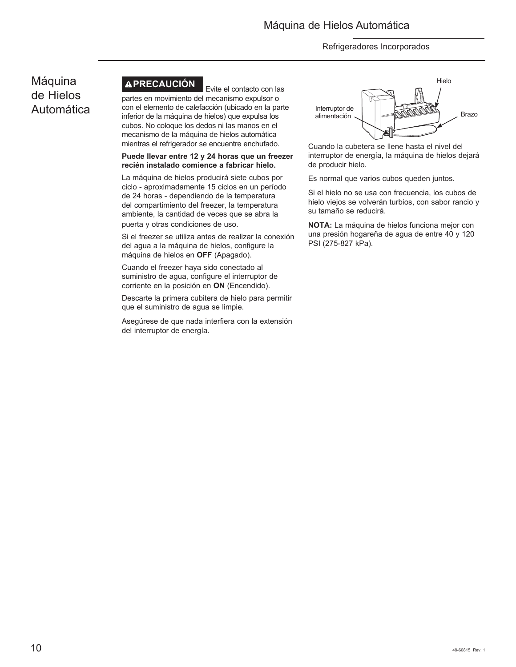# Máquina de Hielos Automática

# **APRECAUCIÓN** Evite el contacto con las

partes en movimiento del mecanismo expulsor o con el elemento de calefacción (ubicado en la parte inferior de la máquina de hielos) que expulsa los cubos. No coloque los dedos ni las manos en el mecanismo de la máquina de hielos automática mientras el refrigerador se encuentre enchufado.

## **Puede llevar entre 12 y 24 horas que un freezer recién instalado comience a fabricar hielo.**

La máquina de hielos producirá siete cubos por ciclo - aproximadamente 15 ciclos en un período de 24 horas - dependiendo de la temperatura del compartimiento del freezer, la temperatura ambiente, la cantidad de veces que se abra la puerta y otras condiciones de uso.

Si el freezer se utiliza antes de realizar la conexión del agua a la máquina de hielos, configure la máquina de hielos en **OFF** (Apagado).

Cuando el freezer haya sido conectado al suministro de agua, configure el interruptor de corriente en la posición en **ON** (Encendido).

Descarte la primera cubitera de hielo para permitir que el suministro de agua se limpie.

Asegúrese de que nada interfiera con la extensión del interruptor de energía.



Cuando la cubetera se llene hasta el nivel del interruptor de energía, la máquina de hielos dejará de producir hielo.

Es normal que varios cubos queden juntos.

Si el hielo no se usa con frecuencia, los cubos de hielo viejos se volverán turbios, con sabor rancio y su tamaño se reducirá.

**NOTA:** La máquina de hielos funciona mejor con una presión hogareña de agua de entre 40 y 120 PSI (275-827 kPa).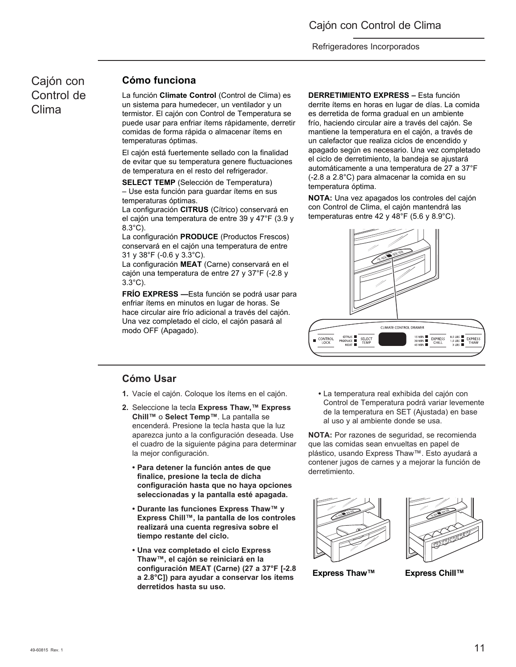# Cajón con Control de Clima

# **Cómo funciona**

La función **Climate Control** (Control de Clima) es un sistema para humedecer, un ventilador y un termistor. El cajón con Control de Temperatura se puede usar para enfriar ítems rápidamente, derretir comidas de forma rápida o almacenar ítems en temperaturas óptimas.

El cajón está fuertemente sellado con la finalidad de evitar que su temperatura genere fluctuaciones de temperatura en el resto del refrigerador.

**SELECT TEMP** (Selección de Temperatura) – Use esta función para guardar ítems en sus temperaturas óptimas.

La configuración **CITRUS** (Cítrico) conservará en el cajón una temperatura de entre 39 y 47°F (3.9 y 8.3°C).

La configuración **PRODUCE** (Productos Frescos) conservará en el cajón una temperatura de entre 31 y 38°F (-0.6 y 3.3°C).

La configuración **MEAT** (Carne) conservará en el cajón una temperatura de entre 27 y 37°F (-2.8 y 3.3°C).

**FRÍO EXPRESS —**Esta función se podrá usar para enfriar ítems en minutos en lugar de horas. Se hace circular aire frío adicional a través del cajón. Una vez completado el ciclo, el cajón pasará al modo OFF (Apagado).

**DERRETIMIENTO EXPRESS –** Esta función

derrite ítems en horas en lugar de días. La comida es derretida de forma gradual en un ambiente frío, haciendo circular aire a través del cajón. Se mantiene la temperatura en el cajón, a través de un calefactor que realiza ciclos de encendido y apagado según es necesario. Una vez completado el ciclo de derretimiento, la bandeja se ajustará automáticamente a una temperatura de 27 a 37°F (-2.8 a 2.8°C) para almacenar la comida en su temperatura óptima.

**NOTA:** Una vez apagados los controles del cajón con Control de Clima, el cajón mantendrá las temperaturas entre 42 y 48°F (5.6 y 8.9°C).



# **Cómo Usar**

- **1.** Vacíe el cajón. Coloque los ítems en el cajón.
- **2.** Seleccione la tecla **Express Thaw,™ Express Chill™** o **Select Temp™**. La pantalla se encenderá. Presione la tecla hasta que la luz aparezca junto a la configuración deseada. Use el cuadro de la siguiente página para determinar la mejor configuración.
	- **Para detener la función antes de que finalice, presione la tecla de dicha configuración hasta que no haya opciones seleccionadas y la pantalla esté apagada.**
	- **Durante las funciones Express Thaw™ y Express Chill™, la pantalla de los controles realizará una cuenta regresiva sobre el tiempo restante del ciclo.**
	- **Una vez completado el ciclo Express Thaw™, el cajón se reiniciará en la configuración MEAT (Carne) (27 a 37°F [-2.8 a 2.8°C]) para ayudar a conservar los ítems derretidos hasta su uso.**

 **•** La temperatura real exhibida del cajón con Control de Temperatura podrá variar levemente de la temperatura en SET (Ajustada) en base al uso y al ambiente donde se usa.

**NOTA:** Por razones de seguridad, se recomienda que las comidas sean envueltas en papel de plástico, usando Express Thaw™. Esto ayudará a contener jugos de carnes y a mejorar la función de derretimiento.





**Express Thaw™ Express Chill™**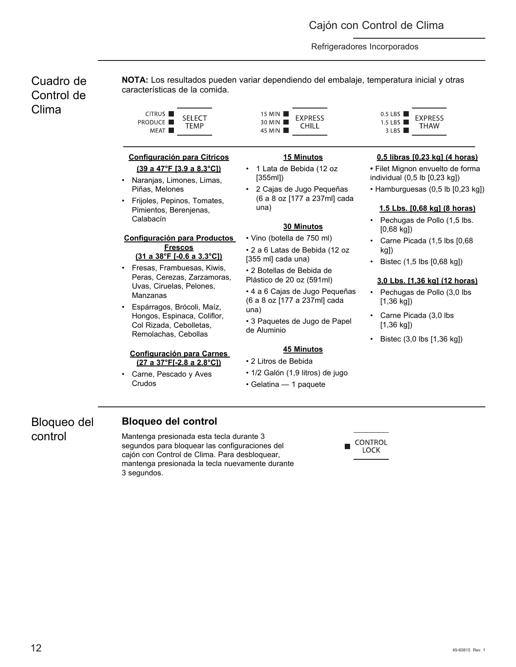Cuadro de Control de Clima

**NOTA:** Los resultados pueden variar dependiendo del embalaje, temperatura inicial y otras características de la comida.

| CITRUS <sup>I</sup> | SELECT |
|---------------------|--------|
| <b>PRODUCE</b>      | TEMP   |
| MEAT I              |        |

# **Configuración para Cítricos (39 a 47°F [3.9 a 8.3°C])**

- Naranjas, Limones, Limas, Piñas, Melones
- Frijoles, Pepinos, Tomates, Pimientos, Berenjenas, Calabacín

## **Configuración para Productos Frescos (31 a 38°F [-0.6 a 3.3°C])**

- Fresas, Frambuesas, Kiwis, Peras, Cerezas, Zarzamoras, Uvas, Ciruelas, Pelones, Manzanas
- Espárragos, Brócoli, Maíz, Hongos, Espinaca, Coliflor, Col Rizada, Cebolletas, Remolachas, Cebollas

## **Configuración para Carnes (27 a 37°F[-2.8 a 2.8°C])**

Carne, Pescado y Aves Crudos

15 MIN **EXPRESS** 30 MIN CHILL 45 MIN

# **15 Minutos**

- 1 Lata de Bebida (12 oz [355ml])
- 2 Cajas de Jugo Pequeñas (6 a 8 oz [177 a 237ml] cada una)

## **30 Minutos**

• Vino (botella de 750 ml) • 2 a 6 Latas de Bebida (12 oz [355 ml] cada una)

• 2 Botellas de Bebida de Plástico de 20 oz (591ml)

• 4 a 6 Cajas de Jugo Pequeñas (6 a 8 oz [177 a 237ml] cada una)

• 3 Paquetes de Jugo de Papel de Aluminio

# **45 Minutos**

- 2 Litros de Bebida
- 1/2 Galón (1,9 litros) de jugo
- Gelatina 1 paquete

 $0.5$  LBS **EXPRESS** 1.5 LBS  $\blacksquare$ THAW  $3$  LBS

# **0,5 libras [0,23 kg] (4 horas)**

- **•** Filet Mignon envuelto de forma individual (0,5 lb [0,23 kg])
- Hamburguesas (0,5 lb [0,23 kg])

# **1.5 Lbs. [0,68 kg] (8 horas)**

- Pechugas de Pollo (1,5 lbs. [0,68 kg])
- Carne Picada (1,5 lbs [0,68 kg])
- Bistec (1,5 lbs [0,68 kg])

## **3,0 Lbs. [1,36 kg] (12 horas)**

- Pechugas de Pollo (3,0 lbs [1,36 kg])
- Carne Picada (3,0 lbs [1,36 kg])
- Bistec (3,0 lbs [1,36 kg])

Bloqueo del control

# **Bloqueo del control**

Mantenga presionada esta tecla durante 3 segundos para bloquear las configuraciones del cajón con Control de Clima. Para desbloquear, mantenga presionada la tecla nuevamente durante 3 segundos.

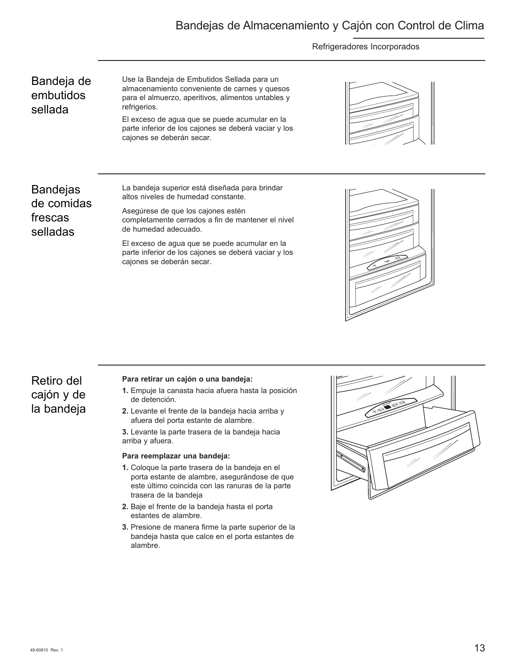# Bandejas de Almacenamiento y Cajón con Control de Clima

## Refrigeradores Incorporados

# Bandeja de embutidos sellada

Use la Bandeja de Embutidos Sellada para un almacenamiento conveniente de carnes y quesos para el almuerzo, aperitivos, alimentos untables y refrigerios.

El exceso de agua que se puede acumular en la parte inferior de los cajones se deberá vaciar y los cajones se deberán secar.



Bandejas de comidas frescas selladas

La bandeja superior está diseñada para brindar altos niveles de humedad constante.

Asegúrese de que los cajones estén completamente cerrados a fin de mantener el nivel de humedad adecuado.

El exceso de agua que se puede acumular en la parte inferior de los cajones se deberá vaciar y los cajones se deberán secar.



# Retiro del cajón y de la bandeja

## **Para retirar un cajón o una bandeja:**

- **1.** Empuje la canasta hacia afuera hasta la posición de detención.
- **2.** Levante el frente de la bandeja hacia arriba y afuera del porta estante de alambre.

**3.** Levante la parte trasera de la bandeja hacia arriba y afuera.

## **Para reemplazar una bandeja:**

- **1.** Coloque la parte trasera de la bandeja en el porta estante de alambre, asegurándose de que este último coincida con las ranuras de la parte trasera de la bandeja
- **2.** Baje el frente de la bandeja hasta el porta estantes de alambre.
- **3.** Presione de manera firme la parte superior de la bandeja hasta que calce en el porta estantes de alambre.

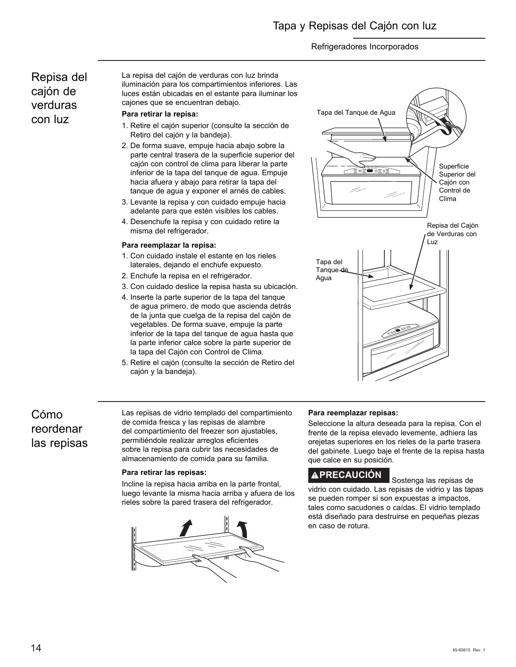# Repisa del cajón de verduras con luz

La repisa del cajón de verduras con luz brinda iluminación para los compartimientos inferiores. Las luces están ubicadas en el estante para iluminar los cajones que se encuentran debajo.

# **Para retirar la repisa:**

- 1. Retire el cajón superior (consulte la sección de Retiro del cajón y la bandeja).
- 2. De forma suave, empuje hacia abajo sobre la parte central trasera de la superficie superior del cajón con control de clima para liberar la parte inferior de la tapa del tanque de agua. Empuje hacia afuera y abajo para retirar la tapa del tanque de agua y exponer el arnés de cables.
- 3. Levante la repisa y con cuidado empuje hacia adelante para que estén visibles los cables.
- 4. Desenchufe la repisa y con cuidado retire la misma del refrigerador.

## **Para reemplazar la repisa:**

- 1. Con cuidado instale el estante en los rieles laterales, dejando el enchufe expuesto.
- 2. Enchufe la repisa en el refrigerador.
- 3. Con cuidado deslice la repisa hasta su ubicación.
- 4. Inserte la parte superior de la tapa del tanque de agua primero, de modo que ascienda detrás de la junta que cuelga de la repisa del cajón de vegetables. De forma suave, empuje la parte inferior de la tapa del tanque de agua hasta que la parte inferior calce sobre la parte superior de la tapa del Cajón con Control de Clima.
- 5. Retire el cajón (consulte la sección de Retiro del cajón y la bandeja).



# Cómo reordenar las repisas

Las repisas de vidrio templado del compartimiento de comida fresca y las repisas de alambre del compartimiento del freezer son ajustables, permitiéndole realizar arreglos eficientes sobre la repisa para cubrir las necesidades de almacenamiento de comida para su familia.

## **Para retirar las repisas:**

Incline la repisa hacia arriba en la parte frontal, luego levante la misma hacia arriba y afuera de los rieles sobre la pared trasera del refrigerador.



## **Para reemplazar repisas:**

Seleccione la altura deseada para la repisa. Con el frente de la repisa elevado levemente, adhiera las orejetas superiores en los rieles de la parte trasera del gabinete. Luego baje el frente de la repisa hasta que calce en su posición.

# **PRECAUCIÓN** Sostenga las repisas de

vidrio con cuidado. Las repisas de vidrio y las tapas se pueden romper si son expuestas a impactos, tales como sacudones o caídas. El vidrio templado está diseñado para destruirse en pequeñas piezas en caso de rotura.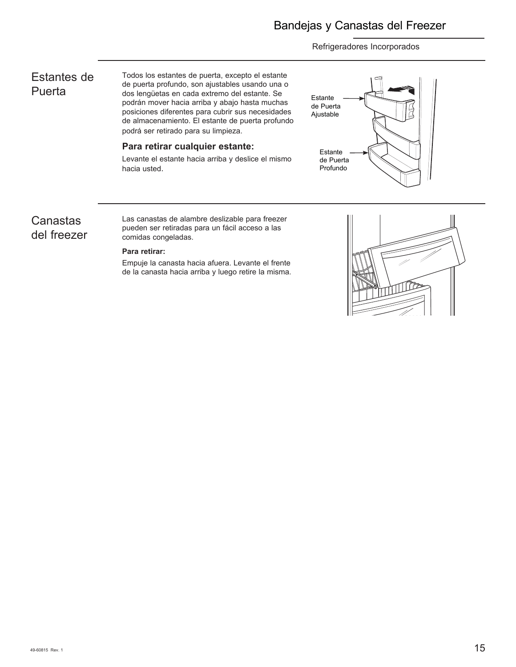# Estantes de **Puerta**

Todos los estantes de puerta, excepto el estante de puerta profundo, son ajustables usando una o dos lengüetas en cada extremo del estante. Se podrán mover hacia arriba y abajo hasta muchas posiciones diferentes para cubrir sus necesidades de almacenamiento. El estante de puerta profundo podrá ser retirado para su limpieza.

### **Para retirar cualquier estante:**

Levante el estante hacia arriba y deslice el mismo hacia usted.



## Canastas del freezer

Las canastas de alambre deslizable para freezer pueden ser retiradas para un fácil acceso a las comidas congeladas.

### **Para retirar:**

Empuje la canasta hacia afuera. Levante el frente de la canasta hacia arriba y luego retire la misma.

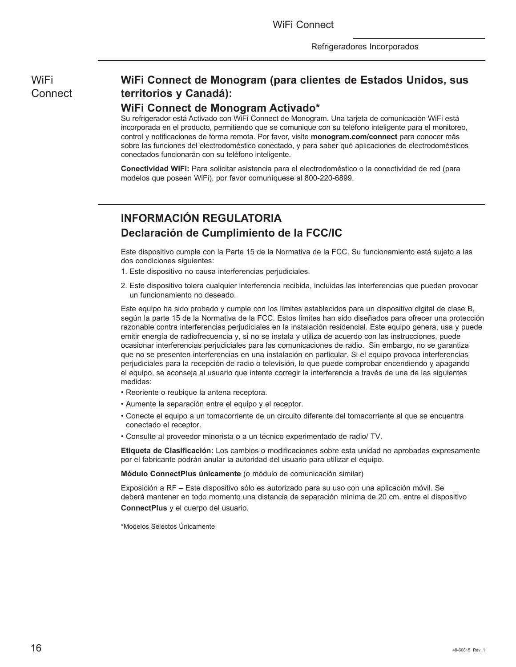WiFi **Connect** 

## **WiFi Connect de Monogram (para clientes de Estados Unidos, sus territorios y Canadá):**

## **WiFi Connect de Monogram Activado\***

Su refrigerador está Activado con WiFi Connect de Monogram. Una tarjeta de comunicación WiFi está incorporada en el producto, permitiendo que se comunique con su teléfono inteligente para el monitoreo, control y notificaciones de forma remota. Por favor, visite **monogram.com/connect** para conocer más sobre las funciones del electrodoméstico conectado, y para saber qué aplicaciones de electrodomésticos conectados funcionarán con su teléfono inteligente.

**Conectividad WiFi:** Para solicitar asistencia para el electrodoméstico o la conectividad de red (para modelos que poseen WiFi), por favor comuníquese al 800-220-6899.

# **INFORMACIÓN REGULATORIA Declaración de Cumplimiento de la FCC/IC**

Este dispositivo cumple con la Parte 15 de la Normativa de la FCC. Su funcionamiento está sujeto a las dos condiciones siguientes:

- 1. Este dispositivo no causa interferencias perjudiciales.
- 2. Este dispositivo tolera cualquier interferencia recibida, incluidas las interferencias que puedan provocar un funcionamiento no deseado.

Este equipo ha sido probado y cumple con los límites establecidos para un dispositivo digital de clase B, según la parte 15 de la Normativa de la FCC. Estos límites han sido diseñados para ofrecer una protección razonable contra interferencias perjudiciales en la instalación residencial. Este equipo genera, usa y puede emitir energía de radiofrecuencia y, si no se instala y utiliza de acuerdo con las instrucciones, puede ocasionar interferencias perjudiciales para las comunicaciones de radio. Sin embargo, no se garantiza que no se presenten interferencias en una instalación en particular. Si el equipo provoca interferencias perjudiciales para la recepción de radio o televisión, lo que puede comprobar encendiendo y apagando el equipo, se aconseja al usuario que intente corregir la interferencia a través de una de las siguientes medidas:

- Reoriente o reubique la antena receptora.
- Aumente la separación entre el equipo y el receptor.
- Conecte el equipo a un tomacorriente de un circuito diferente del tomacorriente al que se encuentra conectado el receptor.
- Consulte al proveedor minorista o a un técnico experimentado de radio/ TV.

**Etiqueta de Clasificación:** Los cambios o modificaciones sobre esta unidad no aprobadas expresamente por el fabricante podrán anular la autoridad del usuario para utilizar el equipo.

**Módulo ConnectPlus únicamente** (o módulo de comunicación similar)

Exposición a RF – Este dispositivo sólo es autorizado para su uso con una aplicación móvil. Se deberá mantener en todo momento una distancia de separación mínima de 20 cm. entre el dispositivo **ConnectPlus** y el cuerpo del usuario.

\*Modelos Selectos Únicamente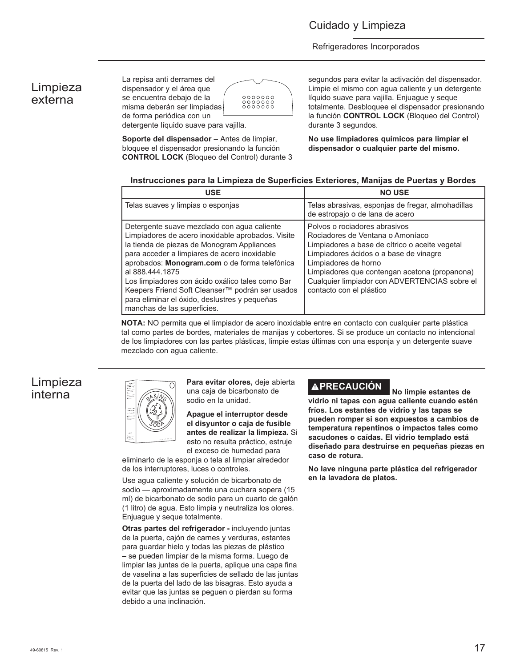## Limpieza externa



**Soporte del dispensador –** Antes de limpiar, bloquee el dispensador presionando la función **CONTROL LOCK** (Bloqueo del Control) durante 3 segundos para evitar la activación del dispensador. Limpie el mismo con agua caliente y un detergente líquido suave para vajilla. Enjuague y seque totalmente. Desbloquee el dispensador presionando la función **CONTROL LOCK** (Bloqueo del Control) durante 3 segundos.

**No use limpiadores químicos para limpiar el dispensador o cualquier parte del mismo.**

### Instrucciones para la Limpieza de Superficies Exteriores, Manijas de Puertas y Bordes

| <b>USE</b>                                                                                                                                                                                                                                                                                                                                                                                                                                                | <b>NO USE</b>                                                                                                                                                                                                                                                                                                       |
|-----------------------------------------------------------------------------------------------------------------------------------------------------------------------------------------------------------------------------------------------------------------------------------------------------------------------------------------------------------------------------------------------------------------------------------------------------------|---------------------------------------------------------------------------------------------------------------------------------------------------------------------------------------------------------------------------------------------------------------------------------------------------------------------|
| Telas suaves y limpias o esponjas                                                                                                                                                                                                                                                                                                                                                                                                                         | Telas abrasivas, esponjas de fregar, almohadillas<br>de estropajo o de lana de acero                                                                                                                                                                                                                                |
| Detergente suave mezclado con agua caliente<br>Limpiadores de acero inoxidable aprobados. Visite<br>la tienda de piezas de Monogram Appliances<br>para acceder a limpiares de acero inoxidable<br>aprobados: Monogram.com o de forma telefónica<br>al 888,444,1875<br>Los limpiadores con ácido oxálico tales como Bar<br>Keepers Friend Soft Cleanser™ podrán ser usados<br>para eliminar el óxido, deslustres y pequeñas<br>manchas de las superficies. | Polvos o rociadores abrasivos<br>Rociadores de Ventana o Amoníaco<br>Limpiadores a base de cítrico o aceite vegetal<br>Limpiadores ácidos o a base de vinagre<br>Limpiadores de horno<br>Limpiadores que contengan acetona (propanona)<br>Cualquier limpiador con ADVERTENCIAS sobre el<br>contacto con el plástico |

**NOTA:** NO permita que el limpiador de acero inoxidable entre en contacto con cualquier parte plástica tal como partes de bordes, materiales de manijas y cobertores. Si se produce un contacto no intencional de los limpiadores con las partes plásticas, limpie estas últimas con una esponja y un detergente suave mezclado con agua caliente.

## Limpieza interna



**Para evitar olores,** deje abierta una caja de bicarbonato de sodio en la unidad.

**Apague el interruptor desde el disyuntor o caja de fusible antes de realizar la limpieza.** Si esto no resulta práctico, estruje el exceso de humedad para

eliminarlo de la esponja o tela al limpiar alrededor de los interruptores, luces o controles.

Use agua caliente y solución de bicarbonato de sodio — aproximadamente una cuchara sopera (15 ml) de bicarbonato de sodio para un cuarto de galón (1 litro) de agua. Esto limpia y neutraliza los olores. Enjuague y seque totalmente.

**Otras partes del refrigerador -** incluyendo juntas de la puerta, cajón de carnes y verduras, estantes para guardar hielo y todas las piezas de plástico – se pueden limpiar de la misma forma. Luego de limpiar las juntas de la puerta, aplique una capa fina de vaselina a las superficies de sellado de las juntas de la puerta del lado de las bisagras. Esto ayuda a evitar que las juntas se peguen o pierdan su forma debido a una inclinación.

# **PRECAUCIÓN No limpie estantes de**

**vidrio ni tapas con agua caliente cuando estén fríos. Los estantes de vidrio y las tapas se pueden romper si son expuestos a cambios de temperatura repentinos o impactos tales como sacudones o caídas. El vidrio templado está diseñado para destruirse en pequeñas piezas en caso de rotura.**

**No lave ninguna parte plástica del refrigerador en la lavadora de platos.**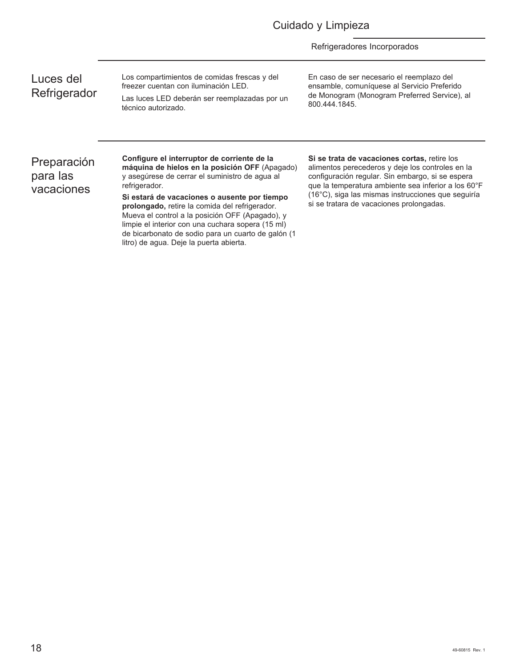| Luces del    |
|--------------|
| Refrigerador |

Los compartimientos de comidas frescas y del freezer cuentan con iluminación LED.

Las luces LED deberán ser reemplazadas por un técnico autorizado.

En caso de ser necesario el reemplazo del ensamble, comuníquese al Servicio Preferido de Monogram (Monogram Preferred Service), al 800.444.1845.

# Preparación para las vacaciones

**Configure el interruptor de corriente de la máquina de hielos en la posición OFF** (Apagado) y asegúrese de cerrar el suministro de agua al refrigerador.

**Si estará de vacaciones o ausente por tiempo prolongado,** retire la comida del refrigerador. Mueva el control a la posición OFF (Apagado), y limpie el interior con una cuchara sopera (15 ml) de bicarbonato de sodio para un cuarto de galón (1 litro) de agua. Deje la puerta abierta.

**Si se trata de vacaciones cortas,** retire los alimentos perecederos y deje los controles en la configuración regular. Sin embargo, si se espera que la temperatura ambiente sea inferior a los 60°F (16°C), siga las mismas instrucciones que seguiría si se tratara de vacaciones prolongadas.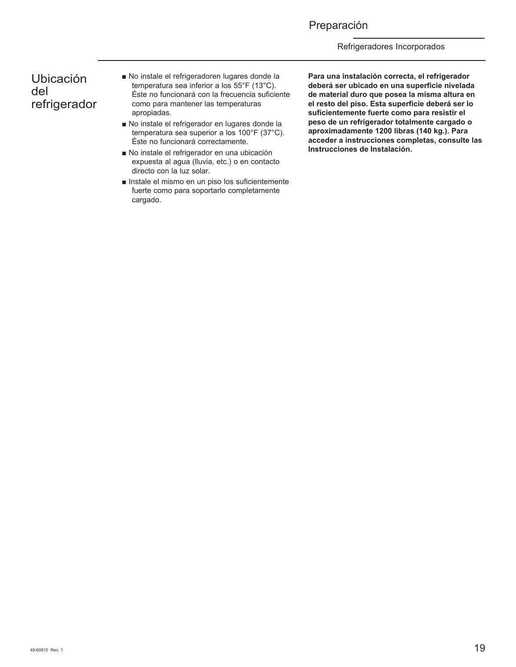## Preparación

Refrigeradores Incorporados

## Ubicación del refrigerador

- No instale el refrigeradoren lugares donde la temperatura sea inferior a los 55°F (13°C). Éste no funcionará con la frecuencia suficiente como para mantener las temperaturas apropiadas.
- No instale el refrigerador en lugares donde la temperatura sea superior a los 100°F (37°C). Éste no funcionará correctamente.
- No instale el refrigerador en una ubicación expuesta al agua (lluvia, etc.) o en contacto directo con la luz solar.
- $\blacksquare$  Instale el mismo en un piso los suficientemente fuerte como para soportarlo completamente cargado.

**Para una instalación correcta, el refrigerador deberá ser ubicado en una superficie nivelada de material duro que posea la misma altura en el resto del piso. Esta superficie deberá ser lo suficientemente fuerte como para resistir el peso de un refrigerador totalmente cargado o aproximadamente 1200 libras (140 kg.). Para acceder a instrucciones completas, consulte las Instrucciones de Instalación.**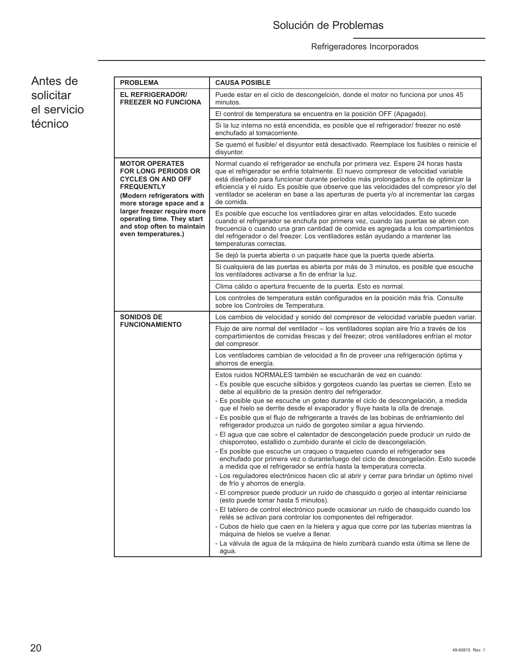٦

Antes de solicitar el servicio técnico

| <b>PROBLEMA</b>                                                                                                                                                | <b>CAUSA POSIBLE</b>                                                                                                                                                                                                                                                                                                                                                                                                                                            |
|----------------------------------------------------------------------------------------------------------------------------------------------------------------|-----------------------------------------------------------------------------------------------------------------------------------------------------------------------------------------------------------------------------------------------------------------------------------------------------------------------------------------------------------------------------------------------------------------------------------------------------------------|
| <b>EL REFRIGERADOR/</b><br><b>FREEZER NO FUNCIONA</b>                                                                                                          | Puede estar en el ciclo de descongelción, donde el motor no funciona por unos 45<br>minutos.                                                                                                                                                                                                                                                                                                                                                                    |
|                                                                                                                                                                | El control de temperatura se encuentra en la posición OFF (Apagado).                                                                                                                                                                                                                                                                                                                                                                                            |
|                                                                                                                                                                | Si la luz interna no está encendida, es posible que el refrigerador/ freezer no esté<br>enchufado al tomacorriente.                                                                                                                                                                                                                                                                                                                                             |
|                                                                                                                                                                | Se quemó el fusible/ el disyuntor está desactivado. Reemplace los fusibles o reinicie el<br>disyuntor.                                                                                                                                                                                                                                                                                                                                                          |
| <b>MOTOR OPERATES</b><br><b>FOR LONG PERIODS OR</b><br><b>CYCLES ON AND OFF</b><br><b>FREQUENTLY</b><br>(Modern refrigerators with<br>more storage space and a | Normal cuando el refrigerador se enchufa por primera vez. Espere 24 horas hasta<br>que el refrigerador se enfríe totalmente. El nuevo compresor de velocidad variable<br>está diseñado para funcionar durante períodos más prolongados a fin de optimizar la<br>eficiencia y el ruido. Es posible que observe que las velocidades del compresor y/o del<br>ventilador se aceleran en base a las aperturas de puerta y/o al incrementar las cargas<br>de comida. |
| larger freezer require more<br>operating time. They start<br>and stop often to maintain<br>even temperatures.)                                                 | Es posible que escuche los ventiladores girar en altas velocidades. Esto sucede<br>cuando el refrigerador se enchufa por primera vez, cuando las puertas se abren con<br>frecuencia o cuando una gran cantidad de comida es agregada a los compartimientos<br>del refrigerador o del freezer. Los ventiladores están ayudando a mantener las<br>temperaturas correctas.                                                                                         |
|                                                                                                                                                                | Se dejó la puerta abierta o un paquete hace que la puerta quede abierta.                                                                                                                                                                                                                                                                                                                                                                                        |
|                                                                                                                                                                | Si cualquiera de las puertas es abierta por más de 3 minutos, es posible que escuche<br>los ventiladores activarse a fin de enfriar la luz.                                                                                                                                                                                                                                                                                                                     |
|                                                                                                                                                                | Clima cálido o apertura frecuente de la puerta. Esto es normal.                                                                                                                                                                                                                                                                                                                                                                                                 |
|                                                                                                                                                                | Los controles de temperatura están configurados en la posición más fría. Consulte<br>sobre los Controles de Temperatura.                                                                                                                                                                                                                                                                                                                                        |
| <b>SONIDOS DE</b>                                                                                                                                              | Los cambios de velocidad y sonido del compresor de velocidad variable pueden variar.                                                                                                                                                                                                                                                                                                                                                                            |
| <b>FUNCIONAMIENTO</b>                                                                                                                                          | Flujo de aire normal del ventilador – los ventiladores soplan aire frío a través de los<br>compartimientos de comidas frescas y del freezer; otros ventiladores enfrían el motor<br>del compresor.                                                                                                                                                                                                                                                              |
|                                                                                                                                                                | Los ventiladores cambian de velocidad a fin de proveer una refrigeración óptima y<br>ahorros de energía.                                                                                                                                                                                                                                                                                                                                                        |
|                                                                                                                                                                | Estos ruidos NORMALES también se escucharán de vez en cuando:                                                                                                                                                                                                                                                                                                                                                                                                   |
|                                                                                                                                                                | - Es posible que escuche silbidos y gorgoteos cuando las puertas se cierren. Esto se<br>debe al equilibrio de la presión dentro del refrigerador.<br>- Es posible que se escuche un goteo durante el ciclo de descongelación, a medida                                                                                                                                                                                                                          |
|                                                                                                                                                                | que el hielo se derrite desde el evaporador y fluye hasta la olla de drenaje.                                                                                                                                                                                                                                                                                                                                                                                   |
|                                                                                                                                                                | - Es posible que el flujo de refrigerante a través de las bobinas de enfriamiento del<br>refrigerador produzca un ruido de gorgoteo similar a agua hirviendo.                                                                                                                                                                                                                                                                                                   |
|                                                                                                                                                                | - El agua que cae sobre el calentador de descongelación puede producir un ruido de<br>chisporroteo, estallido o zumbido durante el ciclo de descongelación.                                                                                                                                                                                                                                                                                                     |
|                                                                                                                                                                | - Es posible que escuche un craqueo o traqueteo cuando el refrigerador sea<br>enchufado por primera vez o durante/luego del ciclo de descongelación. Esto sucede<br>a medida que el refrigerador se enfría hasta la temperatura correcta.                                                                                                                                                                                                                       |
|                                                                                                                                                                | - Los reguladores electrónicos hacen clic al abrir y cerrar para brindar un óptimo nivel<br>de frío y ahorros de energía.                                                                                                                                                                                                                                                                                                                                       |
|                                                                                                                                                                | - El compresor puede producir un ruido de chasquido o gorjeo al intentar reiniciarse<br>(esto puede tomar hasta 5 minutos).                                                                                                                                                                                                                                                                                                                                     |
|                                                                                                                                                                | - El tablero de control electrónico puede ocasionar un ruido de chasquido cuando los<br>relés se activan para controlar los componentes del refrigerador.                                                                                                                                                                                                                                                                                                       |
|                                                                                                                                                                | - Cubos de hielo que caen en la hielera y agua que corre por las tuberías mientras la<br>máquina de hielos se vuelve a llenar.                                                                                                                                                                                                                                                                                                                                  |
|                                                                                                                                                                | - La válvula de agua de la máquina de hielo zumbará cuando esta última se llene de<br>agua.                                                                                                                                                                                                                                                                                                                                                                     |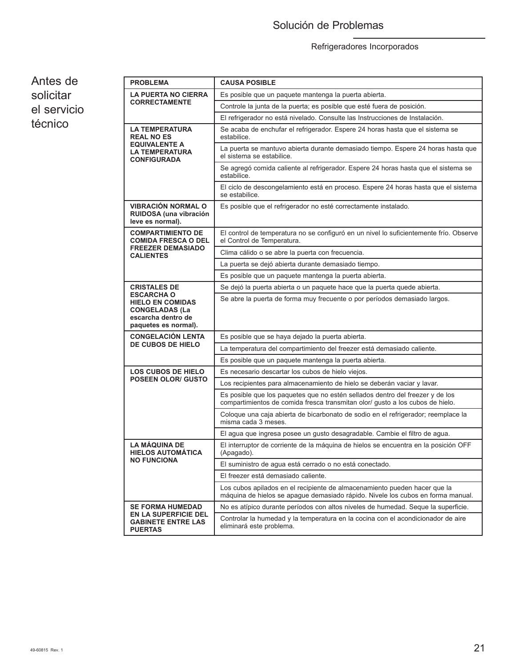# Solución de Problemas

# Refrigeradores Incorporados

Antes de solicitar el servicio técnico

| <b>PROBLEMA</b>                                                                                                     | <b>CAUSA POSIBLE</b>                                                                                                                                           |  |  |  |
|---------------------------------------------------------------------------------------------------------------------|----------------------------------------------------------------------------------------------------------------------------------------------------------------|--|--|--|
| <b>LA PUERTA NO CIERRA</b><br><b>CORRECTAMENTE</b>                                                                  | Es posible que un paquete mantenga la puerta abierta.                                                                                                          |  |  |  |
|                                                                                                                     | Controle la junta de la puerta; es posible que esté fuera de posición.                                                                                         |  |  |  |
|                                                                                                                     | El refrigerador no está nivelado. Consulte las Instrucciones de Instalación.                                                                                   |  |  |  |
| <b>LA TEMPERATURA</b><br><b>REAL NO ES</b>                                                                          | Se acaba de enchufar el refrigerador. Espere 24 horas hasta que el sistema se<br>estabilice.                                                                   |  |  |  |
| <b>EQUIVALENTE A</b><br>LA TEMPERATURA<br><b>CONFIGURADA</b>                                                        | La puerta se mantuvo abierta durante demasiado tiempo. Espere 24 horas hasta que<br>el sistema se estabilice.                                                  |  |  |  |
|                                                                                                                     | Se agregó comida caliente al refrigerador. Espere 24 horas hasta que el sistema se<br>estabilice.                                                              |  |  |  |
|                                                                                                                     | El ciclo de descongelamiento está en proceso. Espere 24 horas hasta que el sistema<br>se estabilice.                                                           |  |  |  |
| <b>VIBRACIÓN NORMAL O</b><br>RUIDOSA (una vibración<br>leve es normal).                                             | Es posible que el refrigerador no esté correctamente instalado.                                                                                                |  |  |  |
| <b>COMPARTIMIENTO DE</b><br><b>COMIDA FRESCA O DEL</b>                                                              | El control de temperatura no se configuró en un nivel lo suficientemente frío. Observe<br>el Control de Temperatura.                                           |  |  |  |
| <b>FREEZER DEMASIADO</b><br><b>CALIENTES</b>                                                                        | Clima cálido o se abre la puerta con frecuencia.                                                                                                               |  |  |  |
|                                                                                                                     | La puerta se dejó abierta durante demasiado tiempo.                                                                                                            |  |  |  |
|                                                                                                                     | Es posible que un paquete mantenga la puerta abierta.                                                                                                          |  |  |  |
| <b>CRISTALES DE</b>                                                                                                 | Se dejó la puerta abierta o un paquete hace que la puerta quede abierta.                                                                                       |  |  |  |
| <b>ESCARCHA O</b><br><b>HIELO EN COMIDAS</b><br><b>CONGELADAS (La</b><br>escarcha dentro de<br>paquetes es normal). | Se abre la puerta de forma muy frecuente o por períodos demasiado largos.                                                                                      |  |  |  |
| <b>CONGELACIÓN LENTA</b>                                                                                            | Es posible que se haya dejado la puerta abierta.                                                                                                               |  |  |  |
| DE CUBOS DE HIELO                                                                                                   | La temperatura del compartimiento del freezer está demasiado caliente.                                                                                         |  |  |  |
|                                                                                                                     | Es posible que un paquete mantenga la puerta abierta.                                                                                                          |  |  |  |
| <b>LOS CUBOS DE HIELO</b>                                                                                           | Es necesario descartar los cubos de hielo viejos.                                                                                                              |  |  |  |
| <b>POSEEN OLOR/ GUSTO</b>                                                                                           | Los recipientes para almacenamiento de hielo se deberán vaciar y lavar.                                                                                        |  |  |  |
|                                                                                                                     | Es posible que los paquetes que no estén sellados dentro del freezer y de los<br>compartimientos de comida fresca transmitan olor/ gusto a los cubos de hielo. |  |  |  |
|                                                                                                                     | Coloque una caja abierta de bicarbonato de sodio en el refrigerador; reemplace la<br>misma cada 3 meses.                                                       |  |  |  |
|                                                                                                                     | El agua que ingresa posee un gusto desagradable. Cambie el filtro de agua.                                                                                     |  |  |  |
| LA MÁQUINA DE<br><b>HIELOS AUTOMÁTICA</b>                                                                           | El interruptor de corriente de la máquina de hielos se encuentra en la posición OFF<br>(Apagado).                                                              |  |  |  |
| <b>NO FUNCIONA</b>                                                                                                  | El suministro de agua está cerrado o no está conectado.                                                                                                        |  |  |  |
|                                                                                                                     | El freezer está demasiado caliente.                                                                                                                            |  |  |  |
|                                                                                                                     | Los cubos apilados en el recipiente de almacenamiento pueden hacer que la<br>máquina de hielos se apague demasiado rápido. Nivele los cubos en forma manual.   |  |  |  |
| <b>SE FORMA HUMEDAD</b>                                                                                             | No es atípico durante períodos con altos niveles de humedad. Seque la superficie.                                                                              |  |  |  |
| <b>EN LA SUPERFICIE DEL</b><br><b>GABINETE ENTRE LAS</b><br><b>PUERTAS</b>                                          | Controlar la humedad y la temperatura en la cocina con el acondicionador de aire<br>eliminará este problema.                                                   |  |  |  |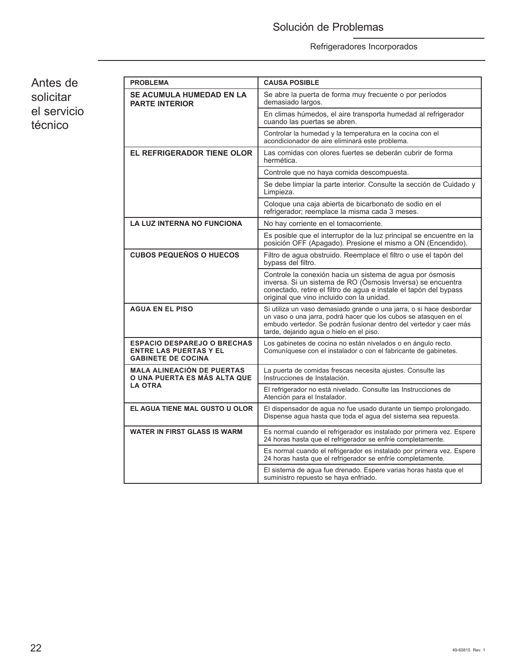# Solución de Problemas

## Refrigeradores Incorporados

Antes de solicitar el servicio técnico

| <b>PROBLEMA</b>                                                                                  | <b>CAUSA POSIBLE</b>                                                                                                                                                                                                                                      |
|--------------------------------------------------------------------------------------------------|-----------------------------------------------------------------------------------------------------------------------------------------------------------------------------------------------------------------------------------------------------------|
| <b>SE ACUMULA HUMEDAD EN LA</b><br><b>PARTE INTERIOR</b>                                         | Se abre la puerta de forma muy frecuente o por períodos<br>demasiado largos.                                                                                                                                                                              |
|                                                                                                  | En climas húmedos, el aire transporta humedad al refrigerador<br>cuando las puertas se abren.                                                                                                                                                             |
|                                                                                                  | Controlar la humedad y la temperatura en la cocina con el<br>acondicionador de aire eliminará este problema.                                                                                                                                              |
| <b>EL REFRIGERADOR TIENE OLOR</b>                                                                | Las comidas con olores fuertes se deberán cubrir de forma<br>hermética.                                                                                                                                                                                   |
|                                                                                                  | Controle que no haya comida descompuesta.                                                                                                                                                                                                                 |
|                                                                                                  | Se debe limpiar la parte interior. Consulte la sección de Cuidado y<br>Limpieza.                                                                                                                                                                          |
|                                                                                                  | Coloque una caja abierta de bicarbonato de sodio en el<br>refrigerador; reemplace la misma cada 3 meses.                                                                                                                                                  |
| <b>LA LUZ INTERNA NO FUNCIONA</b>                                                                | No hay corriente en el tomacorriente.                                                                                                                                                                                                                     |
|                                                                                                  | Es posible que el interruptor de la luz principal se encuentre en la<br>posición OFF (Apagado). Presione el mismo a ON (Encendido).                                                                                                                       |
| <b>CUBOS PEQUEÑOS O HUECOS</b>                                                                   | Filtro de agua obstruido. Reemplace el filtro o use el tapón del<br>bypass del filtro.                                                                                                                                                                    |
|                                                                                                  | Controle la conexión hacia un sistema de agua por ósmosis<br>inversa. Si un sistema de RO (Ósmosis Inversa) se encuentra<br>conectado, retire el filtro de agua e instale el tapón del bypass<br>original que vino incluido con la unidad.                |
| <b>AGUA EN EL PISO</b>                                                                           | Si utiliza un vaso demasiado grande o una jarra, o si hace desbordar<br>un vaso o una jarra, podrá hacer que los cubos se atasquen en el<br>embudo vertedor. Se podrán fusionar dentro del vertedor y caer más<br>tarde, dejando agua o hielo en el piso. |
| <b>ESPACIO DESPAREJO O BRECHAS</b><br><b>ENTRE LAS PUERTAS Y EL</b><br><b>GABINETE DE COCINA</b> | Los gabinetes de cocina no están nivelados o en ángulo recto.<br>Comuníquese con el instalador o con el fabricante de gabinetes.                                                                                                                          |
| <b>MALA ALINEACIÓN DE PUERTAS</b><br>O UNA PUERTA ES MÁS ALTA QUE                                | La puerta de comidas frescas necesita ajustes. Consulte las<br>Instrucciones de Instalación.                                                                                                                                                              |
| <b>LA OTRA</b>                                                                                   | El refrigerador no está nivelado. Consulte las Instrucciones de<br>Atención para el Instalador.                                                                                                                                                           |
| EL AGUA TIENE MAL GUSTO U OLOR                                                                   | El dispensador de agua no fue usado durante un tiempo prolongado.<br>Dispense aqua hasta que toda el aqua del sistema sea repuesta.                                                                                                                       |
| <b>WATER IN FIRST GLASS IS WARM</b>                                                              | Es normal cuando el refrigerador es instalado por primera vez. Espere<br>24 horas hasta que el refrigerador se enfríe completamente.                                                                                                                      |
|                                                                                                  | Es normal cuando el refrigerador es instalado por primera vez. Espere<br>24 horas hasta que el refrigerador se enfríe completamente.                                                                                                                      |
|                                                                                                  | El sistema de agua fue drenado. Espere varias horas hasta que el<br>suministro repuesto se haya enfriado.                                                                                                                                                 |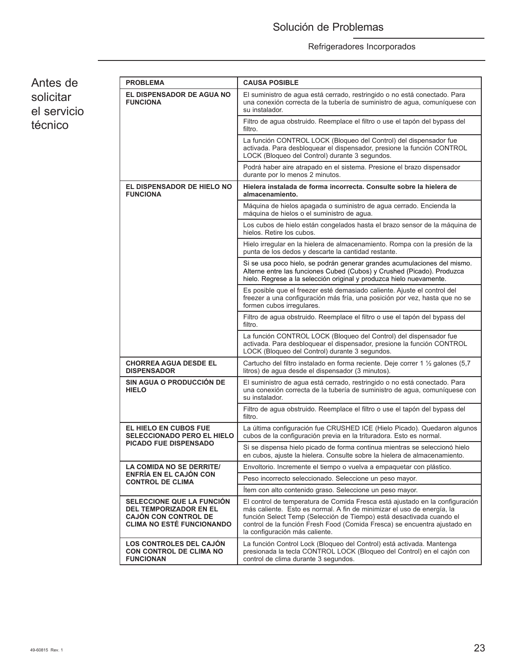# Solución de Problemas

## Refrigeradores Incorporados

Antes de solicitar el servicio técnico

| <b>PROBLEMA</b>                                                                                                                      | <b>CAUSA POSIBLE</b>                                                                                                                                                                                                                                                                                                                          |  |  |
|--------------------------------------------------------------------------------------------------------------------------------------|-----------------------------------------------------------------------------------------------------------------------------------------------------------------------------------------------------------------------------------------------------------------------------------------------------------------------------------------------|--|--|
| <b>EL DISPENSADOR DE AGUA NO</b><br><b>FUNCIONA</b>                                                                                  | El suministro de agua está cerrado, restringido o no está conectado. Para<br>una conexión correcta de la tubería de suministro de agua, comuníquese con<br>su instalador.                                                                                                                                                                     |  |  |
|                                                                                                                                      | Filtro de aqua obstruido. Reemplace el filtro o use el tapón del bypass del<br>filtro.                                                                                                                                                                                                                                                        |  |  |
|                                                                                                                                      | La función CONTROL LOCK (Bloqueo del Control) del dispensador fue<br>activada. Para desbloquear el dispensador, presione la función CONTROL<br>LOCK (Bloqueo del Control) durante 3 segundos.                                                                                                                                                 |  |  |
|                                                                                                                                      | Podrá haber aire atrapado en el sistema. Presione el brazo dispensador<br>durante por lo menos 2 minutos.                                                                                                                                                                                                                                     |  |  |
| EL DISPENSADOR DE HIELO NO<br><b>FUNCIONA</b>                                                                                        | Hielera instalada de forma incorrecta. Consulte sobre la hielera de<br>almacenamiento.                                                                                                                                                                                                                                                        |  |  |
|                                                                                                                                      | Máquina de hielos apagada o suministro de agua cerrado. Encienda la<br>máquina de hielos o el suministro de agua.                                                                                                                                                                                                                             |  |  |
|                                                                                                                                      | Los cubos de hielo están congelados hasta el brazo sensor de la máquina de<br>hielos. Retire los cubos.                                                                                                                                                                                                                                       |  |  |
|                                                                                                                                      | Hielo irregular en la hielera de almacenamiento. Rompa con la presión de la<br>punta de los dedos y descarte la cantidad restante.                                                                                                                                                                                                            |  |  |
|                                                                                                                                      | Si se usa poco hielo, se podrán generar grandes acumulaciones del mismo.<br>Alterne entre las funciones Cubed (Cubos) y Crushed (Picado). Produzca<br>hielo. Regrese a la selección original y produzca hielo nuevamente.                                                                                                                     |  |  |
|                                                                                                                                      | Es posible que el freezer esté demasiado caliente. Ajuste el control del<br>freezer a una configuración más fría, una posición por vez, hasta que no se<br>formen cubos irregulares.                                                                                                                                                          |  |  |
|                                                                                                                                      | Filtro de agua obstruido. Reemplace el filtro o use el tapón del bypass del<br>filtro.                                                                                                                                                                                                                                                        |  |  |
|                                                                                                                                      | La función CONTROL LOCK (Bloqueo del Control) del dispensador fue<br>activada. Para desbloquear el dispensador, presione la función CONTROL<br>LOCK (Bloqueo del Control) durante 3 segundos.                                                                                                                                                 |  |  |
| <b>CHORREA AGUA DESDE EL</b><br><b>DISPENSADOR</b>                                                                                   | Cartucho del filtro instalado en forma reciente. Deje correr 1 ½ galones (5,7<br>litros) de agua desde el dispensador (3 minutos).                                                                                                                                                                                                            |  |  |
| SIN AGUA O PRODUCCIÓN DE<br><b>HIELO</b>                                                                                             | El suministro de agua está cerrado, restringido o no está conectado. Para<br>una conexión correcta de la tubería de suministro de agua, comuníquese con<br>su instalador.                                                                                                                                                                     |  |  |
|                                                                                                                                      | Filtro de agua obstruido. Reemplace el filtro o use el tapón del bypass del<br>filtro.                                                                                                                                                                                                                                                        |  |  |
| EL HIELO EN CUBOS FUE<br><b>SELECCIONADO PERO EL HIELO</b>                                                                           | La última configuración fue CRUSHED ICE (Hielo Picado). Quedaron algunos<br>cubos de la configuración previa en la trituradora. Esto es normal.                                                                                                                                                                                               |  |  |
| <b>PICADO FUE DISPENSADO</b>                                                                                                         | Si se dispensa hielo picado de forma continua mientras se seleccionó hielo<br>en cubos, ajuste la hielera. Consulte sobre la hielera de almacenamiento.                                                                                                                                                                                       |  |  |
| LA COMIDA NO SE DERRITE/                                                                                                             | Envoltorio. Incremente el tiempo o vuelva a empaguetar con plástico.                                                                                                                                                                                                                                                                          |  |  |
| ENFRÍA EN EL CAJÓN CON<br><b>CONTROL DE CLIMA</b>                                                                                    | Peso incorrecto seleccionado. Seleccione un peso mayor.                                                                                                                                                                                                                                                                                       |  |  |
|                                                                                                                                      | Ítem con alto contenido graso. Seleccione un peso mayor.                                                                                                                                                                                                                                                                                      |  |  |
| <b>SELECCIONE QUE LA FUNCION</b><br><b>DEL TEMPORIZADOR EN EL</b><br><b>CAJÓN CON CONTROL DE</b><br><b>CLIMA NO ESTÉ FUNCIONANDO</b> | El control de temperatura de Comida Fresca está ajustado en la configuración<br>más caliente. Esto es normal. A fin de minimizar el uso de energía, la<br>función Select Temp (Selección de Tiempo) está desactivada cuando el<br>control de la función Fresh Food (Comida Fresca) se encuentra ajustado en<br>la configuración más caliente. |  |  |
| <b>LOS CONTROLES DEL CAJÓN</b><br><b>CON CONTROL DE CLIMA NO</b><br><b>FUNCIONAN</b>                                                 | La función Control Lock (Bloqueo del Control) está activada. Mantenga<br>presionada la tecla CONTROL LOCK (Bloqueo del Control) en el cajón con<br>control de clima durante 3 segundos.                                                                                                                                                       |  |  |

٦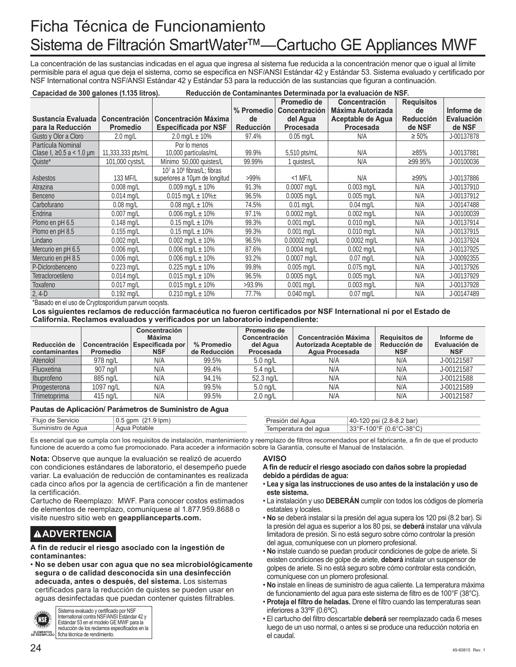# Ficha Técnica de Funcionamiento Sistema de Filtración SmartWater™—Cartucho GE Appliances MWF

La concentración de las sustancias indicadas en el agua que ingresa al sistema fue reducida a la concentración menor que o igual al límite permisible para el agua que deja el sistema, como se especifica en NSF/ANSI Estándar 42 y Estándar 53. Sistema evaluado y certificado por NSF International contra NSF/ANSI Estándar 42 y Estándar 53 para la reducción de las sustancias que figuran a continuación.

| Capacidad de 300 galones (1.135 litros).<br>Reducción de Contaminantes Determinada por la evaluación de NSF. |                      |                               |                  |                      |                          |                   |                   |
|--------------------------------------------------------------------------------------------------------------|----------------------|-------------------------------|------------------|----------------------|--------------------------|-------------------|-------------------|
|                                                                                                              |                      |                               |                  | Promedio de          | <b>Concentración</b>     | <b>Requisitos</b> |                   |
|                                                                                                              |                      |                               | % Promedio       | <b>Concentración</b> | <b>Máxima Autorizada</b> | de                | Informe de        |
| <b>Sustancia Evaluada</b>                                                                                    | <b>Concentración</b> | <b>Concentración Máxima</b>   | de               | del Agua             | Aceptable de Aqua        | <b>Reducción</b>  | <b>Evaluación</b> |
| para la Reducción                                                                                            | <b>Promedio</b>      | <b>Especificada por NSF</b>   | <b>Reducción</b> | Procesada            | Procesada                | de NSF            | de NSF            |
| Gusto y Olor a Cloro                                                                                         | $2.0$ mg/L           | 2.0 mg/L $\pm$ 10%            | 97.4%            | $0.05$ mg/L          | N/A                      | $\geq 50\%$       | J-00137878        |
| Partícula Nominal                                                                                            |                      | Por lo menos                  |                  |                      |                          |                   |                   |
| Clase I, ≥0.5 a < 1.0 $\mu$ m                                                                                | 11,333,333 pts/mL    | 10,000 partículas/mL          | 99.9%            | $5,510$ pts/mL       | N/A                      | ≥85%              | J-00137881        |
| Quiste*                                                                                                      | 101,000 cysts/L      | Mínimo 50,000 quistes/L       | 99.99%           | 1 quistes/L          | N/A                      | ≥99.95%           | J-00100036        |
|                                                                                                              |                      | 107 a 108 fibras/L; fibras    |                  |                      |                          |                   |                   |
| Asbestos                                                                                                     | 133 MF/L             | superiores a 10um de longitud | $>99\%$          | $<$ 1 MF/L           | N/A                      | ≥99%              | J-00137886        |
| Atrazina                                                                                                     | $0.008$ mg/L         | 0.009 mg/L $\pm$ 10%          | 91.3%            | $0.0007$ mg/L        | $0.003$ mg/L             | N/A               | J-00137910        |
| Benceno                                                                                                      | $0.014$ mg/L         | 0.015 mg/L $\pm$ 10% $\pm$    | 96.5%            | $0.0005$ mg/L        | $0.005$ mg/L             | N/A               | J-00137912        |
| Carbofurano                                                                                                  | $0.08$ mg/L          | $0.08$ mg/L $\pm$ 10%         | 74.5%            | $0.01$ mg/L          | $0.04$ mg/L              | N/A               | J-00147488        |
| Endrina                                                                                                      | $0.007$ ma/L         | 0.006 mg/L $\pm$ 10%          | 97.1%            | $0.0002$ ma/L        | $0.002$ mg/L             | N/A               | J-00100039        |
| Plomo en pH 6.5                                                                                              | $0.148$ mg/L         | $0.15$ mg/L $\pm$ 10%         | 99.3%            | $0.001$ mg/L         | $0.010$ mg/L             | N/A               | J-00137914        |
| Plomo en pH 8.5                                                                                              | $0.155$ mg/L         | $0.15$ mg/L $\pm$ 10%         | 99.3%            | $0.001$ mg/L         | $0.010$ mg/L             | N/A               | J-00137915        |
| Lindano                                                                                                      | $0.002$ mg/L         | $0.002$ mg/L $\pm$ 10%        | 96.5%            | $0.00002$ mg/L       | $0.0002$ mg/L            | N/A               | J-00137924        |
| Mercurio en pH 6.5                                                                                           | $0.006$ mg/L         | 0.006 mg/L $\pm$ 10%          | 87.6%            | $0.0004$ mg/L        | $0.002$ mg/L             | N/A               | J-00137925        |
| Mercurio en pH 8.5                                                                                           | $0.006$ mg/L         | $0.006$ mg/L $\pm$ 10%        | 93.2%            | $0.0007$ mg/L        | $0.07$ mg/L              | N/A               | J-00092355        |
| P-Diclorobenceno                                                                                             | $0.223$ mg/L         | 0.225 mg/L $\pm$ 10%          | 99.8%            | $0.005$ mg/L         | $0.075$ mg/L             | N/A               | J-00137926        |
| Tetracloroetileno                                                                                            | $0.014$ mg/L         | $0.015$ mg/L $\pm$ 10%        | 96.5%            | $0.0005$ ma/L        | $0.005$ mg/L             | N/A               | J-00137929        |
| Toxafeno                                                                                                     | $0.017$ mg/L         | $0.015$ mg/L $\pm$ 10%        | $>93.9\%$        | $0.001$ mg/L         | $0.003$ mg/L             | N/A               | J-00137928        |
| $2, 4-D$                                                                                                     | $0.192$ mg/L         | $0.210$ mg/L $\pm$ 10%        | 77.7%            | $0.040$ mg/L         | $0.07$ mg/L              | N/A               | J-00147489        |

\*Basado en el uso de Cryptosporidium parvum oocysts.

### **Los siguientes reclamos de reducción farmacéutica no fueron certificados por NSF International ni por el Estado de California. Reclamos evaluados y verificados por un laboratorio independiente:**

| Reducción de<br>contaminantes | Promedio  | Concentración<br>Máxima<br>Concentración Especificada por<br><b>NSF</b> | % Promedio<br>de Reducción | Promedio de<br>Concentración<br>del Agua<br>Procesada | <b>Concentración Máxima</b><br>Autorizada Aceptable de<br>Agua Procesada | <b>Requisitos de</b><br>Reducción de<br><b>NSF</b> | Informe de<br>Evaluación de<br><b>NSF</b> |
|-------------------------------|-----------|-------------------------------------------------------------------------|----------------------------|-------------------------------------------------------|--------------------------------------------------------------------------|----------------------------------------------------|-------------------------------------------|
| Atenolol                      | 978 ng/L  | N/A                                                                     | 99.5%                      | $5.0 \text{ ng/L}$                                    | N/A                                                                      | N/A                                                | J-00121587                                |
| Fluoxetina                    | 907 ng/l  | N/A                                                                     | 99.4%                      | $5.4 \text{ ng/L}$                                    | N/A                                                                      | N/A                                                | J-00121587                                |
| Ibuprofeno                    | 885 ng/L  | N/A                                                                     | 94.1%                      | 52.3 ng/L                                             | N/A                                                                      | N/A                                                | J-00121588                                |
| Progesterona                  | 1097 ng/L | N/A                                                                     | 99.5%                      | $5.0$ ng/L                                            | N/A                                                                      | N/A                                                | J-00121589                                |
| <b>Trimetoprima</b>           | 415 ng/L  | N/A                                                                     | 99.5%                      | $2.0 \text{ nq/L}$                                    | N/A                                                                      | N/A                                                | J-00121587                                |

### **Pautas de Aplicación/ Parámetros de Suministro de Agua**

| Fluio de Servicio  | .9 lpm<br>ົດ 1<br>apm<br>∪.∪ | ' Agua<br>TI USIUI. | $(2.8-8.2 \text{ bar})$<br>40-120 psi                                  |
|--------------------|------------------------------|---------------------|------------------------------------------------------------------------|
| Suministro de Agua | Potable<br>Agua              | emperatura del agua | $(0.6^{\circ}$ C-38 $^{\circ}$ C<br>ספפ<br>$\sqrt{200}$<br>აა<br>1 U U |

Es esencial que se cumpla con los requisitos de instalación, mantenimiento y reemplazo de filtros recomendados por el fabricante, a fin de que el producto funcione de acuerdo a como fue promocionado. Para acceder a información sobre la Garantía, consulte el Manual de Instalación.

**Nota:** Observe que aunque la evaluación se realizó de acuerdo con condiciones estándares de laboratorio, el desempeño puede variar. La evaluación de reducción de contaminantes es realizada cada cinco años por la agencia de certificación a fin de mantener la certificación.

Cartucho de Reemplazo: MWF. Para conocer costos estimados de elementos de reemplazo, comuníquese al 1.877.959.8688 o visite nuestro sitio web en **geapplianceparts.com.**

# **ADVERTENCIA**

**A fin de reducir el riesgo asociado con la ingestión de contaminantes:**

• **No se deben usar con agua que no sea microbiológicamente segura o de calidad desconocida sin una desinfección adecuada, antes o después, del sistema.** Los sistemas certificados para la reducción de quistes se pueden usar en aguas desinfectadas que puedan contener quistes filtrables.



Sistema evaluado y certificado por NSF Distanta Statuare y<br>International contra NSF/ANSI Estándar 42 y Estándar 53 en el modelo GE MWF para la reducción de los reclamos especificados en la ficha técnica de rendimiento.

### **AVISO**

### **A fin de reducir el riesgo asociado con daños sobre la propiedad debido a pérdidas de agua:**

- **Lea y siga las instrucciones de uso antes de la instalación y uso de este sistema.**
- La instalación y uso **DEBERÁN** cumplir con todos los códigos de plomería estatales y locales.
- **No** se deberá instalar si la presión del agua supera los 120 psi (8.2 bar). Si la presión del agua es superior a los 80 psi, se **deberá** instalar una válvula limitadora de presión. Si no está seguro sobre cómo controlar la presión del agua, comuníquese con un plomero profesional.
- **No** instale cuando se puedan producir condiciones de golpe de ariete. Si existen condiciones de golpe de ariete, **deberá** instalar un suspensor de golpes de ariete. Si no está seguro sobre cómo controlar esta condición, comuníquese con un plomero profesional.
- **No** instale en líneas de suministro de agua caliente. La temperatura máxima de funcionamiento del agua para este sistema de filtro es de 100°F (38°C).
- **Proteja el filtro de heladas.** Drene el filtro cuando las temperaturas sean inferiores a 33ºF (0.6ºC).
- El cartucho del filtro descartable **deberá** ser reemplazado cada 6 meses luego de un uso normal, o antes si se produce una reducción notoria en el caudal.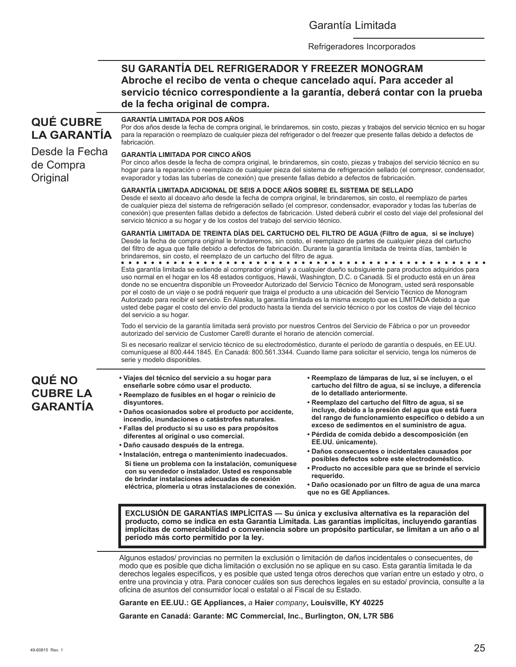## Garantía Limitada

Refrigeradores Incorporados

## **SU GARANTÍA DEL REFRIGERADOR Y FREEZER MONOGRAM Abroche el recibo de venta o cheque cancelado aquí. Para acceder al servicio técnico correspondiente a la garantía, deberá contar con la prueba de la fecha original de compra.**

# **QUÉ CUBRE LA GARANTÍA**

Desde la Fecha de Compra **Original** 

#### para la reparación o reemplazo de cualquier pieza del refrigerador o del freezer que presente fallas debido a defectos de fabricación.

**GARANTÍA LIMITADA POR DOS AÑOS** 

**GARANTÍA LIMITADA POR CINCO AÑOS** 

Por cinco años desde la fecha de compra original, le brindaremos, sin costo, piezas y trabajos del servicio técnico en su hogar para la reparación o reemplazo de cualquier pieza del sistema de refrigeración sellado (el compresor, condensador, evaporador y todas las tuberías de conexión) que presente fallas debido a defectos de fabricación.

Por dos años desde la fecha de compra original, le brindaremos, sin costo, piezas y trabajos del servicio técnico en su hogar

### **GARANTÍA LIMITADA ADICIONAL DE SEIS A DOCE AÑOS SOBRE EL SISTEMA DE SELLADO**

Desde el sexto al doceavo año desde la fecha de compra original, le brindaremos, sin costo, el reemplazo de partes de cualquier pieza del sistema de refrigeración sellado (el compresor, condensador, evaporador y todas las tuberías de conexión) que presenten fallas debido a defectos de fabricación. Usted deberá cubrir el costo del viaje del profesional del servicio técnico a su hogar y de los costos del trabajo del servicio técnico.

**GARANTÍA LIMITADA DE TREINTA DÍAS DEL CARTUCHO DEL FILTRO DE AGUA (Filtro de agua, si se incluye)** Desde la fecha de compra original le brindaremos, sin costo, el reemplazo de partes de cualquier pieza del cartucho del filtro de agua que falle debido a defectos de fabricación. Durante la garantía limitada de treinta días, también le brindaremos, sin costo, el reemplazo de un cartucho del filtro de agua.

Esta garantía limitada se extiende al comprador original y a cualquier dueño subsiguiente para productos adquiridos para uso normal en el hogar en los 48 estados contiguos, Hawái, Washington, D.C. o Canadá. Si el producto está en un área donde no se encuentra disponible un Proveedor Autorizado del Servicio Técnico de Monogram, usted será responsable por el costo de un viaje o se podrá requerir que traiga el producto a una ubicación del Servicio Técnico de Monogram Autorizado para recibir el servicio. En Alaska, la garantía limitada es la misma excepto que es LIMITADA debido a que usted debe pagar el costo del envío del producto hasta la tienda del servicio técnico o por los costos de viaje del técnico del servicio a su hogar.

Todo el servicio de la garantía limitada será provisto por nuestros Centros del Servicio de Fábrica o por un proveedor autorizado del servicio de Customer Care® durante el horario de atención comercial.

Si es necesario realizar el servicio técnico de su electrodoméstico, durante el período de garantía o después, en EE.UU. comuníquese al 800.444.1845. En Canadá: 800.561.3344. Cuando llame para solicitar el servicio, tenga los números de serie y modelo disponibles.

# **QUÉ NO CUBRE LA GARANTÍA**

- **Viajes del técnico del servicio a su hogar para enseñarle sobre cómo usar el producto.**
- **Reemplazo de fusibles en el hogar o reinicio de disyuntores.**
- **Daños ocasionados sobre el producto por accidente, incendio, inundaciones o catástrofes naturales.**
- **Fallas del producto si su uso es para propósitos diferentes al original o uso comercial.**
- **Daño causado después de la entrega.**
- **Instalación, entrega o mantenimiento inadecuados. Si tiene un problema con la instalación, comuníquese con su vendedor o instalador. Usted es responsable de brindar instalaciones adecuadas de conexión eléctrica, plomería u otras instalaciones de conexión.**
- **Reemplazo de lámparas de luz, si se incluyen, o el cartucho del filtro de agua, si se incluye, a diferencia de lo detallado anteriormente.**
- **Reemplazo del cartucho del filtro de agua, si se incluye, debido a la presión del agua que está fuera del rango de funcionamiento específico o debido a un exceso de sedimentos en el suministro de agua.**
- **Pérdida de comida debido a descomposición (en EE.UU. únicamente).**
- **Daños consecuentes o incidentales causados por posibles defectos sobre este electrodoméstico.**
- **Producto no accesible para que se brinde el servicio requerido.**
- **Daño ocasionado por un filtro de agua de una marca que no es GE Appliances.**

**EXCLUSIÓN DE GARANTÍAS IMPLÍCITAS — Su única y exclusiva alternativa es la reparación del producto, como se indica en esta Garantía Limitada. Las garantías implícitas, incluyendo garantías implícitas de comerciabilidad o conveniencia sobre un propósito particular, se limitan a un año o al período más corto permitido por la ley.** 

Algunos estados/ provincias no permiten la exclusión o limitación de daños incidentales o consecuentes, de modo que es posible que dicha limitación o exclusión no se aplique en su caso. Esta garantía limitada le da derechos legales específicos, y es posible que usted tenga otros derechos que varían entre un estado y otro, o entre una provincia y otra. Para conocer cuáles son sus derechos legales en su estado/ provincia, consulte a la oficina de asuntos del consumidor local o estatal o al Fiscal de su Estado.

**Garante en EE.UU.: GE Appliances,** *a* **Haier** *company***, Louisville, KY 40225**

**Garante en Canadá: Garante: MC Commercial, Inc., Burlington, ON, L7R 5B6**